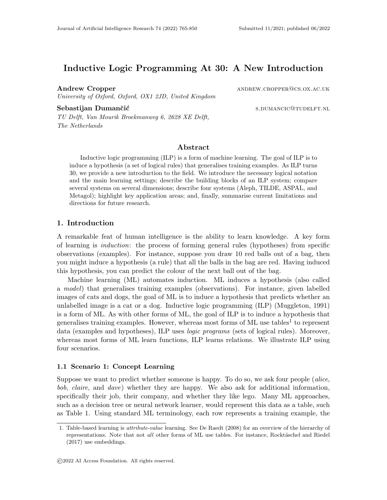# Inductive Logic Programming At 30: A New Introduction

Andrew Cropper ANDREW.CROPPER@CS.OX.AC.UK University of Oxford, Oxford, OX1 2JD, United Kingdom

Sebastijan Dumančić state state state state state state state state state state state state state state state s

TU Delft, Van Mourik Broekmanweg 6, 2628 XE Delft, The Netherlands

### Abstract

Inductive logic programming (ILP) is a form of machine learning. The goal of ILP is to induce a hypothesis (a set of logical rules) that generalises training examples. As ILP turns 30, we provide a new introduction to the field. We introduce the necessary logical notation and the main learning settings; describe the building blocks of an ILP system; compare several systems on several dimensions; describe four systems (Aleph, TILDE, ASPAL, and Metagol); highlight key application areas; and, finally, summarise current limitations and directions for future research.

### 1. Introduction

A remarkable feat of human intelligence is the ability to learn knowledge. A key form of learning is induction: the process of forming general rules (hypotheses) from specific observations (examples). For instance, suppose you draw 10 red balls out of a bag, then you might induce a hypothesis (a rule) that all the balls in the bag are red. Having induced this hypothesis, you can predict the colour of the next ball out of the bag.

Machine learning (ML) automates induction. ML induces a hypothesis (also called a model) that generalises training examples (observations). For instance, given labelled images of cats and dogs, the goal of ML is to induce a hypothesis that predicts whether an unlabelled image is a cat or a dog. Inductive logic programming (ILP) (Muggleton, 1991) is a form of ML. As with other forms of ML, the goal of ILP is to induce a hypothesis that generalises training examples. However, whereas most forms of ML use tables<sup>1</sup> to represent data (examples and hypotheses), ILP uses *logic programs* (sets of logical rules). Moreover, whereas most forms of ML learn functions, ILP learns relations. We illustrate ILP using four scenarios.

#### 1.1 Scenario 1: Concept Learning

Suppose we want to predict whether someone is happy. To do so, we ask four people (alice, bob, claire, and dave) whether they are happy. We also ask for additional information, specifically their job, their company, and whether they like lego. Many ML approaches, such as a decision tree or neural network learner, would represent this data as a table, such as Table 1. Using standard ML terminology, each row represents a training example, the

<sup>1.</sup> Table-based learning is attribute-value learning. See De Raedt (2008) for an overview of the hierarchy of representations. Note that not all other forms of ML use tables. For instance, Rocktäschel and Riedel (2017) use embeddings.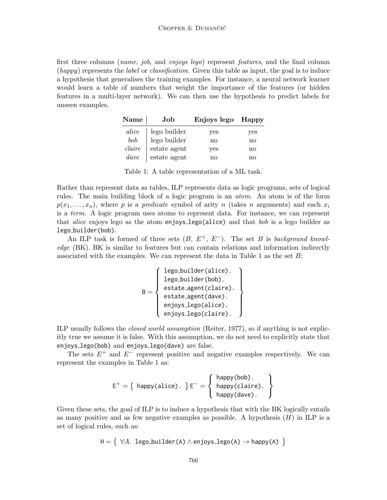first three columns (*name*, *job*, and *enjoys lego*) represent *features*, and the final column  $(happy)$  represents the *label* or *classification*. Given this table as input, the goal is to induce a hypothesis that generalises the training examples. For instance, a neural network learner would learn a table of numbers that weight the importance of the features (or hidden features in a multi-layer network). We can then use the hypothesis to predict labels for unseen examples.

| Name   | Job                         | Enjoys lego Happy |     |
|--------|-----------------------------|-------------------|-----|
| alice  | lego builder                | yes               | yes |
| bob    | $\blacksquare$ lego builder | no                | no  |
| claire | $\rm{estate}$ agent         | yes               | no  |
| dave   | estate agent                | no                | no  |

Table 1: A table representation of a ML task.

Rather than represent data as tables, ILP represents data as logic programs, sets of logical rules. The main building block of a logic program is an atom. An atom is of the form  $p(x_1, \ldots, x_n)$ , where p is a predicate symbol of arity n (takes n arguments) and each  $x_i$ is a term. A logic program uses atoms to represent data. For instance, we can represent that *alice* enjoys lego as the atom enjoys lego(alice) and that *bob* is a lego builder as lego builder(bob).

An ILP task is formed of three sets  $(B, E^+, E^-)$ . The set B is background knowledge (BK). BK is similar to features but can contain relations and information indirectly associated with the examples. We can represent the data in Table 1 as the set B:

$$
B = \left\{ \begin{array}{c} \text{lego_buider(alice).} \\ \text{lego_buider(bob).} \\ \text{estate-agent(claire).} \\ \text{estate-agent(dave).} \\ \text{enjoys_{lego(alice).} \\ \text{enjoys_{lego(claire).} \end{array} \right\}
$$

ILP usually follows the closed world assumption (Reiter, 1977), so if anything is not explicitly true we assume it is false. With this assumption, we do not need to explicitly state that enjoys lego(bob) and enjoys lego(dave) are false.

The sets  $E^+$  and  $E^-$  represent positive and negative examples respectively. We can represent the examples in Table 1 as:

$$
E^{+} = \left\{ \begin{array}{c} \mathsf{happy}(\mathsf{able}) \, . \\ \mathsf{happy}(\mathsf{claire}) \, . \\ \mathsf{happy}(\mathsf{dave}) \, . \end{array} \right\}
$$

Given these sets, the goal of ILP is to induce a hypothesis that with the BK logically entails as many positive and as few negative examples as possible. A hypothesis  $(H)$  in ILP is a set of logical rules, such as:

$$
\mathsf{H} = \left\{ \begin{array}{l} \forall A. \ \texttt{lego_builder(A)} \land \texttt{enjoys\_lego(A)} \rightarrow \texttt{happy(A)} \end{array} \right\}
$$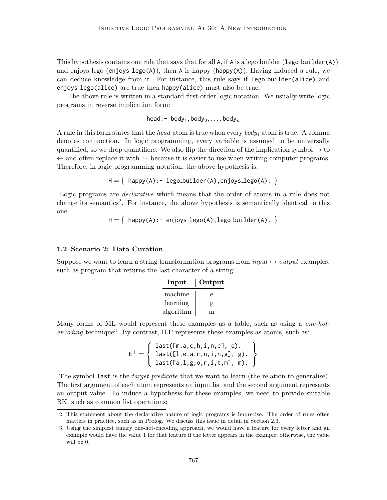This hypothesis contains one rule that says that for all  $\mathsf{A}$ , if  $\mathsf{A}$  is a lego builder (lego-builder(A)) and enjoys lego (enjoys lego(A)), then A is happy (happy(A)). Having induced a rule, we can deduce knowledge from it. For instance, this rule says if lego builder(alice) and enjoys lego(alice) are true then happy(alice) must also be true.

The above rule is written in a standard first-order logic notation. We usually write logic programs in reverse implication form:

head:-  $\text{body}_1, \text{body}_2, \ldots, \text{body}_n$ 

A rule in this form states that the head atom is true when every  $body_i$  atom is true. A comma denotes conjunction. In logic programming, every variable is assumed to be universally quantified, so we drop quantifiers. We also flip the direction of the implication symbol  $\rightarrow$  to  $\leftarrow$  and often replace it with :- because it is easier to use when writing computer programs. Therefore, in logic programming notation, the above hypothesis is:

$$
H = \{ \text{ happy}(A): - \text{ lego_builder}(A), \text{enjoys\_lego}(A). \}
$$

Logic programs are declarative which means that the order of atoms in a rule does not change its semantics<sup>2</sup>. For instance, the above hypothesis is semantically identical to this one:

 ${\sf H}=\left\{ \begin{array}{l} \mathsf{h} \mathsf{apply}(\mathsf{A}) \colon \text{-} \; \mathsf{enjoys\_lego(\mathsf{A})} \text{, lego\_builder(\mathsf{A})} \,. \end{array} \right\}$ 

### 1.2 Scenario 2: Data Curation

Suppose we want to learn a string transformation programs from  $input \rightarrow output$  examples, such as program that returns the last character of a string:

| Input     | Output |
|-----------|--------|
| machine   | е      |
| learning  | g      |
| algorithm | m      |

Many forms of ML would represent these examples as a table, such as using a *one-hot*encoding technique<sup>3</sup>. By contrast, ILP represents these examples as atoms, such as:

$$
E^+ = \left\{ \begin{array}{ll} \text{last}([\texttt{m},a,c,h,i,n,e],\ e). \\ \text{last}([\texttt{l},e,a,r,n,i,n,g],\ g). \\ \text{last}([\texttt{a},\text{l},g,o,r,i,t,m],\ m). \end{array} \right\}
$$

The symbol last is the *target predicate* that we want to learn (the relation to generalise). The first argument of each atom represents an input list and the second argument represents an output value. To induce a hypothesis for these examples, we need to provide suitable BK, such as common list operations:

<sup>2.</sup> This statement about the declarative nature of logic programs is imprecise. The order of rules often matters in practice, such as in Prolog. We discuss this issue in detail in Section 2.3.

<sup>3.</sup> Using the simplest binary one-hot-encoding approach, we would have a feature for every letter and an example would have the value 1 for that feature if the letter appears in the example; otherwise, the value will be 0.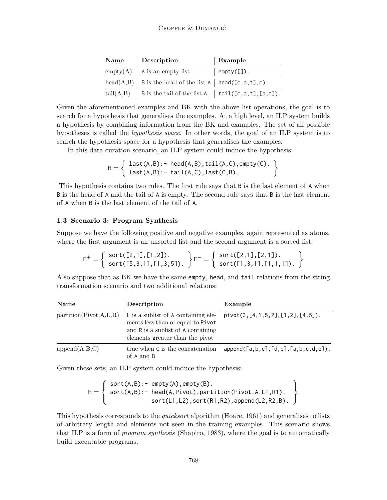| Name Description                                                  | <b>Example</b>     |
|-------------------------------------------------------------------|--------------------|
| $empty(A)$   A is an empty list                                   | $\vert$ empty([]). |
| head(A,B)   B is the head of the list A   head([c,a,t],c).        |                    |
| tail $(A,B)$   B is the tail of the list A   tail([c,a,t],[a,t]). |                    |

Given the aforementioned examples and BK with the above list operations, the goal is to search for a hypothesis that generalises the examples. At a high level, an ILP system builds a hypothesis by combining information from the BK and examples. The set of all possible hypotheses is called the *hypothesis space*. In other words, the goal of an ILP system is to search the hypothesis space for a hypothesis that generalises the examples.

In this data curation scenario, an ILP system could induce the hypothesis:

$$
H = \left\{ \begin{array}{ll} last(A,B):& \texttt{head}(A,B), tail(A,C), empty(C).\\ last(A,B):& \texttt{tail}(A,C), last(C,B). \end{array} \right\}
$$

This hypothesis contains two rules. The first rule says that B is the last element of A when B is the head of A and the tail of A is empty. The second rule says that B is the last element of A when B is the last element of the tail of A.

## 1.3 Scenario 3: Program Synthesis

Suppose we have the following positive and negative examples, again represented as atoms, where the first argument is an unsorted list and the second argument is a sorted list:

$$
E^{+} = \left\{ \begin{array}{c} sort([2,1], [1,2]) \cdot \\ sort([5,3,1], [1,3,5]) \cdot \end{array} \right\} E^{-} = \left\{ \begin{array}{c} sort([2,1], [2,1]) \cdot \\ sort([1,3,1], [1,1,1]) \cdot \end{array} \right\}
$$

Also suppose that as BK we have the same empty, head, and tail relations from the string transformation scenario and two additional relations:

| Name                      | Description                                                                                                                                       | Example                                   |
|---------------------------|---------------------------------------------------------------------------------------------------------------------------------------------------|-------------------------------------------|
| partition(Pivot, A, L, R) | L is a sublist of A containing ele-<br>ments less than or equal to Pivot<br>and R is a sublist of A containing<br>elements greater than the pivot | $pivot(3, [4, 1, 5, 2], [1, 2], [4, 5]).$ |
| append(A,B,C)             | true when C is the concatenation<br>of A and B                                                                                                    | append([a,b,c],[d,e],[a,b,c,d,e]).        |

Given these sets, an ILP system could induce the hypothesis:

$$
H = \left\{ \begin{array}{l} sort(A,B):= empty(A), empty(B). \\ sort(A,B):= head(A,Pivot), partition(Pivot,A,L1,R1), \\ sort(L1,L2), sort(R1,R2), append(L2,R2,B). \end{array} \right\}
$$

This hypothesis corresponds to the *quicksort* algorithm (Hoare, 1961) and generalises to lists of arbitrary length and elements not seen in the training examples. This scenario shows that ILP is a form of *program synthesis* (Shapiro, 1983), where the goal is to automatically build executable programs.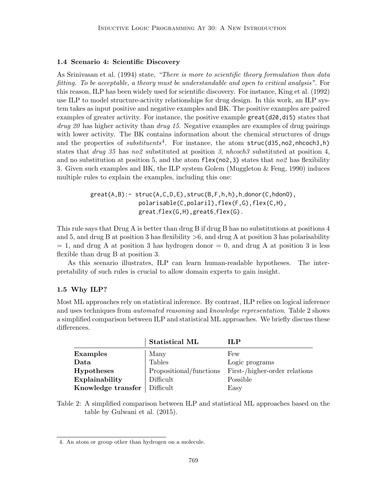### 1.4 Scenario 4: Scientific Discovery

As Srinivasan et al. (1994) state, "There is more to scientific theory formulation than data fitting. To be acceptable, a theory must be understandable and open to critical analysis". For this reason, ILP has been widely used for scientific discovery. For instance, King et al. (1992) use ILP to model structure-activity relationships for drug design. In this work, an ILP system takes as input positive and negative examples and BK. The positive examples are paired examples of greater activity. For instance, the positive example  $\text{great}(d20, d15)$  states that  $drug 20$  has higher activity than  $drug 15$ . Negative examples are examples of drug pairings with lower activity. The BK contains information about the chemical structures of drugs and the properties of *substituents*<sup>4</sup>. For instance, the atom  $struc(d35, no2, nhcoch3, h)$ states that *drug* 35 has no2 substituted at position 3, nhcoch3 substituted at position 4, and no substitution at position 5, and the atom  $\text{flex}(no2,3)$  states that  $no2$  has flexibility 3. Given such examples and BK, the ILP system Golem (Muggleton & Feng, 1990) induces multiple rules to explain the examples, including this one:

> $\text{great}(A,B):$  -  $\text{struc}(A,C,D,E)$ ,  $\text{struc}(B,F,h,h)$ ,  $h$  donor(C,  $hd$ onO), polarisable(C,polaril),flex(F,G),flex(C,H), great\_flex(G,H), great6\_flex(G).

This rule says that Drug A is better than drug B if drug B has no substitutions at positions 4 and 5, and drug B at position 3 has flexibility  $>6$ , and drug A at position 3 has polarisability  $= 1$ , and drug A at position 3 has hydrogen donor  $= 0$ , and drug A at position 3 is less flexible than drug B at position 3.

As this scenario illustrates, ILP can learn human-readable hypotheses. The interpretability of such rules is crucial to allow domain experts to gain insight.

#### 1.5 Why ILP?

Most ML approaches rely on statistical inference. By contrast, ILP relies on logical inference and uses techniques from *automated reasoning* and *knowledge representation*. Table 2 shows a simplified comparison between ILP and statistical ML approaches. We briefly discuss these differences.

|                    | <b>Statistical ML</b>   | ILP                           |
|--------------------|-------------------------|-------------------------------|
| <b>Examples</b>    | Many                    | Few                           |
| Data               | <b>Tables</b>           | Logic programs                |
| <b>Hypotheses</b>  | Propositional/functions | First-/higher-order relations |
| Explainability     | Difficult               | Possible                      |
| Knowledge transfer | Difficult               | Easy                          |

Table 2: A simplified comparison between ILP and statistical ML approaches based on the table by Gulwani et al. (2015).

<sup>4.</sup> An atom or group other than hydrogen on a molecule.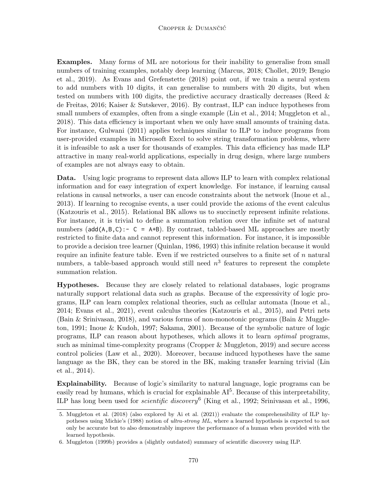Examples. Many forms of ML are notorious for their inability to generalise from small numbers of training examples, notably deep learning (Marcus, 2018; Chollet, 2019; Bengio et al., 2019). As Evans and Grefenstette (2018) point out, if we train a neural system to add numbers with 10 digits, it can generalise to numbers with 20 digits, but when tested on numbers with 100 digits, the predictive accuracy drastically decreases (Reed & de Freitas, 2016; Kaiser & Sutskever, 2016). By contrast, ILP can induce hypotheses from small numbers of examples, often from a single example (Lin et al., 2014; Muggleton et al., 2018). This data efficiency is important when we only have small amounts of training data. For instance, Gulwani (2011) applies techniques similar to ILP to induce programs from user-provided examples in Microsoft Excel to solve string transformation problems, where it is infeasible to ask a user for thousands of examples. This data efficiency has made ILP attractive in many real-world applications, especially in drug design, where large numbers of examples are not always easy to obtain.

Data. Using logic programs to represent data allows ILP to learn with complex relational information and for easy integration of expert knowledge. For instance, if learning causal relations in causal networks, a user can encode constraints about the network (Inoue et al., 2013). If learning to recognise events, a user could provide the axioms of the event calculus (Katzouris et al., 2015). Relational BK allows us to succinctly represent infinite relations. For instance, it is trivial to define a summation relation over the infinite set of natural numbers  $(\text{add}(A,B,C))$ : - C = A+B). By contrast, tabled-based ML approaches are mostly restricted to finite data and cannot represent this information. For instance, it is impossible to provide a decision tree learner (Quinlan, 1986, 1993) this infinite relation because it would require an infinite feature table. Even if we restricted ourselves to a finite set of  $n$  natural numbers, a table-based approach would still need  $n^3$  features to represent the complete summation relation.

Hypotheses. Because they are closely related to relational databases, logic programs naturally support relational data such as graphs. Because of the expressivity of logic programs, ILP can learn complex relational theories, such as cellular automata (Inoue et al., 2014; Evans et al., 2021), event calculus theories (Katzouris et al., 2015), and Petri nets (Bain & Srinivasan, 2018), and various forms of non-monotonic programs (Bain & Muggleton, 1991; Inoue & Kudoh, 1997; Sakama, 2001). Because of the symbolic nature of logic programs, ILP can reason about hypotheses, which allows it to learn optimal programs, such as minimal time-complexity programs (Cropper & Muggleton, 2019) and secure access control policies (Law et al., 2020). Moreover, because induced hypotheses have the same language as the BK, they can be stored in the BK, making transfer learning trivial (Lin et al., 2014).

Explainability. Because of logic's similarity to natural language, logic programs can be easily read by humans, which is crucial for explainable  $AI^5$ . Because of this interpretability, ILP has long been used for *scientific discovery*<sup>6</sup> (King et al., 1992; Srinivasan et al., 1996,

<sup>5.</sup> Muggleton et al. (2018) (also explored by Ai et al. (2021)) evaluate the comprehensibility of ILP hypotheses using Michie's (1988) notion of ultra-strong ML, where a learned hypothesis is expected to not only be accurate but to also demonstrably improve the performance of a human when provided with the learned hypothesis.

<sup>6.</sup> Muggleton (1999b) provides a (slightly outdated) summary of scientific discovery using ILP.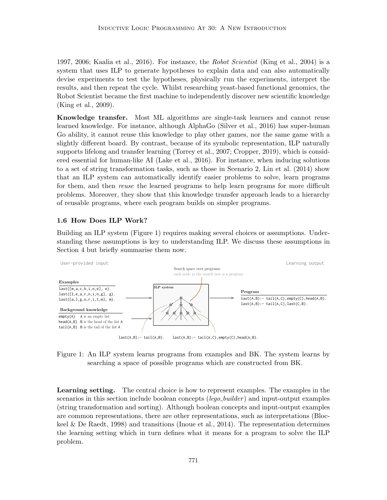1997, 2006; Kaalia et al., 2016). For instance, the Robot Scientist (King et al., 2004) is a system that uses ILP to generate hypotheses to explain data and can also automatically devise experiments to test the hypotheses, physically run the experiments, interpret the results, and then repeat the cycle. Whilst researching yeast-based functional genomics, the Robot Scientist became the first machine to independently discover new scientific knowledge (King et al., 2009).

Knowledge transfer. Most ML algorithms are single-task learners and cannot reuse learned knowledge. For instance, although AlphaGo (Silver et al., 2016) has super-human Go ability, it cannot reuse this knowledge to play other games, nor the same game with a slightly different board. By contrast, because of its symbolic representation, ILP naturally supports lifelong and transfer learning (Torrey et al., 2007; Cropper, 2019), which is considered essential for human-like AI (Lake et al., 2016). For instance, when inducing solutions to a set of string transformation tasks, such as those in Scenario 2, Lin et al. (2014) show that an ILP system can automatically identify easier problems to solve, learn programs for them, and then *reuse* the learned programs to help learn programs for more difficult problems. Moreover, they show that this knowledge transfer approach leads to a hierarchy of reusable programs, where each program builds on simpler programs.

### 1.6 How Does ILP Work?

Building an ILP system (Figure 1) requires making several choices or assumptions. Understanding these assumptions is key to understanding ILP. We discuss these assumptions in Section 4 but briefly summarise them now.



Figure 1: An ILP system learns programs from examples and BK. The system learns by searching a space of possible programs which are constructed from BK.

Learning setting. The central choice is how to represent examples. The examples in the scenarios in this section include boolean concepts  $(lego\_builder)$  and input-output examples (string transformation and sorting). Although boolean concepts and input-output examples are common representations, there are other representations, such as interpretations (Blockeel & De Raedt, 1998) and transitions (Inoue et al., 2014). The representation determines the learning setting which in turn defines what it means for a program to solve the ILP problem.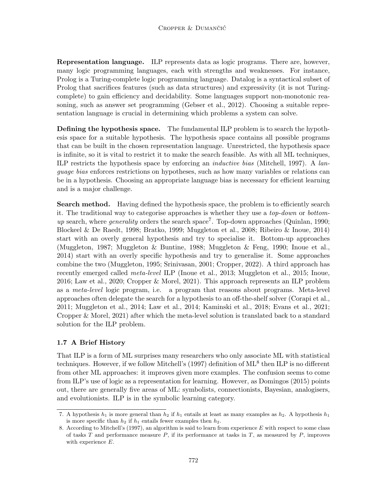Representation language. ILP represents data as logic programs. There are, however, many logic programming languages, each with strengths and weaknesses. For instance, Prolog is a Turing-complete logic programming language. Datalog is a syntactical subset of Prolog that sacrifices features (such as data structures) and expressivity (it is not Turingcomplete) to gain efficiency and decidability. Some languages support non-monotonic reasoning, such as answer set programming (Gebser et al., 2012). Choosing a suitable representation language is crucial in determining which problems a system can solve.

Defining the hypothesis space. The fundamental ILP problem is to search the hypothesis space for a suitable hypothesis. The hypothesis space contains all possible programs that can be built in the chosen representation language. Unrestricted, the hypothesis space is infinite, so it is vital to restrict it to make the search feasible. As with all ML techniques, ILP restricts the hypothesis space by enforcing an inductive bias (Mitchell, 1997). A language bias enforces restrictions on hypotheses, such as how many variables or relations can be in a hypothesis. Choosing an appropriate language bias is necessary for efficient learning and is a major challenge.

**Search method.** Having defined the hypothesis space, the problem is to efficiently search it. The traditional way to categorise approaches is whether they use a top-down or bottomup search, where *generality* orders the search space<sup>7</sup>. Top-down approaches (Quinlan, 1990; Blockeel & De Raedt, 1998; Bratko, 1999; Muggleton et al., 2008; Ribeiro & Inoue, 2014) start with an overly general hypothesis and try to specialise it. Bottom-up approaches (Muggleton, 1987; Muggleton & Buntine, 1988; Muggleton & Feng, 1990; Inoue et al., 2014) start with an overly specific hypothesis and try to generalise it. Some approaches combine the two (Muggleton, 1995; Srinivasan, 2001; Cropper, 2022). A third approach has recently emerged called meta-level ILP (Inoue et al., 2013; Muggleton et al., 2015; Inoue, 2016; Law et al., 2020; Cropper & Morel, 2021). This approach represents an ILP problem as a meta-level logic program, i.e. a program that reasons about programs. Meta-level approaches often delegate the search for a hypothesis to an off-the-shelf solver (Corapi et al., 2011; Muggleton et al., 2014; Law et al., 2014; Kaminski et al., 2018; Evans et al., 2021; Cropper & Morel, 2021) after which the meta-level solution is translated back to a standard solution for the ILP problem.

## 1.7 A Brief History

That ILP is a form of ML surprises many researchers who only associate ML with statistical techniques. However, if we follow Mitchell's (1997) definition of ML<sup>8</sup> then ILP is no different from other ML approaches: it improves given more examples. The confusion seems to come from ILP's use of logic as a representation for learning. However, as Domingos (2015) points out, there are generally five areas of ML: symbolists, connectionists, Bayesian, analogisers, and evolutionists. ILP is in the symbolic learning category.

<sup>7.</sup> A hypothesis  $h_1$  is more general than  $h_2$  if  $h_1$  entails at least as many examples as  $h_2$ . A hypothesis  $h_1$ is more specific than  $h_2$  if  $h_1$  entails fewer examples then  $h_2$ .

<sup>8.</sup> According to Mitchell's (1997), an algorithm is said to learn from experience E with respect to some class of tasks T and performance measure  $P$ , if its performance at tasks in T, as measured by  $P$ , improves with experience E.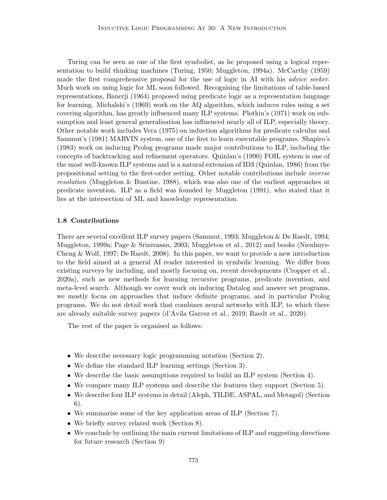Turing can be seen as one of the first symbolist, as he proposed using a logical representation to build thinking machines (Turing, 1950; Muggleton, 1994a). McCarthy (1959) made the first comprehensive proposal for the use of logic in AI with his *advice seeker*. Much work on using logic for ML soon followed. Recognising the limitations of table-based representations, Banerji (1964) proposed using predicate logic as a representation language for learning. Michalski's (1969) work on the AQ algorithm, which induces rules using a set covering algorithm, has greatly influenced many ILP systems. Plotkin's (1971) work on subsumption and least general generalisation has influenced nearly all of ILP, especially theory. Other notable work includes Vera (1975) on induction algorithms for predicate calculus and Sammut's (1981) MARVIN system, one of the first to learn executable programs. Shapiro's (1983) work on inducing Prolog programs made major contributions to ILP, including the concepts of backtracking and refinement operators. Quinlan's (1990) FOIL system is one of the most well-known ILP systems and is a natural extension of ID3 (Quinlan, 1986) from the propositional setting to the first-order setting. Other notable contributions include inverse resolution (Muggleton & Buntine, 1988), which was also one of the earliest approaches at predicate invention. ILP as a field was founded by Muggleton (1991), who stated that it lies at the intersection of ML and knowledge representation.

#### 1.8 Contributions

There are several excellent ILP survey papers (Sammut, 1993; Muggleton & De Raedt, 1994; Muggleton, 1999a; Page & Srinivasan, 2003; Muggleton et al., 2012) and books (Nienhuys-Cheng & Wolf, 1997; De Raedt, 2008). In this paper, we want to provide a new introduction to the field aimed at a general AI reader interested in symbolic learning. We differ from existing surveys by including, and mostly focusing on, recent developments (Cropper et al., 2020a), such as new methods for learning recursive programs, predicate invention, and meta-level search. Although we cover work on inducing Datalog and answer set programs, we mostly focus on approaches that induce definite programs, and in particular Prolog programs. We do not detail work that combines neural networks with ILP, to which there are already suitable survey papers (d'Avila Garcez et al., 2019; Raedt et al., 2020).

The rest of the paper is organised as follows:

- We describe necessary logic programming notation (Section 2).
- We define the standard ILP learning settings (Section 3).
- We describe the basic assumptions required to build an ILP system (Section 4).
- We compare many ILP systems and describe the features they support (Section 5).
- We describe four ILP systems in detail (Aleph, TILDE, ASPAL, and Metagol) (Section 6).
- We summarise some of the key application areas of ILP (Section 7).
- We briefly survey related work (Section 8).
- We conclude by outlining the main current limitations of ILP and suggesting directions for future research (Section 9)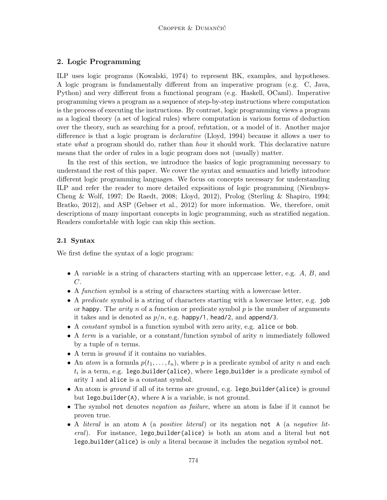## 2. Logic Programming

ILP uses logic programs (Kowalski, 1974) to represent BK, examples, and hypotheses. A logic program is fundamentally different from an imperative program (e.g. C, Java, Python) and very different from a functional program (e.g. Haskell, OCaml). Imperative programming views a program as a sequence of step-by-step instructions where computation is the process of executing the instructions. By contrast, logic programming views a program as a logical theory (a set of logical rules) where computation is various forms of deduction over the theory, such as searching for a proof, refutation, or a model of it. Another major difference is that a logic program is declarative (Lloyd, 1994) because it allows a user to state what a program should do, rather than how it should work. This declarative nature means that the order of rules in a logic program does not (usually) matter.

In the rest of this section, we introduce the basics of logic programming necessary to understand the rest of this paper. We cover the syntax and semantics and briefly introduce different logic programming languages. We focus on concepts necessary for understanding ILP and refer the reader to more detailed expositions of logic programming (Nienhuys-Cheng & Wolf, 1997; De Raedt, 2008; Lloyd, 2012), Prolog (Sterling & Shapiro, 1994; Bratko, 2012), and ASP (Gebser et al., 2012) for more information. We, therefore, omit descriptions of many important concepts in logic programming, such as stratified negation. Readers comfortable with logic can skip this section.

## 2.1 Syntax

We first define the syntax of a logic program:

- A variable is a string of characters starting with an uppercase letter, e.g. A, B, and C.
- A function symbol is a string of characters starting with a lowercase letter.
- A predicate symbol is a string of characters starting with a lowercase letter, e.g. job or happy. The *arity*  $n$  of a function or predicate symbol  $p$  is the number of arguments it takes and is denoted as  $p/n$ , e.g. happy/1, head/2, and append/3.
- A constant symbol is a function symbol with zero arity, e.g. alice or bob.
- A term is a variable, or a constant/function symbol of arity  $n$  immediately followed by a tuple of  $n$  terms.
- A term is ground if it contains no variables.
- An *atom* is a formula  $p(t_1, \ldots, t_n)$ , where p is a predicate symbol of arity n and each  $t_i$  is a term, e.g. lego\_builder(alice), where lego\_builder is a predicate symbol of arity 1 and alice is a constant symbol.
- An atom is *ground* if all of its terms are ground, e.g. lego\_builder(alice) is ground but lego builder(A), where A is a variable, is not ground.
- The symbol not denotes *negation as failure*, where an atom is false if it cannot be proven true.
- A literal is an atom A (a *positive literal*) or its negation not A (a *negative lit*eral). For instance, lego\_builder(alice) is both an atom and a literal but not lego builder(alice) is only a literal because it includes the negation symbol not.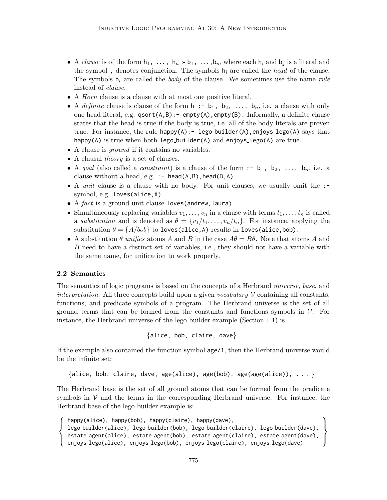- A clause is of the form  $h_1, \ldots, h_n : b_1, \ldots, b_m$  where each  $h_i$  and  $b_j$  is a literal and the symbol, denotes conjunction. The symbols  $h_i$  are called the head of the clause. The symbols  $b_i$  are called the *body* of the clause. We sometimes use the name *rule* instead of clause.
- A Horn clause is a clause with at most one positive literal.
- A definite clause is clause of the form  $h : -b_1, b_2, \ldots, b_n$ , i.e. a clause with only one head literal, e.g.  $qsort(A,B)$ :- empty(A), empty(B). Informally, a definite clause states that the head is true if the body is true, i.e. all of the body literals are proven true. For instance, the rule happy $(A)$ : - lego builder $(A)$ , enjoys lego $(A)$  says that happy(A) is true when both lego\_builder(A) and enjoys\_lego(A) are true.
- A clause is *ground* if it contains no variables.
- A clausal *theory* is a set of clauses.
- A goal (also called a *constraint*) is a clause of the form :-  $b_1$ ,  $b_2$ , ...,  $b_n$ , i.e. a clause without a head, e.g. : - head( $A, B$ ), head( $B, A$ ).
- A *unit* clause is a clause with no body. For unit clauses, we usually omit the :symbol, e.g. loves(alice,X).
- A  $fact$  is a ground unit clause loves (andrew, laura).
- Simultaneously replacing variables  $v_1, \ldots, v_n$  in a clause with terms  $t_1, \ldots, t_n$  is called a substitution and is denoted as  $\theta = \{v_1/t_1, \ldots, v_n/t_n\}$ . For instance, applying the substitution  $\theta = \{A/bob\}$  to loves(alice,A) results in loves(alice,bob).
- A substitution  $\theta$  unifies atoms A and B in the case  $A\theta = B\theta$ . Note that atoms A and B need to have a distinct set of variables, i.e., they should not have a variable with the same name, for unification to work properly.

### 2.2 Semantics

 $\sqrt{ }$  $\int$ 

 $\overline{\mathcal{L}}$ 

The semantics of logic programs is based on the concepts of a Herbrand universe, base, and interpretation. All three concepts build upon a given vocabulary  $\mathcal V$  containing all constants, functions, and predicate symbols of a program. The Herbrand universe is the set of all ground terms that can be formed from the constants and functions symbols in  $\mathcal V$ . For instance, the Herbrand universe of the lego builder example (Section 1.1) is

```
{alice, bob, claire, dave}
```
If the example also contained the function symbol age/1, then the Herbrand universe would be the infinite set:

```
{alice, bob, claire, dave, age(alice), age(bob), age(age(alice)), \dots }
```
The Herbrand base is the set of all ground atoms that can be formed from the predicate symbols in  $V$  and the terms in the corresponding Herbrand universe. For instance, the Herbrand base of the lego builder example is:

```
happy(alice), happy(bob), happy(claire), happy(dave),
lego builder(alice), lego builder(bob), lego builder(claire), lego builder(dave),
estate agent(alice), estate agent(bob), estate agent(claire), estate agent(dave),
enjoys lego(alice), enjoys lego(bob), enjoys lego(claire), enjoys lego(dave)
                                                                                           \mathcal{L}\overline{\mathcal{L}}\int
```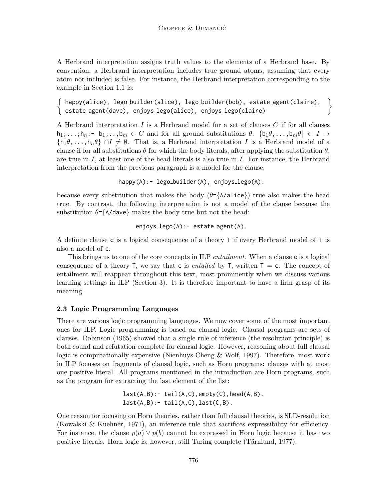A Herbrand interpretation assigns truth values to the elements of a Herbrand base. By convention, a Herbrand interpretation includes true ground atoms, assuming that every atom not included is false. For instance, the Herbrand interpretation corresponding to the example in Section 1.1 is:

happy(alice), lego builder(alice), lego builder(bob), estate agent(claire), estate agent(dave), enjoys lego(alice), enjoys lego(claire)

A Herbrand interpretation  $I$  is a Herbrand model for a set of clauses  $C$  if for all clauses  $h_1;\ldots;h_n:-b_1,\ldots,b_m\in C$  and for all ground substitutions  $\theta\colon\{b_1\theta,\ldots,b_m\theta\}\subset I\to I$  $\{h_1\theta,\ldots,h_n\theta\} \cap I \neq \emptyset$ . That is, a Herbrand interpretation I is a Herbrand model of a clause if for all substitutions  $\theta$  for which the body literals, after applying the substitution  $\theta$ , are true in  $I$ , at least one of the head literals is also true in  $I$ . For instance, the Herbrand interpretation from the previous paragraph is a model for the clause:

happy(A):- lego\_builder(A), enjoys\_lego(A).

because every substitution that makes the body  $(\theta = \{A/\text{alice}\})$  true also makes the head true. By contrast, the following interpretation is not a model of the clause because the substitution  $\theta = \{A/\text{dave}\}\$  makes the body true but not the head:

enjoys lego(A):- estate agent(A).

A definite clause c is a logical consequence of a theory T if every Herbrand model of T is also a model of c.

This brings us to one of the core concepts in ILP *entailment*. When a clause c is a logical consequence of a theory T, we say that c is *entailed* by T, written  $T \models c$ . The concept of entailment will reappear throughout this text, most prominently when we discuss various learning settings in ILP (Section 3). It is therefore important to have a firm grasp of its meaning.

## 2.3 Logic Programming Languages

There are various logic programming languages. We now cover some of the most important ones for ILP. Logic programming is based on clausal logic. Clausal programs are sets of clauses. Robinson (1965) showed that a single rule of inference (the resolution principle) is both sound and refutation complete for clausal logic. However, reasoning about full clausal logic is computationally expensive (Nienhuys-Cheng & Wolf, 1997). Therefore, most work in ILP focuses on fragments of clausal logic, such as Horn programs: clauses with at most one positive literal. All programs mentioned in the introduction are Horn programs, such as the program for extracting the last element of the list:

```
last(A,B): tail(A,C), empty(C), head(A,B).
last(A,B):- tail(A,C), last(C,B).
```
One reason for focusing on Horn theories, rather than full clausal theories, is SLD-resolution (Kowalski & Kuehner, 1971), an inference rule that sacrifices expressibility for efficiency. For instance, the clause  $p(a) \vee p(b)$  cannot be expressed in Horn logic because it has two positive literals. Horn logic is, however, still Turing complete (Tärnlund, 1977).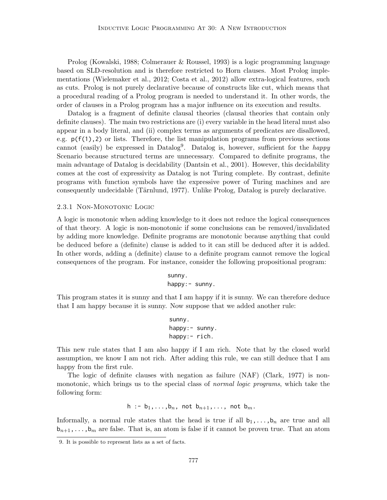Prolog (Kowalski, 1988; Colmerauer & Roussel, 1993) is a logic programming language based on SLD-resolution and is therefore restricted to Horn clauses. Most Prolog implementations (Wielemaker et al., 2012; Costa et al., 2012) allow extra-logical features, such as cuts. Prolog is not purely declarative because of constructs like cut, which means that a procedural reading of a Prolog program is needed to understand it. In other words, the order of clauses in a Prolog program has a major influence on its execution and results.

Datalog is a fragment of definite clausal theories (clausal theories that contain only definite clauses). The main two restrictions are (i) every variable in the head literal must also appear in a body literal, and (ii) complex terms as arguments of predicates are disallowed, e.g.  $p(f(1), 2)$  or lists. Therefore, the list manipulation programs from previous sections cannot (easily) be expressed in Datalog<sup>9</sup>. Datalog is, however, sufficient for the *happy* Scenario because structured terms are unnecessary. Compared to definite programs, the main advantage of Datalog is decidability (Dantsin et al., 2001). However, this decidability comes at the cost of expressivity as Datalog is not Turing complete. By contrast, definite programs with function symbols have the expressive power of Turing machines and are consequently undecidable (Tärnlund, 1977). Unlike Prolog, Datalog is purely declarative.

2.3.1 NON-MONOTONIC LOGIC

A logic is monotonic when adding knowledge to it does not reduce the logical consequences of that theory. A logic is non-monotonic if some conclusions can be removed/invalidated by adding more knowledge. Definite programs are monotonic because anything that could be deduced before a (definite) clause is added to it can still be deduced after it is added. In other words, adding a (definite) clause to a definite program cannot remove the logical consequences of the program. For instance, consider the following propositional program:

> sunny. happy:- sunny.

This program states it is sunny and that I am happy if it is sunny. We can therefore deduce that I am happy because it is sunny. Now suppose that we added another rule:

> sunny. happy: - sunny. happy:- rich.

This new rule states that I am also happy if I am rich. Note that by the closed world assumption, we know I am not rich. After adding this rule, we can still deduce that I am happy from the first rule.

The logic of definite clauses with negation as failure (NAF) (Clark, 1977) is nonmonotonic, which brings us to the special class of *normal logic programs*, which take the following form:

h :-  $b_1,\ldots,b_n$ , not  $b_{n+1},\ldots$ , not  $b_m$ .

Informally, a normal rule states that the head is true if all  $b_1,\ldots,b_n$  are true and all  $b_{n+1},\ldots,b_m$  are false. That is, an atom is false if it cannot be proven true. That an atom

<sup>9.</sup> It is possible to represent lists as a set of facts.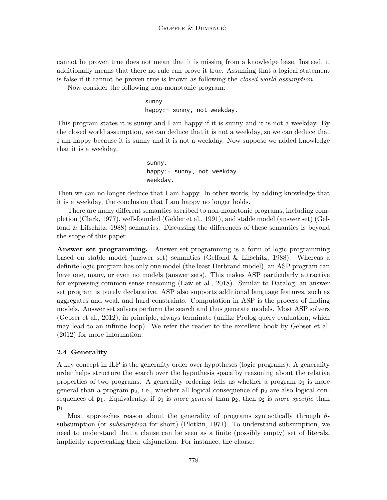cannot be proven true does not mean that it is missing from a knowledge base. Instead, it additionally means that there no rule can prove it true. Assuming that a logical statement is false if it cannot be proven true is known as following the closed world assumption.

Now consider the following non-monotonic program:

sunny. happy:- sunny, not weekday.

This program states it is sunny and I am happy if it is sunny and it is not a weekday. By the closed world assumption, we can deduce that it is not a weekday, so we can deduce that I am happy because it is sunny and it is not a weekday. Now suppose we added knowledge that it is a weekday.

> sunny. happy:- sunny, not weekday. weekday.

Then we can no longer deduce that I am happy. In other words, by adding knowledge that it is a weekday, the conclusion that I am happy no longer holds.

There are many different semantics ascribed to non-monotonic programs, including completion (Clark, 1977), well-founded (Gelder et al., 1991), and stable model (answer set) (Gelfond & Lifschitz, 1988) semantics. Discussing the differences of these semantics is beyond the scope of this paper.

Answer set programming. Answer set programming is a form of logic programming based on stable model (answer set) semantics (Gelfond & Lifschitz, 1988). Whereas a definite logic program has only one model (the least Herbrand model), an ASP program can have one, many, or even no models (answer sets). This makes ASP particularly attractive for expressing common-sense reasoning (Law et al., 2018). Similar to Datalog, an answer set program is purely declarative. ASP also supports additional language features, such as aggregates and weak and hard constraints. Computation in ASP is the process of finding models. Answer set solvers perform the search and thus generate models. Most ASP solvers (Gebser et al., 2012), in principle, always terminate (unlike Prolog query evaluation, which may lead to an infinite loop). We refer the reader to the excellent book by Gebser et al. (2012) for more information.

## 2.4 Generality

A key concept in ILP is the generality order over hypotheses (logic programs). A generality order helps structure the search over the hypothesis space by reasoning about the relative properties of two programs. A generality ordering tells us whether a program  $p_1$  is more general than a program  $p_2$ , i.e., whether all logical consequence of  $p_2$  are also logical consequences of  $p_1$ . Equivalently, if  $p_1$  is more general than  $p_2$ , then  $p_2$  is more specific than  $p_1$ .

Most approaches reason about the generality of programs syntactically through  $\theta$ subsumption (or subsumption for short) (Plotkin, 1971). To understand subsumption, we need to understand that a clause can be seen as a finite (possibly empty) set of literals, implicitly representing their disjunction. For instance, the clause: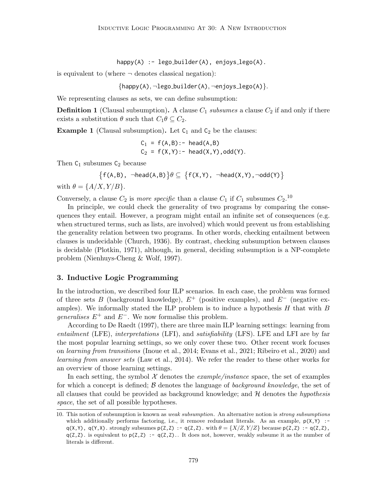happy(A) :- lego\_builder(A), enjoys\_lego(A).

is equivalent to (where  $\neg$  denotes classical negation):

 $\{h$ appy(A),  $\neg$ lego builder(A),  $\neg$ enjoys lego(A) $\}$ .

We representing clauses as sets, we can define subsumption:

**Definition 1** (Clausal subsumption). A clause  $C_1$  subsumes a clause  $C_2$  if and only if there exists a substitution  $\theta$  such that  $C_1 \theta \subseteq C_2$ .

**Example 1** (Clausal subsumption). Let  $C_1$  and  $C_2$  be the clauses:

$$
C_1 = f(A,B):
$$
 - head(A,B)  
 $C_2 = f(X,Y):$  - head(X,Y),odd(Y).

Then  $C_1$  subsumes  $C_2$  because

 $\{f(A,B), \neg head(A,B)\} \theta \subseteq \{f(X,Y), \neg head(X,Y), \neg odd(Y)\}$ 

with  $\theta = \{A/X, Y/B\}.$ 

Conversely, a clause  $C_2$  is *more specific* than a clause  $C_1$  if  $C_1$  subsumes  $C_2$ .<sup>10</sup>

In principle, we could check the generality of two programs by comparing the consequences they entail. However, a program might entail an infinite set of consequences (e.g. when structured terms, such as lists, are involved) which would prevent us from establishing the generality relation between two programs. In other words, checking entailment between clauses is undecidable (Church, 1936). By contrast, checking subsumption between clauses is decidable (Plotkin, 1971), although, in general, deciding subsumption is a NP-complete problem (Nienhuys-Cheng & Wolf, 1997).

### 3. Inductive Logic Programming

In the introduction, we described four ILP scenarios. In each case, the problem was formed of three sets B (background knowledge),  $E^+$  (positive examples), and  $E^-$  (negative examples). We informally stated the ILP problem is to induce a hypothesis  $H$  that with  $B$ *generalises*  $E^+$  and  $E^-$ . We now formalise this problem.

According to De Raedt (1997), there are three main ILP learning settings: learning from entailment (LFE), interpretations (LFI), and satisfiability (LFS). LFE and LFI are by far the most popular learning settings, so we only cover these two. Other recent work focuses on learning from transitions (Inoue et al., 2014; Evans et al., 2021; Ribeiro et al., 2020) and learning from answer sets (Law et al., 2014). We refer the reader to these other works for an overview of those learning settings.

In each setting, the symbol  $\mathcal X$  denotes the *example/instance* space, the set of examples for which a concept is defined;  $\beta$  denotes the language of *background knowledge*, the set of all clauses that could be provided as background knowledge; and  $H$  denotes the *hypothesis* space, the set of all possible hypotheses.

<sup>10.</sup> This notion of subsumption is known as *weak subsumption*. An alternative notion is *strong subsumptions* which additionally performs factoring, i.e., it remove redundant literals. As an example,  $p(X, Y)$  : $q(X,Y)$ ,  $q(Y,X)$ . strongly subsumes  $p(Z,Z)$ :  $-q(Z,Z)$ . with  $\theta = \{X/Z, Y/Z\}$  because  $p(Z,Z)$ :  $-q(Z,Z)$ ,  $q(Z, Z)$ . is equivalent to  $p(Z, Z)$  :  $-q(Z, Z)$ . It does not, however, weakly subsume it as the number of literals is different.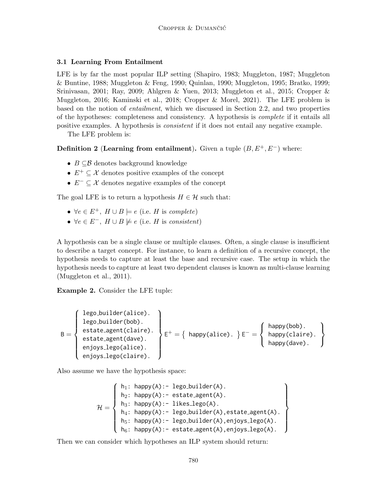## 3.1 Learning From Entailment

LFE is by far the most popular ILP setting (Shapiro, 1983; Muggleton, 1987; Muggleton & Buntine, 1988; Muggleton & Feng, 1990; Quinlan, 1990; Muggleton, 1995; Bratko, 1999; Srinivasan, 2001; Ray, 2009; Ahlgren & Yuen, 2013; Muggleton et al., 2015; Cropper & Muggleton, 2016; Kaminski et al., 2018; Cropper & Morel, 2021). The LFE problem is based on the notion of entailment, which we discussed in Section 2.2, and two properties of the hypotheses: completeness and consistency. A hypothesis is complete if it entails all positive examples. A hypothesis is consistent if it does not entail any negative example.

The LFE problem is:

Definition 2 (Learning from entailment). Given a tuple  $(B, E<sup>+</sup>, E<sup>-</sup>)$  where:

- $B \subseteq \mathcal{B}$  denotes background knowledge
- $E^+ \subseteq \mathcal{X}$  denotes positive examples of the concept
- $E^- \subseteq \mathcal{X}$  denotes negative examples of the concept

The goal LFE is to return a hypothesis  $H \in \mathcal{H}$  such that:

- $\forall e \in E^+, H \cup B \models e$  (i.e. H is complete)
- $\forall e \in E^-$ ,  $H \cup B \not\models e$  (i.e. H is consistent)

A hypothesis can be a single clause or multiple clauses. Often, a single clause is insufficient to describe a target concept. For instance, to learn a definition of a recursive concept, the hypothesis needs to capture at least the base and recursive case. The setup in which the hypothesis needs to capture at least two dependent clauses is known as multi-clause learning (Muggleton et al., 2011).

Example 2. Consider the LFE tuple:

$$
B = \left\{\begin{array}{l} \text{lego_buider(alice).} \\ \text{lego_buider(bob).} \\ \text{estate-agent(alire).} \\ \text{enjoys.lego(alice).} \\ \text{enjoys.lego(claire).} \end{array}\right\} \\ E^+ = \left\{\begin{array}{l} \text{happy(alice).} \\ \text{happy(alice).} \end{array}\right\} \\ E^- = \left\{\begin{array}{l} \text{happy(bob).} \\ \text{happy(alire).} \\ \text{happy(dave).} \end{array}\right\}
$$

Also assume we have the hypothesis space:

$$
\mathcal{H} = \left\{ \begin{array}{ll} h_1 \colon \text{ happy(A)} \colon \text{- lego_builder(A)} . \\ h_2 \colon \text{ happy(A)} \colon \text{- estate-agent(A)} . \\ h_3 \colon \text{ happy(A)} \colon \text{- likes\_lego(A)} . \\ h_4 \colon \text{ happy(A)} \colon \text{- lego_builder(A), estate-agent(A)} . \\ h_5 \colon \text{ happy(A)} \colon \text{- lego_builder(A), enjoys\_lego(A)} . \\ h_6 \colon \text{ happy(A)} \colon \text{- estate-agent(A), enjoys\_lego(A)} . \end{array} \right\}
$$

Then we can consider which hypotheses an ILP system should return: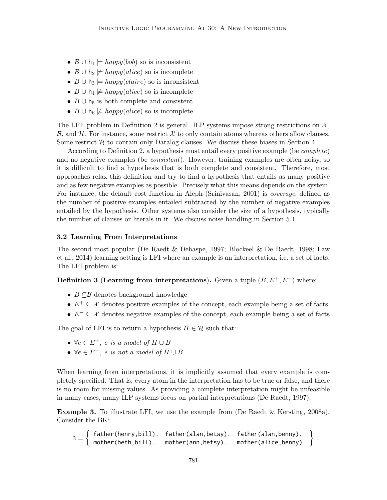- $B \cup h_1 \models happy(bob)$  so is inconsistent
- $B \cup h_2 \not\models \text{happy}(alice)$  so is incomplete
- $B \cup h_3 \models happy(alaire)$  so is inconsistent
- $B \cup h_4 \not\models \text{happy}(alice)$  so is incomplete
- $B \cup h_5$  is both complete and consistent
- $B \cup h_6 \not\models \text{happy}(\text{alice})$  so is incomplete

The LFE problem in Definition 2 is general. ILP systems impose strong restrictions on  $\mathcal{X},$  $\mathcal{B}$ , and  $\mathcal{H}$ . For instance, some restrict  $\mathcal{X}$  to only contain atoms whereas others allow clauses. Some restrict  $H$  to contain only Datalog clauses. We discuss these biases in Section 4.

According to Definition 2, a hypothesis must entail every positive example (be complete) and no negative examples (be *consistent*). However, training examples are often noisy, so it is difficult to find a hypothesis that is both complete and consistent. Therefore, most approaches relax this definition and try to find a hypothesis that entails as many positive and as few negative examples as possible. Precisely what this means depends on the system. For instance, the default cost function in Aleph (Srinivasan, 2001) is coverage, defined as the number of positive examples entailed subtracted by the number of negative examples entailed by the hypothesis. Other systems also consider the size of a hypothesis, typically the number of clauses or literals in it. We discuss noise handling in Section 5.1.

## 3.2 Learning From Interpretations

The second most popular (De Raedt & Dehaspe, 1997; Blockeel & De Raedt, 1998; Law et al., 2014) learning setting is LFI where an example is an interpretation, i.e. a set of facts. The LFI problem is:

**Definition 3 (Learning from interpretations).** Given a tuple  $(B, E^+, E^-)$  where:

- $B \subseteq \mathcal{B}$  denotes background knowledge
- $E^+ \subseteq \mathcal{X}$  denotes positive examples of the concept, each example being a set of facts
- $E^- \subseteq \mathcal{X}$  denotes negative examples of the concept, each example being a set of facts

The goal of LFI is to return a hypothesis  $H \in \mathcal{H}$  such that:

- $\forall e \in E^+, e \text{ is a model of } H \cup B$
- $\forall e \in E^-$ , e is not a model of  $H \cup B$

When learning from interpretations, it is implicitly assumed that every example is completely specified. That is, every atom in the interpretation has to be true or false, and there is no room for missing values. As providing a complete interpretation might be unfeasible in many cases, many ILP systems focus on partial interpretations (De Raedt, 1997).

Example 3. To illustrate LFI, we use the example from (De Raedt & Kersting, 2008a). Consider the BK:

$$
B = \left\{ \begin{array}{ll} \text{father(henry, bill).} & \text{father(alan, betsy).} & \text{father(alan, benny).} \\ \text{mother(beth, bill).} & \text{mother(ann, betsy).} & \text{mother(alice, benny).} \end{array} \right\}
$$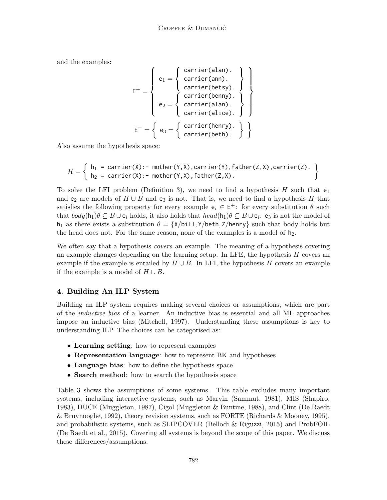and the examples:

$$
E^{+} = \left\{ \begin{array}{c} e_{1} = \left\{ \begin{array}{c} carrier(alan). \\ carrier(ann). \\ carrier(betsy). \end{array} \right\} \\ e_{2} = \left\{ \begin{array}{c} carrier(bensy). \\ carrier(alan). \\ carrier(alice). \end{array} \right\} \right\} \\ E^{-} = \left\{ e_{3} = \left\{ \begin{array}{c} carrier(henry). \\ carrier(bents). \end{array} \right\} \right\} \end{array}
$$

Also assume the hypothesis space:

$$
\mathcal{H} = \left\{ \begin{array}{ll} h_1 = \text{carrier}(X) : - \text{ mother}(Y, X), \text{carrier}(Y), \text{father}(Z, X), \text{carrier}(Z). \\ h_2 = \text{carrier}(X) : - \text{mother}(Y, X), \text{father}(Z, X). \end{array} \right\}
$$

To solve the LFI problem (Definition 3), we need to find a hypothesis H such that  $e_1$ and e<sub>2</sub> are models of  $H \cup B$  and e<sub>3</sub> is not. That is, we need to find a hypothesis H that satisfies the following property for every example  $e_i \in E^+$ : for every substitution  $\theta$  such that  $body(h_1)\theta \subseteq B\cup e_i$  holds, it also holds that  $head(h_1)\theta \subseteq B\cup e_i$ .  $e_3$  is not the model of h<sub>1</sub> as there exists a substitution  $\theta = \{X/b11, Y/beth, Z/henry\}$  such that body holds but the head does not. For the same reason, none of the examples is a model of  $h_2$ .

We often say that a hypothesis *covers* an example. The meaning of a hypothesis covering an example changes depending on the learning setup. In LFE, the hypothesis  $H$  covers an example if the example is entailed by  $H \cup B$ . In LFI, the hypothesis H covers an example if the example is a model of  $H \cup B$ .

# 4. Building An ILP System

Building an ILP system requires making several choices or assumptions, which are part of the inductive bias of a learner. An inductive bias is essential and all ML approaches impose an inductive bias (Mitchell, 1997). Understanding these assumptions is key to understanding ILP. The choices can be categorised as:

- Learning setting: how to represent examples
- Representation language: how to represent BK and hypotheses
- Language bias: how to define the hypothesis space
- Search method: how to search the hypothesis space

Table 3 shows the assumptions of some systems. This table excludes many important systems, including interactive systems, such as Marvin (Sammut, 1981), MIS (Shapiro, 1983), DUCE (Muggleton, 1987), Cigol (Muggleton & Buntine, 1988), and Clint (De Raedt & Bruynooghe, 1992), theory revision systems, such as FORTE (Richards & Mooney, 1995), and probabilistic systems, such as SLIPCOVER (Bellodi & Riguzzi, 2015) and ProbFOIL (De Raedt et al., 2015). Covering all systems is beyond the scope of this paper. We discuss these differences/assumptions.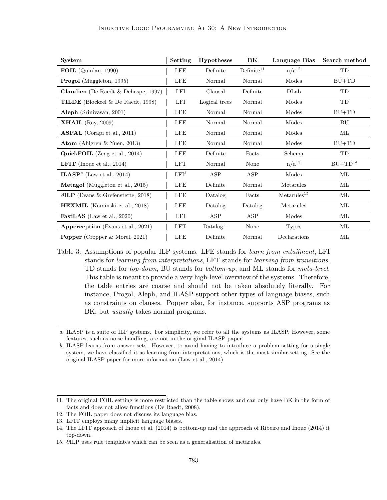| <b>System</b>                                             | Setting    | <b>Hypotheses</b>                    | BK                   | Language Bias           | Search method |
|-----------------------------------------------------------|------------|--------------------------------------|----------------------|-------------------------|---------------|
| FOIL (Quinlan, 1990)                                      | LFE        | Definite                             | Define <sup>11</sup> | $n/a^{12}$              | TD            |
| <b>Progol</b> (Muggleton, 1995)                           | LFE        | Normal                               | Normal               | Modes                   | $BU+TD$       |
| <b>Claudien</b> (De Raedt $\&$ Dehaspe, 1997)             | LFI        | Clausal                              | Definite             | DLab                    | TD            |
| TILDE (Blockeel & De Raedt, 1998)                         | <b>LFI</b> | Logical trees                        | Normal               | Modes                   | TD            |
| Aleph (Srinivasan, 2001)                                  | LFE        | Normal                               | Normal               | Modes                   | $BU+TD$       |
| <b>XHAIL</b> (Ray, 2009)                                  | LFE        | Normal                               | Normal               | Modes                   | BU            |
| <b>ASPAL</b> (Corapi et al., 2011)                        | <b>LFE</b> | Normal                               | Normal               | Modes                   | МL            |
| Atom (Ahlgren & Yuen, 2013)                               | <b>LFE</b> | Normal                               | Normal               | Modes                   | $BU+TD$       |
| QuickFOIL (Zeng et al., 2014)                             | <b>LFE</b> | Definite                             | Facts                | Schema                  | TD            |
| <b>LFIT</b> (Inoue et al., 2014)                          | LFT        | Normal                               | None                 | $n/a^{13}$              | $BU+TD14$     |
| <b>ILASP</b> <sup><math>a</math></sup> (Law et al., 2014) | $LFI^b$    | ASP                                  | ASP                  | Modes                   | МL            |
| <b>Metagol</b> (Muggleton et al., 2015)                   | LFE        | Definite                             | Normal               | Metarules               | МL            |
| $\partial$ ILP (Evans & Grefenstette, 2018)               | LFE        | Datalog                              | Facts                | Metarules <sup>15</sup> | МL            |
| HEXMIL (Kaminski et al., 2018)                            | <b>LFE</b> | Datalog                              | Datalog              | Metarules               | ML            |
| <b>FastLAS</b> (Law et al., 2020)                         | LFI        | ASP                                  | ASP                  | Modes                   | МL            |
| Apperception (Evans et al., 2021)                         | <b>LFT</b> | Datalog <sup><math>\geq</math></sup> | None                 | <b>Types</b>            | МL            |
| <b>Popper</b> (Cropper & Morel, 2021)                     | <b>LFE</b> | Definite                             | Normal               | Declarations            | МL            |

Table 3: Assumptions of popular ILP systems. LFE stands for *learn from entailment*, LFI stands for learning from interpretations, LFT stands for learning from transitions. TD stands for top-down, BU stands for bottom-up, and ML stands for meta-level. This table is meant to provide a very high-level overview of the systems. Therefore, the table entries are coarse and should not be taken absolutely literally. For instance, Progol, Aleph, and ILASP support other types of language biases, such as constraints on clauses. Popper also, for instance, supports ASP programs as BK, but *usually* takes normal programs.

a. ILASP is a suite of ILP systems. For simplicity, we refer to all the systems as ILASP. However, some features, such as noise handling, are not in the original ILASP paper.

b. ILASP learns from answer sets. However, to avoid having to introduce a problem setting for a single system, we have classified it as learning from interpretations, which is the most similar setting. See the original ILASP paper for more information (Law et al., 2014).

<sup>11.</sup> The original FOIL setting is more restricted than the table shows and can only have BK in the form of facts and does not allow functions (De Raedt, 2008).

<sup>12.</sup> The FOIL paper does not discuss its language bias.

<sup>13.</sup> LFIT employs many implicit language biases.

<sup>14.</sup> The LFIT approach of Inoue et al. (2014) is bottom-up and the approach of Ribeiro and Inoue (2014) it top-down.

<sup>15.</sup> ∂ILP uses rule templates which can be seen as a generalisation of metarules.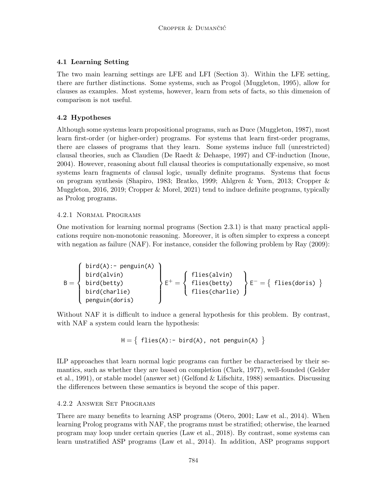## 4.1 Learning Setting

The two main learning settings are LFE and LFI (Section 3). Within the LFE setting, there are further distinctions. Some systems, such as Progol (Muggleton, 1995), allow for clauses as examples. Most systems, however, learn from sets of facts, so this dimension of comparison is not useful.

## 4.2 Hypotheses

Although some systems learn propositional programs, such as Duce (Muggleton, 1987), most learn first-order (or higher-order) programs. For systems that learn first-order programs, there are classes of programs that they learn. Some systems induce full (unrestricted) clausal theories, such as Claudien (De Raedt & Dehaspe, 1997) and CF-induction (Inoue, 2004). However, reasoning about full clausal theories is computationally expensive, so most systems learn fragments of clausal logic, usually definite programs. Systems that focus on program synthesis (Shapiro, 1983; Bratko, 1999; Ahlgren & Yuen, 2013; Cropper & Muggleton, 2016, 2019; Cropper & Morel, 2021) tend to induce definite programs, typically as Prolog programs.

## 4.2.1 Normal Programs

One motivation for learning normal programs (Section 2.3.1) is that many practical applications require non-monotonic reasoning. Moreover, it is often simpler to express a concept with negation as failure (NAF). For instance, consider the following problem by Ray (2009):

$$
B = \left\{\begin{array}{l}\text{bird}(A): - \text{ penguin}(A) \\ \text{bird}(alvin) \\ \text{bird}(betty) \\ \text{bird}(charlie) \\ \text{ penguin}(doris) \end{array}\right\} E^+ = \left\{\begin{array}{l}\text{flies}(alvin) \\ \text{flies}(betty) \\ \text{flies}(charlie) \end{array}\right\} E^- = \left\{\begin{array}{l}\text{flies}(doris) \\ \text{flies}(charlie) \end{array}\right\}
$$

Without NAF it is difficult to induce a general hypothesis for this problem. By contrast, with NAF a system could learn the hypothesis:

$$
H = \{ files(A) :- bird(A), not penguin(A) \}
$$

ILP approaches that learn normal logic programs can further be characterised by their semantics, such as whether they are based on completion (Clark, 1977), well-founded (Gelder et al., 1991), or stable model (answer set) (Gelfond & Lifschitz, 1988) semantics. Discussing the differences between these semantics is beyond the scope of this paper.

## 4.2.2 Answer Set Programs

There are many benefits to learning ASP programs (Otero, 2001; Law et al., 2014). When learning Prolog programs with NAF, the programs must be stratified; otherwise, the learned program may loop under certain queries (Law et al., 2018). By contrast, some systems can learn unstratified ASP programs (Law et al., 2014). In addition, ASP programs support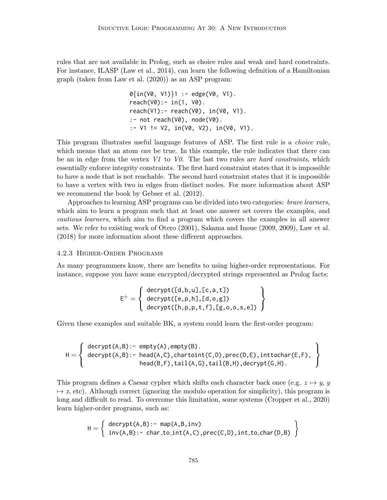rules that are not available in Prolog, such as choice rules and weak and hard constraints. For instance, ILASP (Law et al., 2014), can learn the following definition of a Hamiltonian graph (taken from Law et al. (2020)) as an ASP program:

0{in(V0, V1)}1 :- edge(V0, V1). reach(V0):- in(1, V0). reach(V1):- reach(V0), in(V0, V1). :- not reach(V0), node(V0). :- V1 != V2, in(V0, V2), in(V0, V1).

This program illustrates useful language features of ASP. The first rule is a *choice* rule, which means that an atom *can* be true. In this example, the rule indicates that there can be an in edge from the vertex  $V1$  to  $V0$ . The last two rules are *hard constraints*, which essentially enforce integrity constraints. The first hard constraint states that it is impossible to have a node that is not reachable. The second hard constraint states that it is impossible to have a vertex with two in edges from distinct nodes. For more information about ASP we recommend the book by Gebser et al. (2012).

Approaches to learning ASP programs can be divided into two categories: brave learners, which aim to learn a program such that at least one answer set covers the examples, and cautious learners, which aim to find a program which covers the examples in all answer sets. We refer to existing work of Otero (2001), Sakama and Inoue (2009, 2009), Law et al. (2018) for more information about these different approaches.

#### 4.2.3 Higher-Order Programs

As many programmers know, there are benefits to using higher-order representations. For instance, suppose you have some encrypted/decrypted strings represented as Prolog facts:

$$
E^{+} = \left\{\begin{array}{c}\text{decrypt}([d,b,u],[c,a,t])\\\text{decrypt}([e,p,h],[d,o,g])\\\text{decrypt}([h,p,p,t,f],[g,o,o,s,e])\end{array}\right\}
$$

Given these examples and suitable BK, a system could learn the first-order program:

$$
H = \left\{\begin{array}{ll} \texttt{decrypt}(A,B):&=\texttt{empty}(A),\texttt{empty}(B).\\ \texttt{decrypt}(A,B):&=\texttt{head}(A,C),\texttt{charjoint}(C,D),\texttt{prec}(D,E),\texttt{inttochar}(E,F),\\ &\texttt{head}(B,F),\texttt{tail}(A,G),\texttt{tail}(B,H),\texttt{decrypt}(G,H).\end{array}\right\}
$$

This program defines a Caesar cypher which shifts each character back once (e.g.  $z \mapsto y$ , y  $\rightarrow x$ , etc). Although correct (ignoring the modulo operation for simplicity), this program is long and difficult to read. To overcome this limitation, some systems (Cropper et al., 2020) learn higher-order programs, such as:

$$
H = \left\{ \begin{array}{ll} \text{decrypt}(A,B):&=& \text{map}(A,B,\text{inv}) \\ \text{inv}(A,B):&=& \text{char_to-int}(A,C), \text{prec}(C,D), \text{int_to_char}(D,B) \end{array} \right\}
$$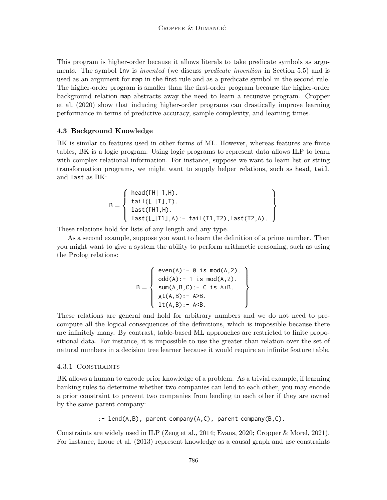This program is higher-order because it allows literals to take predicate symbols as arguments. The symbol inv is *invented* (we discuss *predicate invention* in Section 5.5) and is used as an argument for map in the first rule and as a predicate symbol in the second rule. The higher-order program is smaller than the first-order program because the higher-order background relation map abstracts away the need to learn a recursive program. Cropper et al. (2020) show that inducing higher-order programs can drastically improve learning performance in terms of predictive accuracy, sample complexity, and learning times.

#### 4.3 Background Knowledge

BK is similar to features used in other forms of ML. However, whereas features are finite tables, BK is a logic program. Using logic programs to represent data allows ILP to learn with complex relational information. For instance, suppose we want to learn list or string transformation programs, we might want to supply helper relations, such as head, tail, and last as BK:

$$
B = \left\{\begin{array}{ll}\text{head([H|_.],H).} \\ \text{tail([-_1],T).} \\ \text{last([H],H).} \\ \text{last([-_1,1],A): - tail(T1,T2), last(T2,A).}\end{array}\right\}
$$

These relations hold for lists of any length and any type.

As a second example, suppose you want to learn the definition of a prime number. Then you might want to give a system the ability to perform arithmetic reasoning, such as using the Prolog relations:

$$
B = \left\{ \begin{array}{ll} \mathsf{even}(A) : - & \mathsf{0} \text{ is } \mathsf{mod}(A,2) \,. \\ \mathsf{odd}(A) : - & 1 \text{ is } \mathsf{mod}(A,2) \,. \\ \mathsf{sum}(A,B,C) : - & C \text{ is } A+B. \\ \mathsf{gt}(A,B) : - & A>B. \\ \mathsf{lt}(A,B) : - & A\triangle B. \end{array} \right\}
$$

These relations are general and hold for arbitrary numbers and we do not need to precompute all the logical consequences of the definitions, which is impossible because there are infinitely many. By contrast, table-based ML approaches are restricted to finite propositional data. For instance, it is impossible to use the greater than relation over the set of natural numbers in a decision tree learner because it would require an infinite feature table.

#### 4.3.1 Constraints

BK allows a human to encode prior knowledge of a problem. As a trivial example, if learning banking rules to determine whether two companies can lend to each other, you may encode a prior constraint to prevent two companies from lending to each other if they are owned by the same parent company:

```
:- lend(A,B), parent company(A,C), parent company(B,C).
```
Constraints are widely used in ILP (Zeng et al., 2014; Evans, 2020; Cropper & Morel, 2021). For instance, Inoue et al. (2013) represent knowledge as a causal graph and use constraints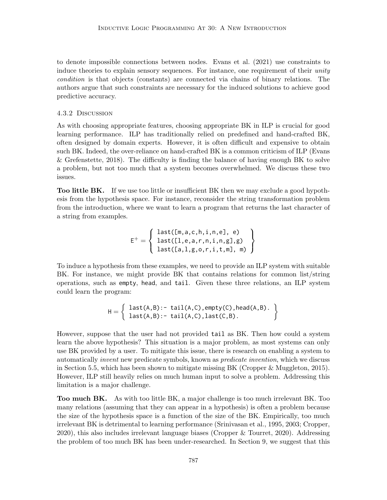to denote impossible connections between nodes. Evans et al. (2021) use constraints to induce theories to explain sensory sequences. For instance, one requirement of their unity condition is that objects (constants) are connected via chains of binary relations. The authors argue that such constraints are necessary for the induced solutions to achieve good predictive accuracy.

#### 4.3.2 Discussion

As with choosing appropriate features, choosing appropriate BK in ILP is crucial for good learning performance. ILP has traditionally relied on predefined and hand-crafted BK, often designed by domain experts. However, it is often difficult and expensive to obtain such BK. Indeed, the over-reliance on hand-crafted BK is a common criticism of ILP (Evans & Grefenstette, 2018). The difficulty is finding the balance of having enough BK to solve a problem, but not too much that a system becomes overwhelmed. We discuss these two issues.

Too little BK. If we use too little or insufficient BK then we may exclude a good hypothesis from the hypothesis space. For instance, reconsider the string transformation problem from the introduction, where we want to learn a program that returns the last character of a string from examples.

$$
E^+ = \left\{ \begin{array}{ll} \text{last}([m,a,c,h,i,n,e], e) \\ \text{last}([1,e,a,r,n,i,n,g], g) \\ \text{last}([a,1,g,o,r,i,t,m], m) \end{array} \right\}
$$

To induce a hypothesis from these examples, we need to provide an ILP system with suitable BK. For instance, we might provide BK that contains relations for common list/string operations, such as empty, head, and tail. Given these three relations, an ILP system could learn the program:

$$
H = \left\{ \begin{array}{ll} last(A,B): & \text{tail}(A,C), \text{empty}(C), \text{head}(A,B). \\ last(A,B): & \text{tail}(A,C), last(C,B). \end{array} \right\}
$$

However, suppose that the user had not provided tail as BK. Then how could a system learn the above hypothesis? This situation is a major problem, as most systems can only use BK provided by a user. To mitigate this issue, there is research on enabling a system to automatically invent new predicate symbols, known as predicate invention, which we discuss in Section 5.5, which has been shown to mitigate missing BK (Cropper & Muggleton, 2015). However, ILP still heavily relies on much human input to solve a problem. Addressing this limitation is a major challenge.

Too much BK. As with too little BK, a major challenge is too much irrelevant BK. Too many relations (assuming that they can appear in a hypothesis) is often a problem because the size of the hypothesis space is a function of the size of the BK. Empirically, too much irrelevant BK is detrimental to learning performance (Srinivasan et al., 1995, 2003; Cropper, 2020), this also includes irrelevant language biases (Cropper & Tourret, 2020). Addressing the problem of too much BK has been under-researched. In Section 9, we suggest that this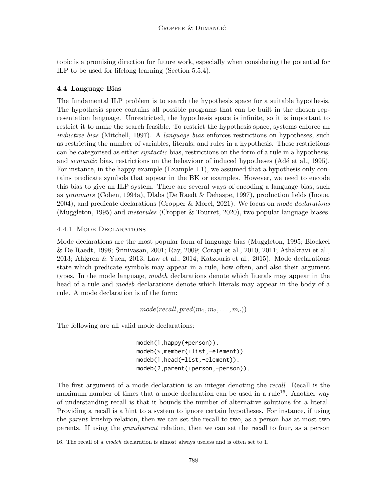topic is a promising direction for future work, especially when considering the potential for ILP to be used for lifelong learning (Section 5.5.4).

## 4.4 Language Bias

The fundamental ILP problem is to search the hypothesis space for a suitable hypothesis. The hypothesis space contains all possible programs that can be built in the chosen representation language. Unrestricted, the hypothesis space is infinite, so it is important to restrict it to make the search feasible. To restrict the hypothesis space, systems enforce an inductive bias (Mitchell, 1997). A *language bias* enforces restrictions on hypotheses, such as restricting the number of variables, literals, and rules in a hypothesis. These restrictions can be categorised as either syntactic bias, restrictions on the form of a rule in a hypothesis, and *semantic* bias, restrictions on the behaviour of induced hypotheses (Adé et al., 1995). For instance, in the happy example (Example 1.1), we assumed that a hypothesis only contains predicate symbols that appear in the BK or examples. However, we need to encode this bias to give an ILP system. There are several ways of encoding a language bias, such as grammars (Cohen, 1994a), Dlabs (De Raedt & Dehaspe, 1997), production fields (Inoue, 2004), and predicate declarations (Cropper & Morel, 2021). We focus on mode declarations (Muggleton, 1995) and metarules (Cropper & Tourret, 2020), two popular language biases.

## 4.4.1 Mode Declarations

Mode declarations are the most popular form of language bias (Muggleton, 1995; Blockeel & De Raedt, 1998; Srinivasan, 2001; Ray, 2009; Corapi et al., 2010, 2011; Athakravi et al., 2013; Ahlgren & Yuen, 2013; Law et al., 2014; Katzouris et al., 2015). Mode declarations state which predicate symbols may appear in a rule, how often, and also their argument types. In the mode language, modeh declarations denote which literals may appear in the head of a rule and *modeb* declarations denote which literals may appear in the body of a rule. A mode declaration is of the form:

$$
mode(recall, pred(m_1, m_2, \ldots, m_a))
$$

The following are all valid mode declarations:

modeh(1,happy(+person)). modeb(\*,member(+list,-element)). modeb(1,head(+list,-element)). modeb(2,parent(+person,-person)).

The first argument of a mode declaration is an integer denoting the recall. Recall is the maximum number of times that a mode declaration can be used in a rule<sup>16</sup>. Another way of understanding recall is that it bounds the number of alternative solutions for a literal. Providing a recall is a hint to a system to ignore certain hypotheses. For instance, if using the parent kinship relation, then we can set the recall to two, as a person has at most two parents. If using the grandparent relation, then we can set the recall to four, as a person

<sup>16.</sup> The recall of a modeh declaration is almost always useless and is often set to 1.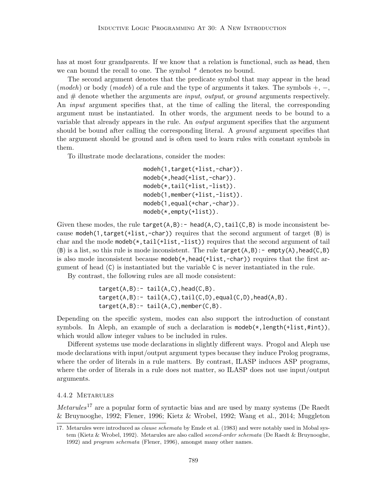has at most four grandparents. If we know that a relation is functional, such as head, then we can bound the recall to one. The symbol  $*$  denotes no bound.

The second argument denotes that the predicate symbol that may appear in the head (modeh) or body (modeb) of a rule and the type of arguments it takes. The symbols  $+, -,$ and  $#$  denote whether the arguments are *input, output,* or *ground* arguments respectively. An *input* argument specifies that, at the time of calling the literal, the corresponding argument must be instantiated. In other words, the argument needs to be bound to a variable that already appears in the rule. An output argument specifies that the argument should be bound after calling the corresponding literal. A *ground* argument specifies that the argument should be ground and is often used to learn rules with constant symbols in them.

To illustrate mode declarations, consider the modes:

```
modeh(1,target(+list,-char)).
modeb(*,head(+list,-char)).
modeb(*,tail(+list,-list)).
modeb(1,member(+list,-list)).
modeb(1,equal(+char,-char)).
modeb(*,empty(+list)).
```
Given these modes, the rule  $target(A,B):$  - head( $A, C$ ),  $tail(C,B)$  is mode inconsistent because modeh(1, target(+list, -char)) requires that the second argument of target  $(B)$  is char and the mode modeb( $\star$ , tail( $+$ list,  $-$ list)) requires that the second argument of tail (B) is a list, so this rule is mode inconsistent. The rule  $target(A,B):$  - empty(A), head(C,B) is also mode inconsistent because  $\mathsf{mode}(*,\mathsf{head}(+list,-\mathsf{char}))$  requires that the first argument of head (C) is instantiated but the variable C is never instantiated in the rule.

By contrast, the following rules are all mode consistent:

 $target(A,B):$   $tail(A,C)$ , head( $C,B$ ).  $target(A,B):= tail(A,C), tail(C,D), equal(C,D), head(A,B).$  $target(A,B):= tail(A,C)$ , member(C,B).

Depending on the specific system, modes can also support the introduction of constant symbols. In Aleph, an example of such a declaration is  $\mathsf{modeb}(*, \mathsf{length}(\text{+list}, \text{find})),$ which would allow integer values to be included in rules.

Different systems use mode declarations in slightly different ways. Progol and Aleph use mode declarations with input/output argument types because they induce Prolog programs, where the order of literals in a rule matters. By contrast, ILASP induces ASP programs, where the order of literals in a rule does not matter, so ILASP does not use input/output arguments.

## 4.4.2 Metarules

*Metarules*<sup>17</sup> are a popular form of syntactic bias and are used by many systems (De Raedt) & Bruynooghe, 1992; Flener, 1996; Kietz & Wrobel, 1992; Wang et al., 2014; Muggleton

<sup>17.</sup> Metarules were introduced as *clause schemata* by Emde et al. (1983) and were notably used in Mobal system (Kietz & Wrobel, 1992). Metarules are also called second-order schemata (De Raedt & Bruynooghe, 1992) and program schemata (Flener, 1996), amongst many other names.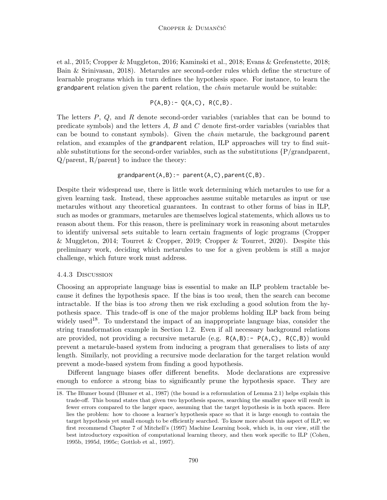et al., 2015; Cropper & Muggleton, 2016; Kaminski et al., 2018; Evans & Grefenstette, 2018; Bain & Srinivasan, 2018). Metarules are second-order rules which define the structure of learnable programs which in turn defines the hypothesis space. For instance, to learn the grandparent relation given the parent relation, the *chain* metarule would be suitable:

$$
P(A,B): = Q(A,C), R(C,B).
$$

The letters  $P$ ,  $Q$ , and  $R$  denote second-order variables (variables that can be bound to predicate symbols) and the letters A, B and C denote first-order variables (variables that can be bound to constant symbols). Given the chain metarule, the background parent relation, and examples of the grandparent relation, ILP approaches will try to find suitable substitutions for the second-order variables, such as the substitutions  $\{P/\text{grandparent},\}$  $Q/\text{parent}, R/\text{parent}$  to induce the theory:

$$
grandparent(A, B) := parent(A, C), parent(C, B).
$$

Despite their widespread use, there is little work determining which metarules to use for a given learning task. Instead, these approaches assume suitable metarules as input or use metarules without any theoretical guarantees. In contrast to other forms of bias in ILP, such as modes or grammars, metarules are themselves logical statements, which allows us to reason about them. For this reason, there is preliminary work in reasoning about metarules to identify universal sets suitable to learn certain fragments of logic programs (Cropper & Muggleton, 2014; Tourret & Cropper, 2019; Cropper & Tourret, 2020). Despite this preliminary work, deciding which metarules to use for a given problem is still a major challenge, which future work must address.

#### 4.4.3 Discussion

Choosing an appropriate language bias is essential to make an ILP problem tractable because it defines the hypothesis space. If the bias is too weak, then the search can become intractable. If the bias is too strong then we risk excluding a good solution from the hypothesis space. This trade-off is one of the major problems holding ILP back from being widely used<sup>18</sup>. To understand the impact of an inappropriate language bias, consider the string transformation example in Section 1.2. Even if all necessary background relations are provided, not providing a recursive metarule (e.g.  $R(A,B):= P(A,C)$ ,  $R(C,B)$ ) would prevent a metarule-based system from inducing a program that generalises to lists of any length. Similarly, not providing a recursive mode declaration for the target relation would prevent a mode-based system from finding a good hypothesis.

Different language biases offer different benefits. Mode declarations are expressive enough to enforce a strong bias to significantly prune the hypothesis space. They are

<sup>18.</sup> The Blumer bound (Blumer et al., 1987) (the bound is a reformulation of Lemma 2.1) helps explain this trade-off. This bound states that given two hypothesis spaces, searching the smaller space will result in fewer errors compared to the larger space, assuming that the target hypothesis is in both spaces. Here lies the problem: how to choose a learner's hypothesis space so that it is large enough to contain the target hypothesis yet small enough to be efficiently searched. To know more about this aspect of ILP, we first recommend Chapter 7 of Mitchell's (1997) Machine Learning book, which is, in our view, still the best introductory exposition of computational learning theory, and then work specific to ILP (Cohen, 1995b, 1995d, 1995c; Gottlob et al., 1997).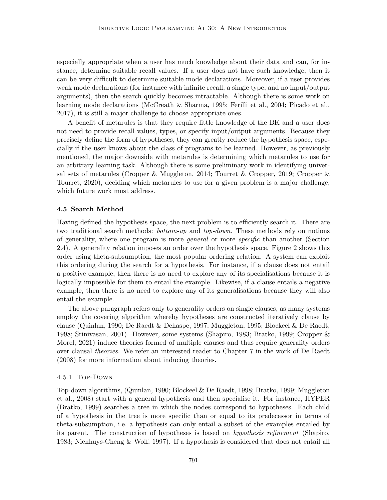especially appropriate when a user has much knowledge about their data and can, for instance, determine suitable recall values. If a user does not have such knowledge, then it can be very difficult to determine suitable mode declarations. Moreover, if a user provides weak mode declarations (for instance with infinite recall, a single type, and no input/output arguments), then the search quickly becomes intractable. Although there is some work on learning mode declarations (McCreath & Sharma, 1995; Ferilli et al., 2004; Picado et al., 2017), it is still a major challenge to choose appropriate ones.

A benefit of metarules is that they require little knowledge of the BK and a user does not need to provide recall values, types, or specify input/output arguments. Because they precisely define the form of hypotheses, they can greatly reduce the hypothesis space, especially if the user knows about the class of programs to be learned. However, as previously mentioned, the major downside with metarules is determining which metarules to use for an arbitrary learning task. Although there is some preliminary work in identifying universal sets of metarules (Cropper & Muggleton, 2014; Tourret & Cropper, 2019; Cropper & Tourret, 2020), deciding which metarules to use for a given problem is a major challenge, which future work must address.

#### 4.5 Search Method

Having defined the hypothesis space, the next problem is to efficiently search it. There are two traditional search methods: *bottom-up* and *top-down*. These methods rely on notions of generality, where one program is more general or more specific than another (Section 2.4). A generality relation imposes an order over the hypothesis space. Figure 2 shows this order using theta-subsumption, the most popular ordering relation. A system can exploit this ordering during the search for a hypothesis. For instance, if a clause does not entail a positive example, then there is no need to explore any of its specialisations because it is logically impossible for them to entail the example. Likewise, if a clause entails a negative example, then there is no need to explore any of its generalisations because they will also entail the example.

The above paragraph refers only to generality orders on single clauses, as many systems employ the covering algorithm whereby hypotheses are constructed iteratively clause by clause (Quinlan, 1990; De Raedt & Dehaspe, 1997; Muggleton, 1995; Blockeel & De Raedt, 1998; Srinivasan, 2001). However, some systems (Shapiro, 1983; Bratko, 1999; Cropper & Morel, 2021) induce theories formed of multiple clauses and thus require generality orders over clausal theories. We refer an interested reader to Chapter 7 in the work of De Raedt (2008) for more information about inducing theories.

#### 4.5.1 Top-Down

Top-down algorithms, (Quinlan, 1990; Blockeel & De Raedt, 1998; Bratko, 1999; Muggleton et al., 2008) start with a general hypothesis and then specialise it. For instance, HYPER (Bratko, 1999) searches a tree in which the nodes correspond to hypotheses. Each child of a hypothesis in the tree is more specific than or equal to its predecessor in terms of theta-subsumption, i.e. a hypothesis can only entail a subset of the examples entailed by its parent. The construction of hypotheses is based on hypothesis refinement (Shapiro, 1983; Nienhuys-Cheng & Wolf, 1997). If a hypothesis is considered that does not entail all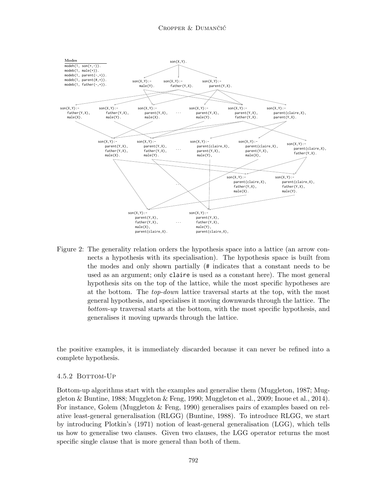

Figure 2: The generality relation orders the hypothesis space into a lattice (an arrow connects a hypothesis with its specialisation). The hypothesis space is built from the modes and only shown partially (# indicates that a constant needs to be used as an argument; only claire is used as a constant here). The most general hypothesis sits on the top of the lattice, while the most specific hypotheses are at the bottom. The top-down lattice traversal starts at the top, with the most general hypothesis, and specialises it moving downwards through the lattice. The bottom-up traversal starts at the bottom, with the most specific hypothesis, and generalises it moving upwards through the lattice.

the positive examples, it is immediately discarded because it can never be refined into a complete hypothesis.

#### 4.5.2 BOTTOM-UP

Bottom-up algorithms start with the examples and generalise them (Muggleton, 1987; Muggleton & Buntine, 1988; Muggleton & Feng, 1990; Muggleton et al., 2009; Inoue et al., 2014). For instance, Golem (Muggleton & Feng, 1990) generalises pairs of examples based on relative least-general generalisation (RLGG) (Buntine, 1988). To introduce RLGG, we start by introducing Plotkin's (1971) notion of least-general generalisation (LGG), which tells us how to generalise two clauses. Given two clauses, the LGG operator returns the most specific single clause that is more general than both of them.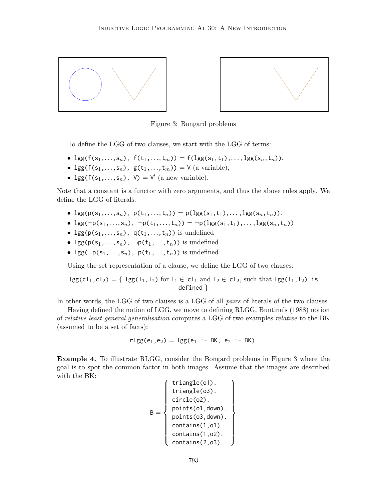



Figure 3: Bongard problems

To define the LGG of two clauses, we start with the LGG of terms:

- lgg(f(s<sub>1</sub>,...,s<sub>n</sub>), f(t<sub>1</sub>,...,t<sub>m</sub>)) = f(lgg(s<sub>1</sub>,t<sub>1</sub>),...,lgg(s<sub>n</sub>,t<sub>n</sub>)).
- lgg( $f(s_1,...,s_n)$ , g( $t_1,...,t_m$ )) = V (a variable),
- $\log(f(s_1,...,s_n), V) = V'$  (a new variable).

Note that a constant is a functor with zero arguments, and thus the above rules apply. We define the LGG of literals:

- $\lg(p(s_1,...,s_n), p(t_1,...,t_n)) = p(\lg(g(s_1,t_1),..., \lg(g(s_n,t_n))).$
- $\lg(\neg p(s_1,...,s_n), \neg p(t_1,...,t_n)) = \neg p(\lg(s_1,t_1),..., \lg(s_n,t_n))$
- lgg( $p(s_1,...,s_n)$ ,  $q(t_1,...,t_n)$ ) is undefined
- $\log(p(s_1,...,s_n), \neg p(t_1,...,t_n))$  is undefined
- lgg( $\neg p(s_1,...,s_n)$ ,  $p(t_1,...,t_n)$ ) is undefined.

Using the set representation of a clause, we define the LGG of two clauses:

$$
lgg(cl_1, cl_2) = \{ lg(l_1, l_2) \text{ for } l_1 \in cl_1 \text{ and } l_2 \in cl_2 \text{, such that } lg(l_1, l_2) \text{ is defined }\}
$$

In other words, the LGG of two clauses is a LGG of all *pairs* of literals of the two clauses.

Having defined the notion of LGG, we move to defining RLGG. Buntine's (1988) notion of relative least-general generalisation computes a LGG of two examples relative to the BK (assumed to be a set of facts):

$$
rlgg(e_1, e_2) = lgg(e_1 : - BK, e_2 : - BK).
$$

Example 4. To illustrate RLGG, consider the Bongard problems in Figure 3 where the goal is to spot the common factor in both images. Assume that the images are described with the BK:

$$
B = \left\{ \begin{array}{c} \text{triangle}(01). \\ \text{triangle}(03). \\ \text{circle}(02). \\ \text{points}(01, \text{down}). \\ \text{points}(03, \text{down}). \\ \text{contains}(1, 01). \\ \text{contains}(1, 02). \\ \text{contains}(2, 03). \end{array} \right\}
$$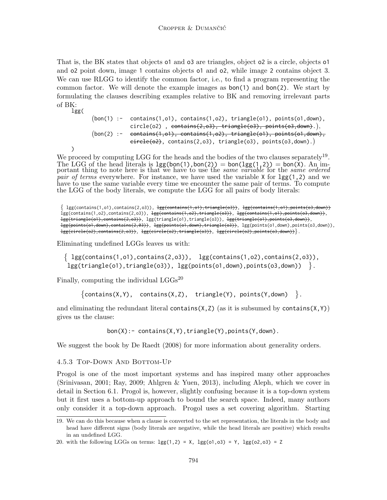That is, the BK states that objects o1 and o3 are triangles, object o2 is a circle, objects o1 and o2 point down, image 1 contains objects o1 and o2, while image 2 contains object 3. We can use RLGG to identify the common factor, i.e., to find a program representing the common factor. We will denote the example images as bon(1) and bon(2). We start by formulating the clauses describing examples relative to BK and removing irrelevant parts of BK: lgg(

 $(bon(1) : - \text{ contains}(1, o1), \text{ contains}(1, o2), \text{ triangle}(o1), \text{ points}(o1, down),$  $\textsf{circle}\,(\textsf{o2})$  ,  $\textsf{contains}(2,\textsf{o3})$ ,  $\textsf{triangle}(\textsf{o3})$ ,  $\textsf{points}(\textsf{o3},\textsf{down})$ . $),$  $(bon(2) : - contains(1, o1), contains(1, o2), triangle(o1), points(o1, down),$  $\overline{\text{circle}}(o2)$ , contains(2,03), triangle(03), points(03,down).)

We proceed by computing LGG for the heads and the bodies of the two clauses separately<sup>19</sup>. The LGG of the head literals is  $lgg(bon(1),bon(2)) = bon(log(1,2)) = bon(\dot{X})$ . An important thing to note here is that we have to use the *same variable* for the *same ordered pair of terms* everywhere. For instance, we have used the variable  $X$  for  $\text{lgg}(1,2)$  and we have to use the same variable every time we encounter the same pair of terms. To compute the LGG of the body literals, we compute the LGG for all pairs of body literals:

 $\{ \text{lgg}(\text{contains}(1, o1), \text{contains}(2, o3))\}, \text{lgg}(\text{contains}(1, o1), \text{triangle}(o3))\}, \text{lgg}(\text{contains}(1, o1), \text{points}(o3, \text{down}))\}$ lgg(contains(1,o2),contains(2,o3)), <del>lgg(contains(1,o2),triangle(o3))</del>, lgg(contains(1,o1),points(o3,down)), lgg(triangle(o1),contains(2,o3)), lgg(triangle(o1),triangle(o3)), lgg(triangle(o1),points(o3,down)), lgg(points(o1,down),contains(2,03)), lgg(points(o1,down),triangle(o3)), lgg(points(o1,down),points(o3,down)),  $\texttt{lgg}(\texttt{circle}(o2), \texttt{contains}(2, o3))$ ,  $\texttt{lgg}(\texttt{circle}(o2), \texttt{triangle}(o3))$ ,  $\texttt{lgg}(\texttt{circle}(o2), \texttt{points}(o3, \texttt{down}))$ .

Eliminating undefined LGGs leaves us with:

)

```
\{ lgg(contains(1, o1), contains(2, o3)), lgg(contains(1, o2), contains(2, o3)),\}\lgg(triangle(o1),triangle(o3)), \lgg(points(o1,down),points(o3,down)) \}.
```
Finally, computing the individual  $LGGs^{20}$ 

```
\{\text{contains}(X, Y), \text{ contains}(X, Z), \text{ triangle}(Y), \text{ points}(Y, \text{down})\}.
```
and eliminating the redundant literal contains( $X, Z$ ) (as it is subsumed by contains( $X, Y$ )) gives us the clause:

bon(X):- contains(X,Y),triangle(Y),points(Y,down).

We suggest the book by De Raedt (2008) for more information about generality orders.

#### 4.5.3 Top-Down And Bottom-Up

Progol is one of the most important systems and has inspired many other approaches (Srinivasan, 2001; Ray, 2009; Ahlgren & Yuen, 2013), including Aleph, which we cover in detail in Section 6.1. Progol is, however, slightly confusing because it is a top-down system but it first uses a bottom-up approach to bound the search space. Indeed, many authors only consider it a top-down approach. Progol uses a set covering algorithm. Starting

<sup>19.</sup> We can do this because when a clause is converted to the set representation, the literals in the body and head have different signs (body literals are negative, while the head literals are positive) which results in an undefined LGG.

<sup>20.</sup> with the following LGGs on terms:  $\text{lgg}(1,2) = X$ ,  $\text{lgg}(0,0.03) = Y$ ,  $\text{lgg}(0,0.03) = Z$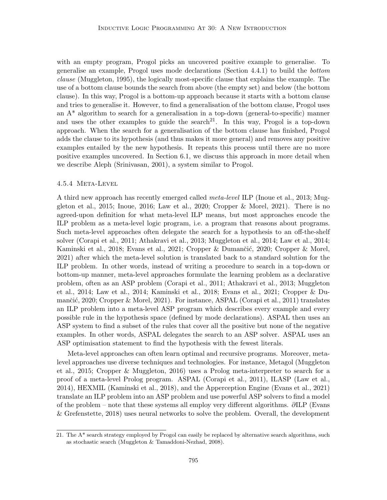with an empty program, Progol picks an uncovered positive example to generalise. To generalise an example, Progol uses mode declarations (Section 4.4.1) to build the bottom clause (Muggleton, 1995), the logically most-specific clause that explains the example. The use of a bottom clause bounds the search from above (the empty set) and below (the bottom clause). In this way, Progol is a bottom-up approach because it starts with a bottom clause and tries to generalise it. However, to find a generalisation of the bottom clause, Progol uses an  $A^*$  algorithm to search for a generalisation in a top-down (general-to-specific) manner and uses the other examples to guide the search<sup>21</sup>. In this way, Progol is a top-down approach. When the search for a generalisation of the bottom clause has finished, Progol adds the clause to its hypothesis (and thus makes it more general) and removes any positive examples entailed by the new hypothesis. It repeats this process until there are no more positive examples uncovered. In Section 6.1, we discuss this approach in more detail when we describe Aleph (Srinivasan, 2001), a system similar to Progol.

#### 4.5.4 Meta-Level

A third new approach has recently emerged called meta-level ILP (Inoue et al., 2013; Muggleton et al., 2015; Inoue, 2016; Law et al., 2020; Cropper & Morel, 2021). There is no agreed-upon definition for what meta-level ILP means, but most approaches encode the ILP problem as a meta-level logic program, i.e. a program that reasons about programs. Such meta-level approaches often delegate the search for a hypothesis to an off-the-shelf solver (Corapi et al., 2011; Athakravi et al., 2013; Muggleton et al., 2014; Law et al., 2014; Kaminski et al., 2018; Evans et al., 2021; Cropper & Dumančić, 2020; Cropper & Morel, 2021) after which the meta-level solution is translated back to a standard solution for the ILP problem. In other words, instead of writing a procedure to search in a top-down or bottom-up manner, meta-level approaches formulate the learning problem as a declarative problem, often as an ASP problem (Corapi et al., 2011; Athakravi et al., 2013; Muggleton et al., 2014; Law et al., 2014; Kaminski et al., 2018; Evans et al., 2021; Cropper & Dumančić, 2020; Cropper & Morel, 2021). For instance, ASPAL (Corapi et al., 2011) translates an ILP problem into a meta-level ASP program which describes every example and every possible rule in the hypothesis space (defined by mode declarations). ASPAL then uses an ASP system to find a subset of the rules that cover all the positive but none of the negative examples. In other words, ASPAL delegates the search to an ASP solver. ASPAL uses an ASP optimisation statement to find the hypothesis with the fewest literals.

Meta-level approaches can often learn optimal and recursive programs. Moreover, metalevel approaches use diverse techniques and technologies. For instance, Metagol (Muggleton et al., 2015; Cropper & Muggleton, 2016) uses a Prolog meta-interpreter to search for a proof of a meta-level Prolog program. ASPAL (Corapi et al., 2011), ILASP (Law et al., 2014), HEXMIL (Kaminski et al., 2018), and the Apperception Engine (Evans et al., 2021) translate an ILP problem into an ASP problem and use powerful ASP solvers to find a model of the problem – note that these systems all employ very different algorithms. ∂ILP (Evans & Grefenstette, 2018) uses neural networks to solve the problem. Overall, the development

<sup>21.</sup> The A\* search strategy employed by Progol can easily be replaced by alternative search algorithms, such as stochastic search (Muggleton & Tamaddoni-Nezhad, 2008).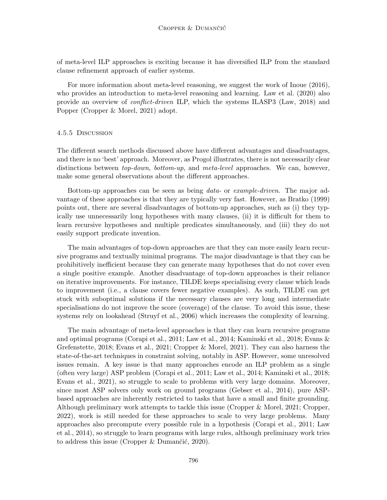of meta-level ILP approaches is exciting because it has diversified ILP from the standard clause refinement approach of earlier systems.

For more information about meta-level reasoning, we suggest the work of Inoue (2016), who provides an introduction to meta-level reasoning and learning. Law et al. (2020) also provide an overview of conflict-driven ILP, which the systems ILASP3 (Law, 2018) and Popper (Cropper & Morel, 2021) adopt.

#### 4.5.5 Discussion

The different search methods discussed above have different advantages and disadvantages, and there is no 'best' approach. Moreover, as Progol illustrates, there is not necessarily clear distinctions between top-down, bottom-up, and meta-level approaches. We can, however, make some general observations about the different approaches.

Bottom-up approaches can be seen as being data- or example-driven. The major advantage of these approaches is that they are typically very fast. However, as Bratko (1999) points out, there are several disadvantages of bottom-up approaches, such as (i) they typically use unnecessarily long hypotheses with many clauses, (ii) it is difficult for them to learn recursive hypotheses and multiple predicates simultaneously, and (iii) they do not easily support predicate invention.

The main advantages of top-down approaches are that they can more easily learn recursive programs and textually minimal programs. The major disadvantage is that they can be prohibitively inefficient because they can generate many hypotheses that do not cover even a single positive example. Another disadvantage of top-down approaches is their reliance on iterative improvements. For instance, TILDE keeps specialising every clause which leads to improvement (i.e., a clause covers fewer negative examples). As such, TILDE can get stuck with suboptimal solutions if the necessary clauses are very long and intermediate specialisations do not improve the score (coverage) of the clause. To avoid this issue, these systems rely on lookahead (Struyf et al., 2006) which increases the complexity of learning.

The main advantage of meta-level approaches is that they can learn recursive programs and optimal programs (Corapi et al., 2011; Law et al., 2014; Kaminski et al., 2018; Evans & Grefenstette, 2018; Evans et al., 2021; Cropper & Morel, 2021). They can also harness the state-of-the-art techniques in constraint solving, notably in ASP. However, some unresolved issues remain. A key issue is that many approaches encode an ILP problem as a single (often very large) ASP problem (Corapi et al., 2011; Law et al., 2014; Kaminski et al., 2018; Evans et al., 2021), so struggle to scale to problems with very large domains. Moreover, since most ASP solvers only work on ground programs (Gebser et al., 2014), pure ASPbased approaches are inherently restricted to tasks that have a small and finite grounding. Although preliminary work attempts to tackle this issue (Cropper & Morel, 2021; Cropper, 2022), work is still needed for these approaches to scale to very large problems. Many approaches also precompute every possible rule in a hypothesis (Corapi et al., 2011; Law et al., 2014), so struggle to learn programs with large rules, although preliminary work tries to address this issue (Cropper  $\&$  Dumančić, 2020).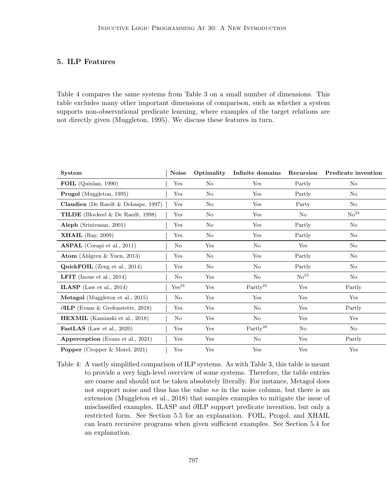## 5. ILP Features

Table 4 compares the same systems from Table 3 on a small number of dimensions. This table excludes many other important dimensions of comparison, such as whether a system supports non-observational predicate learning, where examples of the target relations are not directly given (Muggleton, 1995). We discuss these features in turn.

| System                                      | <b>Noise</b>        | Optimality | Infinite domains       | Recursion          | Predicate invention |
|---------------------------------------------|---------------------|------------|------------------------|--------------------|---------------------|
| FOIL (Quinlan, 1990)                        | Yes                 | No         | Yes                    | Partly             | No                  |
| <b>Progol</b> (Muggleton, 1995)             | Yes                 | No         | Yes                    | Partly             | No                  |
| Claudien (De Raedt & Dehaspe, 1997)         | Yes                 | No         | Yes                    | Party              | No                  |
| <b>TILDE</b> (Blockeel & De Raedt, 1998)    | Yes                 | No         | Yes                    | No                 | $\mathrm{No}^{22}$  |
| Aleph (Srinivasan, 2001)                    | Yes                 | No         | Yes                    | Partly             | N <sub>o</sub>      |
| <b>XHAIL</b> (Ray, 2009)                    | Yes                 | No         | Yes                    | Partly             | No                  |
| <b>ASPAL</b> (Corapi et al., 2011)          | $\rm No$            | Yes        | N <sub>o</sub>         | Yes                | N <sub>o</sub>      |
| Atom (Ahlgren & Yuen, 2013)                 | Yes                 | No         | Yes                    | Partly             | No                  |
| QuickFOIL (Zeng et al., 2014)               | Yes                 | No         | N <sub>o</sub>         | Partly             | N <sub>o</sub>      |
| <b>LFIT</b> (Inque et al., 2014)            | N <sub>o</sub>      | Yes        | N <sub>o</sub>         | $\mathrm{No}^{23}$ | No                  |
| <b>ILASP</b> (Law et al., 2014)             | $\mathrm{Yes}^{24}$ | Yes        | $\rm Partly^{25}$      | Yes                | Partly              |
| Metagol (Muggleton et al., 2015)            | $\rm No$            | Yes        | Yes                    | Yes                | Yes                 |
| $\partial$ ILP (Evans & Grefenstette, 2018) | Yes                 | Yes        | N <sub>o</sub>         | Yes                | Partly              |
| <b>HEXMIL</b> (Kaminski et al., 2018)       | $\rm No$            | Yes        | No                     | Yes                | Yes                 |
| <b>FastLAS</b> (Law et al., 2020)           | Yes                 | Yes        | $\mathrm{Partly}^{26}$ | No                 | N <sub>o</sub>      |
| <b>Apperception</b> (Evans et al., 2021)    | Yes                 | Yes        | No                     | Yes                | Partly              |
| <b>Popper</b> (Cropper & Morel, 2021)       | Yes                 | Yes        | Yes                    | Yes                | Yes                 |

Table 4: A vastly simplified comparison of ILP systems. As with Table 3, this table is meant to provide a very high-level overview of some systems. Therefore, the table entries are coarse and should not be taken absolutely literally. For instance, Metagol does not support noise and thus has the value no in the noise column, but there is an extension (Muggleton et al., 2018) that samples examples to mitigate the issue of misclassified examples. ILASP and ∂ILP support predicate invention, but only a restricted form. See Section 5.5 for an explanation. FOIL, Progol, and XHAIL can learn recursive programs when given sufficient examples. See Section 5.4 for an explanation.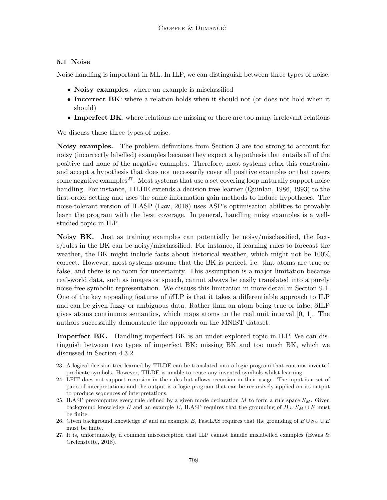## 5.1 Noise

Noise handling is important in ML. In ILP, we can distinguish between three types of noise:

- Noisy examples: where an example is misclassified
- Incorrect BK: where a relation holds when it should not (or does not hold when it should)
- Imperfect BK: where relations are missing or there are too many irrelevant relations

We discuss these three types of noise.

Noisy examples. The problem definitions from Section 3 are too strong to account for noisy (incorrectly labelled) examples because they expect a hypothesis that entails all of the positive and none of the negative examples. Therefore, most systems relax this constraint and accept a hypothesis that does not necessarily cover all positive examples or that covers some negative examples<sup>27</sup>. Most systems that use a set covering loop naturally support noise handling. For instance, TILDE extends a decision tree learner (Quinlan, 1986, 1993) to the first-order setting and uses the same information gain methods to induce hypotheses. The noise-tolerant version of ILASP (Law, 2018) uses ASP's optimisation abilities to provably learn the program with the best coverage. In general, handling noisy examples is a wellstudied topic in ILP.

Noisy BK. Just as training examples can potentially be noisy/misclassified, the facts/rules in the BK can be noisy/misclassified. For instance, if learning rules to forecast the weather, the BK might include facts about historical weather, which might not be 100% correct. However, most systems assume that the BK is perfect, i.e. that atoms are true or false, and there is no room for uncertainty. This assumption is a major limitation because real-world data, such as images or speech, cannot always be easily translated into a purely noise-free symbolic representation. We discuss this limitation in more detail in Section 9.1. One of the key appealing features of ∂ILP is that it takes a differentiable approach to ILP and can be given fuzzy or ambiguous data. Rather than an atom being true or false, ∂ILP gives atoms continuous semantics, which maps atoms to the real unit interval [0, 1]. The authors successfully demonstrate the approach on the MNIST dataset.

**Imperfect BK.** Handling imperfect BK is an under-explored topic in ILP. We can distinguish between two types of imperfect BK: missing BK and too much BK, which we discussed in Section 4.3.2.

<sup>23.</sup> A logical decision tree learned by TILDE can be translated into a logic program that contains invented predicate symbols. However, TILDE is unable to reuse any invented symbols whilst learning.

<sup>24.</sup> LFIT does not support recursion in the rules but allows recursion in their usage. The input is a set of pairs of interpretations and the output is a logic program that can be recursively applied on its output to produce sequences of interpretations.

<sup>25.</sup> ILASP precomputes every rule defined by a given mode declaration M to form a rule space  $S_M$ . Given background knowledge B and an example E, ILASP requires that the grounding of  $B \cup S_M \cup E$  must be finite.

<sup>26.</sup> Given background knowledge B and an example E, FastLAS requires that the grounding of  $B \cup S_M \cup E$ must be finite.

<sup>27.</sup> It is, unfortunately, a common misconception that ILP cannot handle mislabelled examples (Evans & Grefenstette, 2018).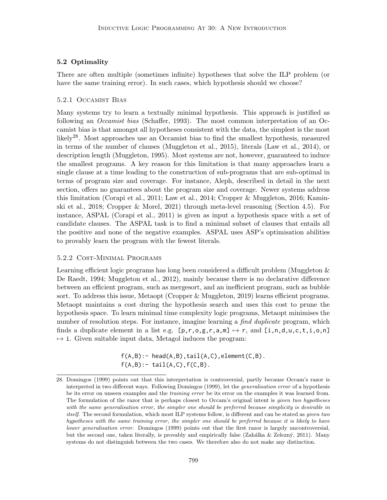### 5.2 Optimality

There are often multiple (sometimes infinite) hypotheses that solve the ILP problem (or have the same training error). In such cases, which hypothesis should we choose?

### 5.2.1 Occamist Bias

Many systems try to learn a textually minimal hypothesis. This approach is justified as following an *Occamist bias* (Schaffer, 1993). The most common interpretation of an Occamist bias is that amongst all hypotheses consistent with the data, the simplest is the most likely28. Most approaches use an Occamist bias to find the smallest hypothesis, measured in terms of the number of clauses (Muggleton et al., 2015), literals (Law et al., 2014), or description length (Muggleton, 1995). Most systems are not, however, guaranteed to induce the smallest programs. A key reason for this limitation is that many approaches learn a single clause at a time leading to the construction of sub-programs that are sub-optimal in terms of program size and coverage. For instance, Aleph, described in detail in the next section, offers no guarantees about the program size and coverage. Newer systems address this limitation (Corapi et al., 2011; Law et al., 2014; Cropper & Muggleton, 2016; Kaminski et al., 2018; Cropper & Morel, 2021) through meta-level reasoning (Section 4.5). For instance, ASPAL (Corapi et al., 2011) is given as input a hypothesis space with a set of candidate clauses. The ASPAL task is to find a minimal subset of clauses that entails all the positive and none of the negative examples. ASPAL uses ASP's optimisation abilities to provably learn the program with the fewest literals.

#### 5.2.2 Cost-Minimal Programs

Learning efficient logic programs has long been considered a difficult problem (Muggleton & De Raedt, 1994; Muggleton et al., 2012), mainly because there is no declarative difference between an efficient program, such as mergesort, and an inefficient program, such as bubble sort. To address this issue, Metaopt (Cropper & Muggleton, 2019) learns efficient programs. Metaopt maintains a cost during the hypothesis search and uses this cost to prune the hypothesis space. To learn minimal time complexity logic programs, Metaopt minimises the number of resolution steps. For instance, imagine learning a *find duplicate* program, which finds a duplicate element in a list e.g.  $[p, r, o, g, r, a, m] \mapsto r$ , and  $[i, n, d, u, c, t, i, o, n]$  $\rightarrow$  i. Given suitable input data, Metagol induces the program:

> $f(A,B):$  - head( $A,B$ ), tail( $A,C$ ), element( $C,B$ ).  $f(A,B)$ : - tail $(A,C)$ ,  $f(C,B)$ .

<sup>28.</sup> Domingos (1999) points out that this interpretation is controversial, partly because Occam's razor is interpreted in two different ways. Following Domingos (1999), let the generalisation error of a hypothesis be its error on unseen examples and the training error be its error on the examples it was learned from. The formulation of the razor that is perhaps closest to Occam's original intent is given two hypotheses with the same generalisation error, the simpler one should be preferred because simplicity is desirable in itself. The second formulation, which most ILP systems follow, is different and can be stated as given two hypotheses with the same training error, the simpler one should be preferred because it is likely to have lower generalisation error. Domingos (1999) points out that the first razor is largely uncontroversial, but the second one, taken literally, is provably and empirically false (Zahálka  $\&$  Zelezný, 2011). Many systems do not distinguish between the two cases. We therefore also do not make any distinction.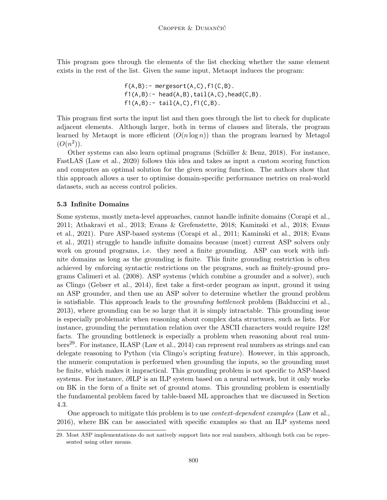This program goes through the elements of the list checking whether the same element exists in the rest of the list. Given the same input, Metaopt induces the program:

$$
f(A,B):= \text{mergesort}(A,C), f1(C,B).
$$
  
\n
$$
f1(A,B):= \text{head}(A,B), \text{tail}(A,C), \text{head}(C,B).
$$
  
\n
$$
f1(A,B):= \text{tail}(A,C), f1(C,B).
$$

This program first sorts the input list and then goes through the list to check for duplicate adjacent elements. Although larger, both in terms of clauses and literals, the program learned by Metaopt is more efficient  $(O(n \log n))$  than the program learned by Metagol  $(O(n^2)).$ 

Other systems can also learn optimal programs (Schüller  $\&$  Benz, 2018). For instance, FastLAS (Law et al., 2020) follows this idea and takes as input a custom scoring function and computes an optimal solution for the given scoring function. The authors show that this approach allows a user to optimise domain-specific performance metrics on real-world datasets, such as access control policies.

## 5.3 Infinite Domains

Some systems, mostly meta-level approaches, cannot handle infinite domains (Corapi et al., 2011; Athakravi et al., 2013; Evans & Grefenstette, 2018; Kaminski et al., 2018; Evans et al., 2021). Pure ASP-based systems (Corapi et al., 2011; Kaminski et al., 2018; Evans et al., 2021) struggle to handle infinite domains because (most) current ASP solvers only work on ground programs, i.e. they need a finite grounding. ASP can work with infinite domains as long as the grounding is finite. This finite grounding restriction is often achieved by enforcing syntactic restrictions on the programs, such as finitely-ground programs Calimeri et al. (2008). ASP systems (which combine a grounder and a solver), such as Clingo (Gebser et al., 2014), first take a first-order program as input, ground it using an ASP grounder, and then use an ASP solver to determine whether the ground problem is satisfiable. This approach leads to the *grounding bottleneck* problem (Balduccini et al., 2013), where grounding can be so large that it is simply intractable. This grounding issue is especially problematic when reasoning about complex data structures, such as lists. For instance, grounding the permutation relation over the ASCII characters would require 128! facts. The grounding bottleneck is especially a problem when reasoning about real numbers<sup>29</sup>. For instance, ILASP (Law et al., 2014) can represent real numbers as strings and can delegate reasoning to Python (via Clingo's scripting feature). However, in this approach, the numeric computation is performed when grounding the inputs, so the grounding must be finite, which makes it impractical. This grounding problem is not specific to ASP-based systems. For instance, ∂ILP is an ILP system based on a neural network, but it only works on BK in the form of a finite set of ground atoms. This grounding problem is essentially the fundamental problem faced by table-based ML approaches that we discussed in Section 4.3.

One approach to mitigate this problem is to use *context-dependent examples* (Law et al., 2016), where BK can be associated with specific examples so that an ILP systems need

<sup>29.</sup> Most ASP implementations do not natively support lists nor real numbers, although both can be represented using other means.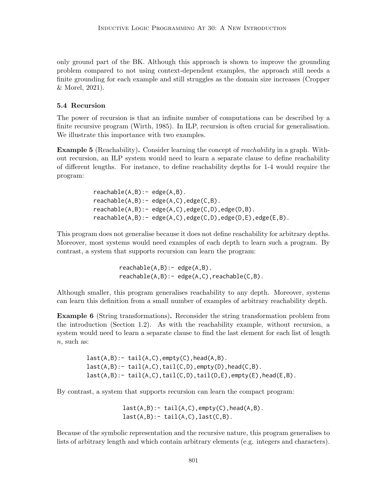only ground part of the BK. Although this approach is shown to improve the grounding problem compared to not using context-dependent examples, the approach still needs a finite grounding for each example and still struggles as the domain size increases (Cropper & Morel, 2021).

### 5.4 Recursion

The power of recursion is that an infinite number of computations can be described by a finite recursive program (Wirth, 1985). In ILP, recursion is often crucial for generalisation. We illustrate this importance with two examples.

Example 5 (Reachability). Consider learning the concept of *reachability* in a graph. Without recursion, an ILP system would need to learn a separate clause to define reachability of different lengths. For instance, to define reachability depths for 1-4 would require the program:

> $reachable(A, B) : - edge(A, B)$ .  $reachable(A, B) : = edge(A, C), edge(C, B).$  $reachable(A, B) : = edge(A, C), edge(C, D), edge(D, B).$ reachable(A,B):- edge(A,C),edge(C,D),edge(D,E),edge(E,B).

This program does not generalise because it does not define reachability for arbitrary depths. Moreover, most systems would need examples of each depth to learn such a program. By contrast, a system that supports recursion can learn the program:

> $reachable(A, B) : = edge(A, B)$ .  $reachable(A, B) : - edge(A, C)$ ,  $reachable(C, B)$ .

Although smaller, this program generalises reachability to any depth. Moreover, systems can learn this definition from a small number of examples of arbitrary reachability depth.

Example 6 (String transformations). Reconsider the string transformation problem from the introduction (Section 1.2). As with the reachability example, without recursion, a system would need to learn a separate clause to find the last element for each list of length n, such as:

> $last(A,B):$  tail( $A,C$ ), empty( $C$ ), head( $A,B$ ).  $last(A,B):$  tail( $A,C$ ), tail( $C,D$ ), empty( $D$ ), head( $C,B$ ).  $last(A,B):$  tail(A,C),tail(C,D),tail(D,E),empty(E),head(E,B).

By contrast, a system that supports recursion can learn the compact program:

 $last(A,B):$  tail( $A,C$ ), empty( $C$ ), head( $A,B$ ).  $last(A,B):$ - tail $(A,C)$ , last $(C,B)$ .

Because of the symbolic representation and the recursive nature, this program generalises to lists of arbitrary length and which contain arbitrary elements (e.g. integers and characters).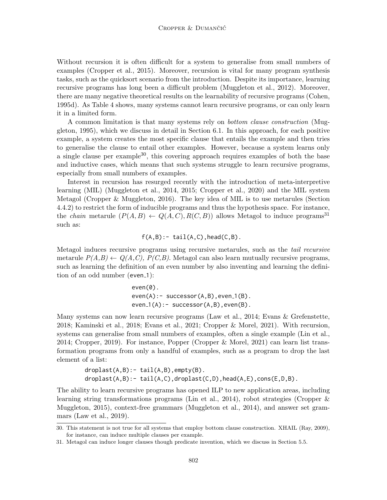Without recursion it is often difficult for a system to generalise from small numbers of examples (Cropper et al., 2015). Moreover, recursion is vital for many program synthesis tasks, such as the quicksort scenario from the introduction. Despite its importance, learning recursive programs has long been a difficult problem (Muggleton et al., 2012). Moreover, there are many negative theoretical results on the learnability of recursive programs (Cohen, 1995d). As Table 4 shows, many systems cannot learn recursive programs, or can only learn it in a limited form.

A common limitation is that many systems rely on bottom clause construction (Muggleton, 1995), which we discuss in detail in Section 6.1. In this approach, for each positive example, a system creates the most specific clause that entails the example and then tries to generalise the clause to entail other examples. However, because a system learns only a single clause per example<sup>30</sup>, this covering approach requires examples of both the base and inductive cases, which means that such systems struggle to learn recursive programs, especially from small numbers of examples.

Interest in recursion has resurged recently with the introduction of meta-interpretive learning (MIL) (Muggleton et al., 2014, 2015; Cropper et al., 2020) and the MIL system Metagol (Cropper & Muggleton, 2016). The key idea of MIL is to use metarules (Section 4.4.2) to restrict the form of inducible programs and thus the hypothesis space. For instance, the *chain* metarule  $(P(A, B) \leftarrow Q(A, C), R(C, B))$  allows Metagol to induce programs<sup>31</sup> such as:

 $f(A,B):$ - tail $(A,C)$ , head $(C,B)$ .

Metagol induces recursive programs using recursive metarules, such as the tail recursive metarule  $P(A,B) \leftarrow Q(A,C), P(C,B)$ . Metagol can also learn mutually recursive programs, such as learning the definition of an even number by also inventing and learning the definition of an odd number (even\_1):

> $even(0)$ .  $even(A):$  successor $(A,B)$ , even  $(1(B))$ .  $even_1(A):$  successor $(A,B)$ , even $(B)$ .

Many systems can now learn recursive programs (Law et al., 2014; Evans & Grefenstette, 2018; Kaminski et al., 2018; Evans et al., 2021; Cropper & Morel, 2021). With recursion, systems can generalise from small numbers of examples, often a single example (Lin et al., 2014; Cropper, 2019). For instance, Popper (Cropper & Morel, 2021) can learn list transformation programs from only a handful of examples, such as a program to drop the last element of a list:

> $droplast(A,B):$ - tail $(A,B)$ , empty $(B)$ . droplast(A,B):- tail(A,C),droplast(C,D),head(A,E),cons(E,D,B).

The ability to learn recursive programs has opened ILP to new application areas, including learning string transformations programs (Lin et al., 2014), robot strategies (Cropper & Muggleton, 2015), context-free grammars (Muggleton et al., 2014), and answer set grammars (Law et al., 2019).

<sup>30.</sup> This statement is not true for all systems that employ bottom clause construction. XHAIL (Ray, 2009), for instance, can induce multiple clauses per example.

<sup>31.</sup> Metagol can induce longer clauses though predicate invention, which we discuss in Section 5.5.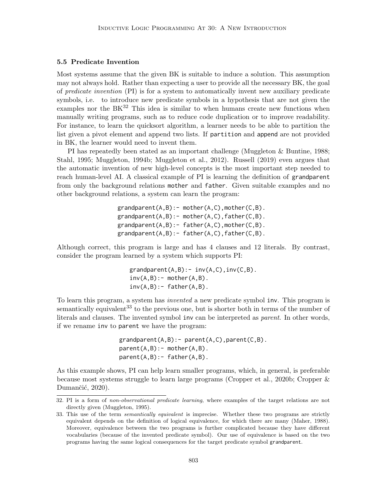#### 5.5 Predicate Invention

Most systems assume that the given BK is suitable to induce a solution. This assumption may not always hold. Rather than expecting a user to provide all the necessary BK, the goal of predicate invention (PI) is for a system to automatically invent new auxiliary predicate symbols, i.e. to introduce new predicate symbols in a hypothesis that are not given the examples nor the  $BK^{32}$  This idea is similar to when humans create new functions when manually writing programs, such as to reduce code duplication or to improve readability. For instance, to learn the quicksort algorithm, a learner needs to be able to partition the list given a pivot element and append two lists. If partition and append are not provided in BK, the learner would need to invent them.

PI has repeatedly been stated as an important challenge (Muggleton & Buntine, 1988; Stahl, 1995; Muggleton, 1994b; Muggleton et al., 2012). Russell (2019) even argues that the automatic invention of new high-level concepts is the most important step needed to reach human-level AI. A classical example of PI is learning the definition of grandparent from only the background relations mother and father. Given suitable examples and no other background relations, a system can learn the program:

```
grandparent(A,B):- mother(A,C), mother(C,B).
grandparent(A,B):- mother(A,C),father(C,B).
grandparent(A,B):- father(A,C),mother(C,B).
grandparent(A,B):- father(A,C), father(C,B).
```
Although correct, this program is large and has 4 clauses and 12 literals. By contrast, consider the program learned by a system which supports PI:

```
grandparent(A,B):- inv(A,C),inv(C,B).inv(A, B):- mother(A, B).
inv(A,B):- father(A,B).
```
To learn this program, a system has invented a new predicate symbol inv. This program is semantically equivalent<sup>33</sup> to the previous one, but is shorter both in terms of the number of literals and clauses. The invented symbol inv can be interpreted as parent. In other words, if we rename inv to parent we have the program:

```
grandparent(A,B):-parent(A,C),parent(C,B).parent(A,B):- mother(A,B).
parent(A,B):- father(A,B).
```
As this example shows, PI can help learn smaller programs, which, in general, is preferable because most systems struggle to learn large programs (Cropper et al., 2020b; Cropper & Dumančić, 2020).

<sup>32.</sup> PI is a form of non-observational predicate learning, where examples of the target relations are not directly given (Muggleton, 1995).

<sup>33.</sup> This use of the term *semantically equivalent* is imprecise. Whether these two programs are strictly equivalent depends on the definition of logical equivalence, for which there are many (Maher, 1988). Moreover, equivalence between the two programs is further complicated because they have different vocabularies (because of the invented predicate symbol). Our use of equivalence is based on the two programs having the same logical consequences for the target predicate symbol grandparent.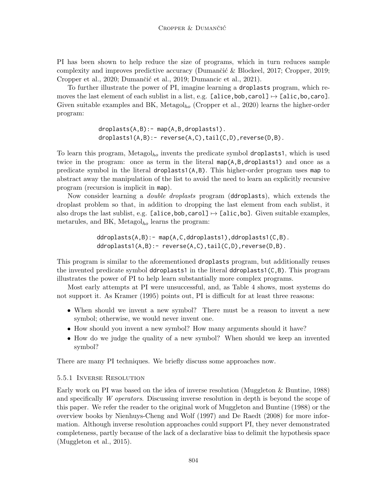PI has been shown to help reduce the size of programs, which in turn reduces sample complexity and improves predictive accuracy (Dumančić & Blockeel, 2017; Cropper, 2019; Cropper et al., 2020; Dumančić et al., 2019; Dumancic et al., 2021).

To further illustrate the power of PI, imagine learning a droplasts program, which removes the last element of each sublist in a list, e.g. [alice,bob,carol]  $\mapsto$  [alic,bo,caro]. Given suitable examples and BK, Metagol<sub>ho</sub> (Cropper et al., 2020) learns the higher-order program:

> droplasts(A,B):- map(A,B,droplasts1). droplasts1(A,B):- reverse(A,C),tail(C,D),reverse(D,B).

To learn this program, Metagol<sub>ho</sub> invents the predicate symbol droplasts1, which is used twice in the program: once as term in the literal map(A,B,droplasts1) and once as a predicate symbol in the literal droplasts1(A,B). This higher-order program uses map to abstract away the manipulation of the list to avoid the need to learn an explicitly recursive program (recursion is implicit in map).

Now consider learning a double droplasts program (ddroplasts), which extends the droplast problem so that, in addition to dropping the last element from each sublist, it also drops the last sublist, e.g. [alice,bob,carol]  $\mapsto$  [alic,bo]. Given suitable examples, metarules, and BK, Metagol<sub>ho</sub> learns the program:

> ddroplasts(A,B):- map(A,C,ddroplasts1),ddroplasts1(C,B). ddroplasts1(A,B):- reverse(A,C),tail(C,D),reverse(D,B).

This program is similar to the aforementioned droplasts program, but additionally reuses the invented predicate symbol ddroplasts1 in the literal ddroplasts1(C,B). This program illustrates the power of PI to help learn substantially more complex programs.

Most early attempts at PI were unsuccessful, and, as Table 4 shows, most systems do not support it. As Kramer (1995) points out, PI is difficult for at least three reasons:

- When should we invent a new symbol? There must be a reason to invent a new symbol; otherwise, we would never invent one.
- How should you invent a new symbol? How many arguments should it have?
- How do we judge the quality of a new symbol? When should we keep an invented symbol?

There are many PI techniques. We briefly discuss some approaches now.

### 5.5.1 Inverse Resolution

Early work on PI was based on the idea of inverse resolution (Muggleton & Buntine, 1988) and specifically W operators. Discussing inverse resolution in depth is beyond the scope of this paper. We refer the reader to the original work of Muggleton and Buntine (1988) or the overview books by Nienhuys-Cheng and Wolf (1997) and De Raedt (2008) for more information. Although inverse resolution approaches could support PI, they never demonstrated completeness, partly because of the lack of a declarative bias to delimit the hypothesis space (Muggleton et al., 2015).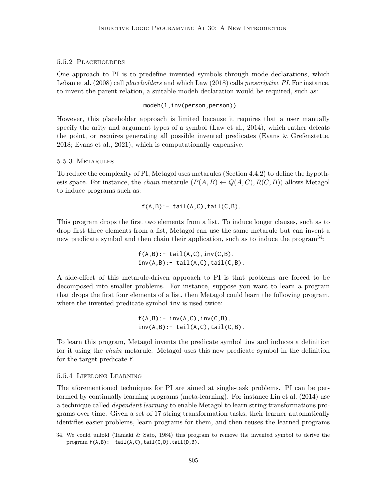#### 5.5.2 Placeholders

One approach to PI is to predefine invented symbols through mode declarations, which Leban et al. (2008) call *placeholders* and which Law (2018) calls *prescriptive PI*. For instance, to invent the parent relation, a suitable modeh declaration would be required, such as:

modeh(1,inv(person,person)).

However, this placeholder approach is limited because it requires that a user manually specify the arity and argument types of a symbol (Law et al., 2014), which rather defeats the point, or requires generating all possible invented predicates (Evans & Grefenstette, 2018; Evans et al., 2021), which is computationally expensive.

#### 5.5.3 Metarules

To reduce the complexity of PI, Metagol uses metarules (Section 4.4.2) to define the hypothesis space. For instance, the *chain* metarule  $(P(A, B) \leftarrow Q(A, C), R(C, B))$  allows Metagol to induce programs such as:

$$
f(A,B):
$$
 tail $(A,C)$ , tail $(C,B)$ .

This program drops the first two elements from a list. To induce longer clauses, such as to drop first three elements from a list, Metagol can use the same metarule but can invent a new predicate symbol and then chain their application, such as to induce the program<sup>34</sup>:

> $f(A,B)$ :- tail $(A,C)$ , inv $(C,B)$ .  $inv(A,B):$  tail $(A,C)$ , tail $(C,B)$ .

A side-effect of this metarule-driven approach to PI is that problems are forced to be decomposed into smaller problems. For instance, suppose you want to learn a program that drops the first four elements of a list, then Metagol could learn the following program, where the invented predicate symbol inv is used twice:

> $f(A,B)$ :-  $inv(A,C)$ ,  $inv(C,B)$ .  $inv(A,B):$  tail $(A,C)$ , tail $(C,B)$ .

To learn this program, Metagol invents the predicate symbol inv and induces a definition for it using the chain metarule. Metagol uses this new predicate symbol in the definition for the target predicate f.

#### 5.5.4 Lifelong Learning

The aforementioned techniques for PI are aimed at single-task problems. PI can be performed by continually learning programs (meta-learning). For instance Lin et al. (2014) use a technique called dependent learning to enable Metagol to learn string transformations programs over time. Given a set of 17 string transformation tasks, their learner automatically identifies easier problems, learn programs for them, and then reuses the learned programs

<sup>34.</sup> We could unfold (Tamaki & Sato, 1984) this program to remove the invented symbol to derive the program  $f(A,B)$ :- tail(A,C),tail(C,D),tail(D,B).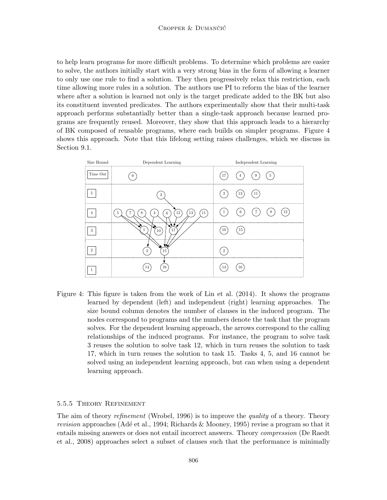to help learn programs for more difficult problems. To determine which problems are easier to solve, the authors initially start with a very strong bias in the form of allowing a learner to only use one rule to find a solution. They then progressively relax this restriction, each time allowing more rules in a solution. The authors use PI to reform the bias of the learner where after a solution is learned not only is the target predicate added to the BK but also its constituent invented predicates. The authors experimentally show that their multi-task approach performs substantially better than a single-task approach because learned programs are frequently reused. Moreover, they show that this approach leads to a hierarchy of BK composed of reusable programs, where each builds on simpler programs. Figure 4 shows this approach. Note that this lifelong setting raises challenges, which we discuss in Section 9.1.



Figure 4: This figure is taken from the work of Lin et al. (2014). It shows the programs learned by dependent (left) and independent (right) learning approaches. The size bound column denotes the number of clauses in the induced program. The nodes correspond to programs and the numbers denote the task that the program solves. For the dependent learning approach, the arrows correspond to the calling relationships of the induced programs. For instance, the program to solve task 3 reuses the solution to solve task 12, which in turn reuses the solution to task 17, which in turn reuses the solution to task 15. Tasks 4, 5, and 16 cannot be solved using an independent learning approach, but can when using a dependent learning approach.

#### 5.5.5 Theory Refinement

The aim of theory *refinement* (Wrobel, 1996) is to improve the *quality* of a theory. Theory revision approaches (Adé et al., 1994; Richards & Mooney, 1995) revise a program so that it entails missing answers or does not entail incorrect answers. Theory compression (De Raedt et al., 2008) approaches select a subset of clauses such that the performance is minimally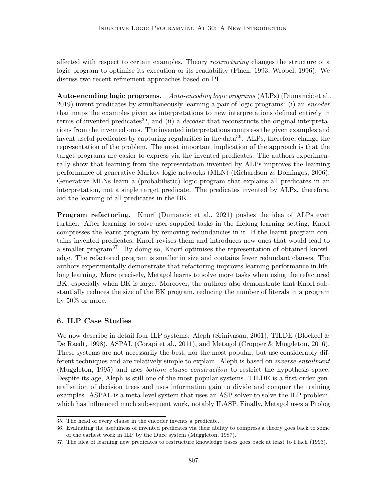affected with respect to certain examples. Theory *restructuring* changes the structure of a logic program to optimise its execution or its readability (Flach, 1993; Wrobel, 1996). We discuss two recent refinement approaches based on PI.

Auto-encoding logic programs. Auto-encoding logic programs  $(ALPs)$  (Dumančić et al., 2019) invent predicates by simultaneously learning a pair of logic programs: (i) an encoder that maps the examples given as interpretations to new interpretations defined entirely in terms of invented predicates<sup>35</sup>, and (ii) a *decoder* that reconstructs the original interpretations from the invented ones. The invented interpretations compress the given examples and invent useful predicates by capturing regularities in the data<sup>36</sup>. ALPs, therefore, change the representation of the problem. The most important implication of the approach is that the target programs are easier to express via the invented predicates. The authors experimentally show that learning from the representation invented by ALPs improves the learning performance of generative Markov logic networks (MLN) (Richardson & Domingos, 2006). Generative MLNs learn a (probabilistic) logic program that explains all predicates in an interpretation, not a single target predicate. The predicates invented by ALPs, therefore, aid the learning of all predicates in the BK.

Program refactoring. Knorf (Dumancic et al., 2021) pushes the idea of ALPs even further. After learning to solve user-supplied tasks in the lifelong learning setting, Knorf compresses the learnt program by removing redundancies in it. If the learnt program contains invented predicates, Knorf revises them and introduces new ones that would lead to a smaller program<sup>37</sup>. By doing so, Knorf optimises the representation of obtained knowledge. The refactored program is smaller in size and contains fewer redundant clauses. The authors experimentally demonstrate that refactoring improves learning performance in lifelong learning. More precisely, Metagol learns to solve more tasks when using the refactored BK, especially when BK is large. Moreover, the authors also demonstrate that Knorf substantially reduces the size of the BK program, reducing the number of literals in a program by 50% or more.

## 6. ILP Case Studies

We now describe in detail four ILP systems: Aleph (Srinivasan, 2001), TILDE (Blockeel & De Raedt, 1998), ASPAL (Corapi et al., 2011), and Metagol (Cropper & Muggleton, 2016). These systems are not necessarily the best, nor the most popular, but use considerably different techniques and are relatively simple to explain. Aleph is based on *inverse entailment* (Muggleton, 1995) and uses bottom clause construction to restrict the hypothesis space. Despite its age, Aleph is still one of the most popular systems. TILDE is a first-order generalisation of decision trees and uses information gain to divide and conquer the training examples. ASPAL is a meta-level system that uses an ASP solver to solve the ILP problem, which has influenced much subsequent work, notably ILASP. Finally, Metagol uses a Prolog

<sup>35.</sup> The head of every clause in the encoder invents a predicate.

<sup>36.</sup> Evaluating the usefulness of invented predicates via their ability to compress a theory goes back to some of the earliest work in ILP by the Duce system (Muggleton, 1987).

<sup>37.</sup> The idea of learning new predicates to restructure knowledge bases goes back at least to Flach (1993).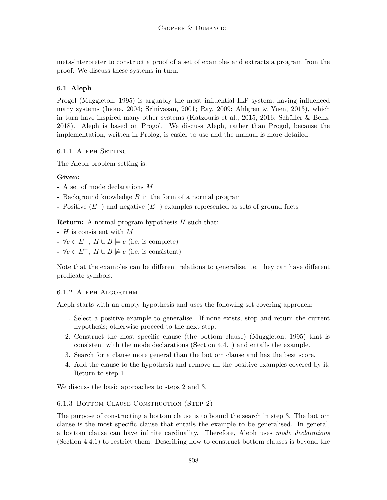meta-interpreter to construct a proof of a set of examples and extracts a program from the proof. We discuss these systems in turn.

# 6.1 Aleph

Progol (Muggleton, 1995) is arguably the most influential ILP system, having influenced many systems (Inoue, 2004; Srinivasan, 2001; Ray, 2009; Ahlgren & Yuen, 2013), which in turn have inspired many other systems (Katzouris et al., 2015, 2016; Schüller & Benz, 2018). Aleph is based on Progol. We discuss Aleph, rather than Progol, because the implementation, written in Prolog, is easier to use and the manual is more detailed.

## 6.1.1 Aleph Setting

The Aleph problem setting is:

# Given:

- A set of mode declarations M
- Background knowledge B in the form of a normal program
- Positive  $(E^+)$  and negative  $(E^-)$  examples represented as sets of ground facts

**Return:** A normal program hypothesis  $H$  such that:

- H is consistent with M
- $\rightarrow \forall e \in E^+$ ,  $H \cup B \models e$  (i.e. is complete)
- $\rightarrow \forall e \in E^-$ ,  $H \cup B \not\models e$  (i.e. is consistent)

Note that the examples can be different relations to generalise, i.e. they can have different predicate symbols.

## 6.1.2 Aleph Algorithm

Aleph starts with an empty hypothesis and uses the following set covering approach:

- 1. Select a positive example to generalise. If none exists, stop and return the current hypothesis; otherwise proceed to the next step.
- 2. Construct the most specific clause (the bottom clause) (Muggleton, 1995) that is consistent with the mode declarations (Section 4.4.1) and entails the example.
- 3. Search for a clause more general than the bottom clause and has the best score.
- 4. Add the clause to the hypothesis and remove all the positive examples covered by it. Return to step 1.

We discuss the basic approaches to steps 2 and 3.

## 6.1.3 Bottom Clause Construction (Step 2)

The purpose of constructing a bottom clause is to bound the search in step 3. The bottom clause is the most specific clause that entails the example to be generalised. In general, a bottom clause can have infinite cardinality. Therefore, Aleph uses mode declarations (Section 4.4.1) to restrict them. Describing how to construct bottom clauses is beyond the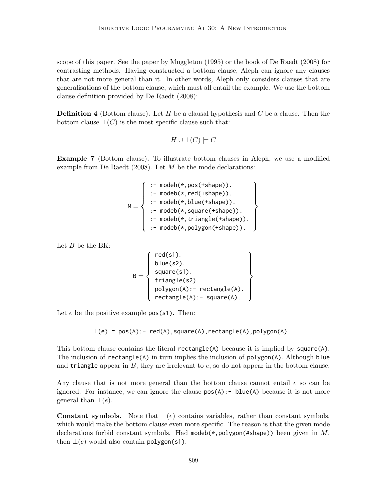scope of this paper. See the paper by Muggleton (1995) or the book of De Raedt (2008) for contrasting methods. Having constructed a bottom clause, Aleph can ignore any clauses that are not more general than it. In other words, Aleph only considers clauses that are generalisations of the bottom clause, which must all entail the example. We use the bottom clause definition provided by De Raedt (2008):

**Definition 4** (Bottom clause). Let  $H$  be a clausal hypothesis and  $C$  be a clause. Then the bottom clause  $\bot(C)$  is the most specific clause such that:

$$
H\cup\bot(C)\models C
$$

Example 7 (Bottom clause). To illustrate bottom clauses in Aleph, we use a modified example from De Raedt  $(2008)$ . Let M be the mode declarations:

$$
M = \left\{ \begin{array}{l} \text{ :- model}(*, \text{pos}(*\text{shape})). \\ \text{ :- modeb}(*, \text{red}(*\text{shape})). \\ \text{ :- modeb}(*, \text{blue}(*\text{shape})). \\ \text{ :- modeb}(*, \text{square}(*\text{shape})). \\ \text{ :- modeb}(*, \text{triangle}(*\text{shape})). \\ \text{ :- modeb}(*, \text{polygon}(*\text{shape})). \end{array} \right\}
$$

Let  $B$  be the BK:

$$
B = \left\{ \begin{array}{c} \text{red(s1).} \\ \text{blue(s2).} \\ \text{square(s1).} \\ \text{triangle(s2).} \\ \text{polygon(A):- rectangle(A).} \\ \text{rectangle(A):- square(A).} \end{array} \right\}
$$

red(s1).

Let  $e$  be the positive example  $pos(s1)$ . Then:

 $\bot$ (e) = pos(A):- red(A),square(A),rectangle(A),polygon(A).

This bottom clause contains the literal rectangle(A) because it is implied by square(A). The inclusion of rectangle(A) in turn implies the inclusion of polygon(A). Although blue and triangle appear in  $B$ , they are irrelevant to  $e$ , so do not appear in the bottom clause.

Any clause that is not more general than the bottom clause cannot entail e so can be ignored. For instance, we can ignore the clause  $pos(A)$ : - blue(A) because it is not more general than  $\perp(e)$ .

**Constant symbols.** Note that  $\bot(e)$  contains variables, rather than constant symbols, which would make the bottom clause even more specific. The reason is that the given mode declarations forbid constant symbols. Had modeb( $\star$ , polygon( $\sharp$ shape)) been given in M, then  $\perp(e)$  would also contain polygon(s1).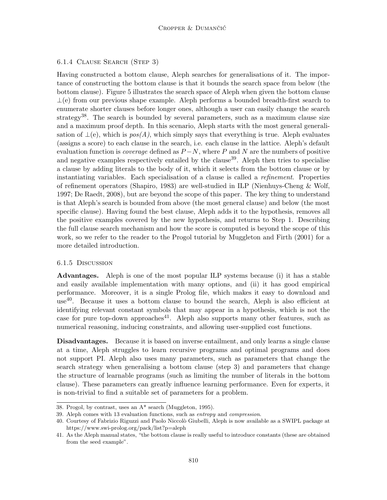### 6.1.4 Clause Search (Step 3)

Having constructed a bottom clause, Aleph searches for generalisations of it. The importance of constructing the bottom clause is that it bounds the search space from below (the bottom clause). Figure 5 illustrates the search space of Aleph when given the bottom clause  $\perp$ (e) from our previous shape example. Aleph performs a bounded breadth-first search to enumerate shorter clauses before longer ones, although a user can easily change the search strategy<sup>38</sup>. The search is bounded by several parameters, such as a maximum clause size and a maximum proof depth. In this scenario, Aleph starts with the most general generalisation of  $\bot$ (e), which is  $pos(A)$ , which simply says that everything is true. Aleph evaluates (assigns a score) to each clause in the search, i.e. each clause in the lattice. Aleph's default evaluation function is *coverage* defined as  $P-N$ , where P and N are the numbers of positive and negative examples respectively entailed by the clause<sup>39</sup>. Aleph then tries to specialise a clause by adding literals to the body of it, which it selects from the bottom clause or by instantiating variables. Each specialisation of a clause is called a refinement. Properties of refinement operators (Shapiro, 1983) are well-studied in ILP (Nienhuys-Cheng & Wolf, 1997; De Raedt, 2008), but are beyond the scope of this paper. The key thing to understand is that Aleph's search is bounded from above (the most general clause) and below (the most specific clause). Having found the best clause, Aleph adds it to the hypothesis, removes all the positive examples covered by the new hypothesis, and returns to Step 1. Describing the full clause search mechanism and how the score is computed is beyond the scope of this work, so we refer to the reader to the Progol tutorial by Muggleton and Firth (2001) for a more detailed introduction.

### 6.1.5 Discussion

Advantages. Aleph is one of the most popular ILP systems because (i) it has a stable and easily available implementation with many options, and (ii) it has good empirical performance. Moreover, it is a single Prolog file, which makes it easy to download and use40. Because it uses a bottom clause to bound the search, Aleph is also efficient at identifying relevant constant symbols that may appear in a hypothesis, which is not the case for pure top-down approaches<sup>41</sup>. Aleph also supports many other features, such as numerical reasoning, inducing constraints, and allowing user-supplied cost functions.

Disadvantages. Because it is based on inverse entailment, and only learns a single clause at a time, Aleph struggles to learn recursive programs and optimal programs and does not support PI. Aleph also uses many parameters, such as parameters that change the search strategy when generalising a bottom clause (step 3) and parameters that change the structure of learnable programs (such as limiting the number of literals in the bottom clause). These parameters can greatly influence learning performance. Even for experts, it is non-trivial to find a suitable set of parameters for a problem.

<sup>38.</sup> Progol, by contrast, uses an A\* search (Muggleton, 1995).

<sup>39.</sup> Aleph comes with 13 evaluation functions, such as entropy and compression.

<sup>40.</sup> Courtesy of Fabrizio Riguzzi and Paolo Niccolò Giubelli, Aleph is now available as a SWIPL package at https://www.swi-prolog.org/pack/list?p=aleph

<sup>41.</sup> As the Aleph manual states, "the bottom clause is really useful to introduce constants (these are obtained from the seed example".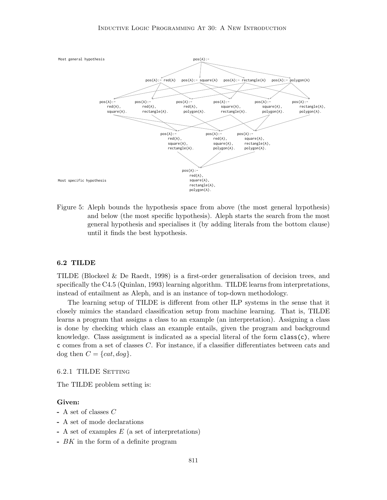

Figure 5: Aleph bounds the hypothesis space from above (the most general hypothesis) and below (the most specific hypothesis). Aleph starts the search from the most general hypothesis and specialises it (by adding literals from the bottom clause) until it finds the best hypothesis.

#### 6.2 TILDE

TILDE (Blockeel & De Raedt, 1998) is a first-order generalisation of decision trees, and specifically the C4.5 (Quinlan, 1993) learning algorithm. TILDE learns from interpretations, instead of entailment as Aleph, and is an instance of top-down methodology.

The learning setup of TILDE is different from other ILP systems in the sense that it closely mimics the standard classification setup from machine learning. That is, TILDE learns a program that assigns a class to an example (an interpretation). Assigning a class is done by checking which class an example entails, given the program and background knowledge. Class assignment is indicated as a special literal of the form  $class(c)$ , where c comes from a set of classes C. For instance, if a classifier differentiates between cats and dog then  $C = \{cat, dog\}.$ 

#### 6.2.1 TILDE SETTING

The TILDE problem setting is:

#### Given:

- A set of classes C
- A set of mode declarations
- $-$  A set of examples  $E$  (a set of interpretations)
- BK in the form of a definite program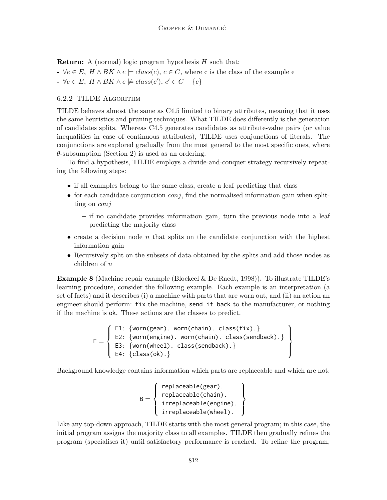**Return:** A (normal) logic program hypothesis  $H$  such that:

- $\prec \forall e \in E, H \wedge BK \wedge e \models class(c), c \in C$ , where c is the class of the example e
- $\forall e \in E, H \wedge BK \wedge e \not\models class(c'), c' \in C \{c\}$

#### 6.2.2 TILDE Algorithm

TILDE behaves almost the same as C4.5 limited to binary attributes, meaning that it uses the same heuristics and pruning techniques. What TILDE does differently is the generation of candidates splits. Whereas C4.5 generates candidates as attribute-value pairs (or value inequalities in case of continuous attributes), TILDE uses conjunctions of literals. The conjunctions are explored gradually from the most general to the most specific ones, where  $\theta$ -subsumption (Section 2) is used as an ordering.

To find a hypothesis, TILDE employs a divide-and-conquer strategy recursively repeating the following steps:

- if all examples belong to the same class, create a leaf predicting that class
- for each candidate conjunction  $\text{conj}$ , find the normalised information gain when splitting on *conj* 
	- if no candidate provides information gain, turn the previous node into a leaf predicting the majority class
- create a decision node n that splits on the candidate conjunction with the highest information gain
- Recursively split on the subsets of data obtained by the splits and add those nodes as children of n

**Example 8** (Machine repair example (Blockeel & De Raedt, 1998)). To illustrate TILDE's learning procedure, consider the following example. Each example is an interpretation (a set of facts) and it describes (i) a machine with parts that are worn out, and (ii) an action an engineer should perform: fix the machine, send it back to the manufacturer, or nothing if the machine is ok. These actions are the classes to predict.

$$
E = \left\{ \begin{array}{ll} \text{E1: } \{ \text{worm(gear)}.\ \text{worm(chain)}.\ \text{class(fix)}. \} \\ \text{E2: } \{ \text{worm(engine)}.\ \text{worm(chain)}.\ \text{class(sendback)}. \} \\ \text{E3: } \{ \text{worm(wheel)}.\ \text{class(sendback)}. \} \\ \text{E4: } \{ \text{class(ok)}. \} \end{array} \right\}
$$

Background knowledge contains information which parts are replaceable and which are not:

$$
B = \left\{ \begin{array}{c} \text{replaceable(gear).} \\ \text{replaceable(chain).} \\ \text{irreplaceable(engine).} \\ \text{irreplaceable(wheel).} \end{array} \right\}
$$

Like any top-down approach, TILDE starts with the most general program; in this case, the initial program assigns the majority class to all examples. TILDE then gradually refines the program (specialises it) until satisfactory performance is reached. To refine the program,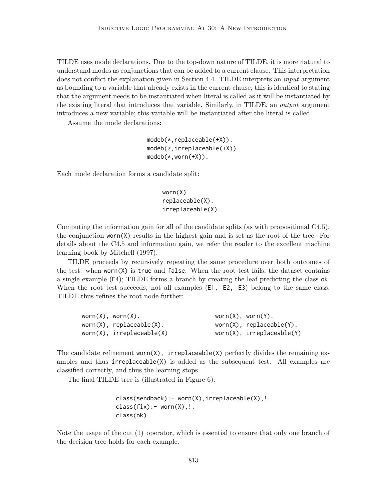TILDE uses mode declarations. Due to the top-down nature of TILDE, it is more natural to understand modes as conjunctions that can be added to a current clause. This interpretation does not conflict the explanation given in Section 4.4. TILDE interprets an *input* argument as bounding to a variable that already exists in the current clause; this is identical to stating that the argument needs to be instantiated when literal is called as it will be instantiated by the existing literal that introduces that variable. Similarly, in TILDE, an output argument introduces a new variable; this variable will be instantiated after the literal is called.

Assume the mode declarations:

```
modeb(*,replaceable(+X)).
modeb(*,irreplaceable(+X)).
model(*,worm(+X)).
```
Each mode declaration forms a candidate split:

```
worn(X).
replaceable(X).
irreplaceable(X).
```
Computing the information gain for all of the candidate splits (as with propositional C4.5), the conjunction worn(X) results in the highest gain and is set as the root of the tree. For details about the C4.5 and information gain, we refer the reader to the excellent machine learning book by Mitchell (1997).

TILDE proceeds by recursively repeating the same procedure over both outcomes of the test: when  $word(X)$  is true and false. When the root test fails, the dataset contains a single example (E4); TILDE forms a branch by creating the leaf predicting the class ok. When the root test succeeds, not all examples (E1, E2, E3) belong to the same class. TILDE thus refines the root node further:

| $word(X)$ , worn $(X)$ .        | $word(X)$ , worn $(Y)$ . |                                |
|---------------------------------|--------------------------|--------------------------------|
| $word(X)$ , replaceable $(X)$ . |                          | $worn(X)$ , replaceable(Y).    |
| $worm(X)$ , irreplaceable $(X)$ |                          | $worm(X)$ , $irreplaceable(Y)$ |

The candidate refinement worn $(X)$ , irreplaceable $(X)$  perfectly divides the remaining examples and thus  $irreplaceable(X)$  is added as the subsequent test. All examples are classified correctly, and thus the learning stops.

The final TILDE tree is (illustrated in Figure 6):

```
class(sendback):- worn(X),irreplaceable(X),!.
class(fix):=worm(X),!.
class(ok).
```
Note the usage of the cut (!) operator, which is essential to ensure that only one branch of the decision tree holds for each example.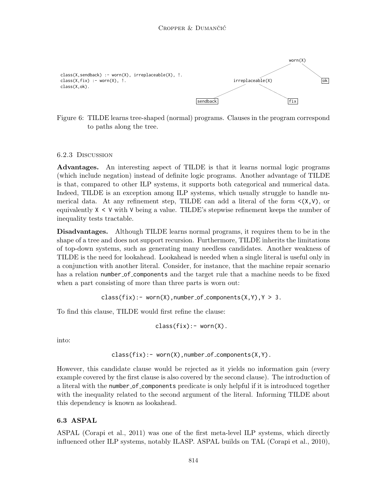

Figure 6: TILDE learns tree-shaped (normal) programs. Clauses in the program correspond to paths along the tree.

#### 6.2.3 Discussion

Advantages. An interesting aspect of TILDE is that it learns normal logic programs (which include negation) instead of definite logic programs. Another advantage of TILDE is that, compared to other ILP systems, it supports both categorical and numerical data. Indeed, TILDE is an exception among ILP systems, which usually struggle to handle numerical data. At any refinement step, TILDE can add a literal of the form  $\langle (X, V) \rangle$ , or equivalently  $X \leq V$  with V being a value. TILDE's stepwise refinement keeps the number of inequality tests tractable.

Disadvantages. Although TILDE learns normal programs, it requires them to be in the shape of a tree and does not support recursion. Furthermore, TILDE inherits the limitations of top-down systems, such as generating many needless candidates. Another weakness of TILDE is the need for lookahead. Lookahead is needed when a single literal is useful only in a conjunction with another literal. Consider, for instance, that the machine repair scenario has a relation number of components and the target rule that a machine needs to be fixed when a part consisting of more than three parts is worn out:

 $class(fix):=worm(X)$ , number\_of\_components(X,Y),  $Y > 3$ .

To find this clause, TILDE would first refine the clause:

$$
class(fix):=worm(X).
$$

into:

$$
class(fix):=worm(X), number_of_{components(X,Y)}.
$$

However, this candidate clause would be rejected as it yields no information gain (every example covered by the first clause is also covered by the second clause). The introduction of a literal with the number of components predicate is only helpful if it is introduced together with the inequality related to the second argument of the literal. Informing TILDE about this dependency is known as lookahead.

#### 6.3 ASPAL

ASPAL (Corapi et al., 2011) was one of the first meta-level ILP systems, which directly influenced other ILP systems, notably ILASP. ASPAL builds on TAL (Corapi et al., 2010),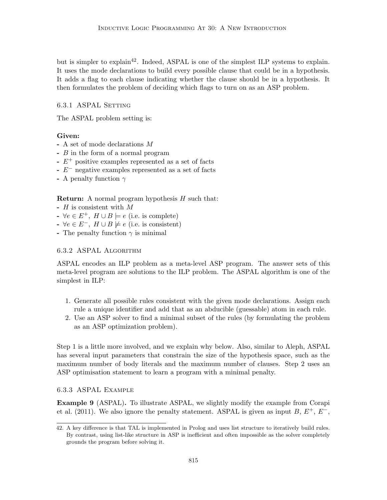but is simpler to explain<sup>42</sup>. Indeed, ASPAL is one of the simplest ILP systems to explain. It uses the mode declarations to build every possible clause that could be in a hypothesis. It adds a flag to each clause indicating whether the clause should be in a hypothesis. It then formulates the problem of deciding which flags to turn on as an ASP problem.

6.3.1 ASPAL SETTING

The ASPAL problem setting is:

### Given:

- A set of mode declarations M
- B in the form of a normal program
- $-E^+$  positive examples represented as a set of facts
- E<sup>−</sup> negative examples represented as a set of facts
- A penalty function  $\gamma$

**Return:** A normal program hypothesis  $H$  such that:

- H is consistent with M
- $\forall e \in E^+$ ,  $H \cup B \models e$  (i.e. is complete)
- $\rightarrow \forall e \in E^-$ ,  $H \cup B \not\models e$  (i.e. is consistent)
- The penalty function  $\gamma$  is minimal

### 6.3.2 ASPAL Algorithm

ASPAL encodes an ILP problem as a meta-level ASP program. The answer sets of this meta-level program are solutions to the ILP problem. The ASPAL algorithm is one of the simplest in ILP:

- 1. Generate all possible rules consistent with the given mode declarations. Assign each rule a unique identifier and add that as an abducible (guessable) atom in each rule.
- 2. Use an ASP solver to find a minimal subset of the rules (by formulating the problem as an ASP optimization problem).

Step 1 is a little more involved, and we explain why below. Also, similar to Aleph, ASPAL has several input parameters that constrain the size of the hypothesis space, such as the maximum number of body literals and the maximum number of clauses. Step 2 uses an ASP optimisation statement to learn a program with a minimal penalty.

### 6.3.3 ASPAL Example

Example 9 (ASPAL). To illustrate ASPAL, we slightly modify the example from Corapi et al. (2011). We also ignore the penalty statement. ASPAL is given as input B,  $E^+$ ,  $E^-$ ,

<sup>42.</sup> A key difference is that TAL is implemented in Prolog and uses list structure to iteratively build rules. By contrast, using list-like structure in ASP is inefficient and often impossible as the solver completely grounds the program before solving it.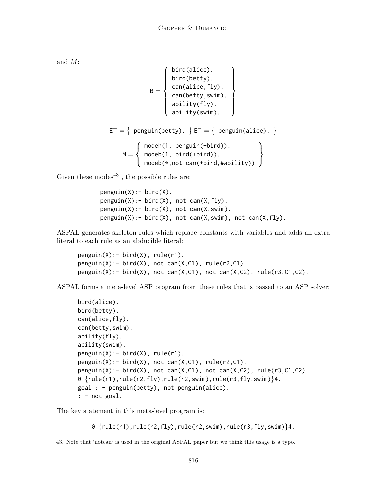and M:

$$
E^{+} = \left\{ \begin{array}{c} \text{bird(alice).} \\ \text{bird(betty).} \\ \text{can(alice, fly).} \\ \text{can(betty, swim).} \\ \text{ability(fly).} \\ \text{ability(swim).} \end{array} \right\}
$$

$$
E^{+} = \left\{ \begin{array}{c} \text{penguin(betty).} \\ \text{penguin(betty).} \end{array} \right\} E^{-} = \left\{ \begin{array}{c} \text{penguin(alice).} \\ \text{penguin(betty).} \end{array} \right\}
$$

$$
M = \left\{ \begin{array}{c} \text{model}(1, \text{penguin(bird)).} \\ \text{model}(1, \text{bird(bird)).} \\ \text{modeb(*, not can(bbird, #ability))} \end{array} \right\}
$$

Given these modes<sup>43</sup>, the possible rules are:

```
penguin(X):- bird(X).
penguin(X):- bird(X), not can(X, fly).
penguin(X):- bird(X), not can(X, swim).
penguin(X): bird(X), not can(X, swim), not can(X, fly).
```
ASPAL generates skeleton rules which replace constants with variables and adds an extra literal to each rule as an abducible literal:

```
penguin(X):- bird(X), rule(r1).
penguin(X): bird(X), not can(X,C1), rule(r2,C1).
penguin(X): bird(X), not can(X,C1), not can(X,C2), rule(r3,C1,C2).
```
ASPAL forms a meta-level ASP program from these rules that is passed to an ASP solver:

```
bird(alice).
bird(betty).
can(alice,fly).
can(betty,swim).
ability(fly).
ability(swim).
penguin(X):= bird(X), rule(r1).penguin(X): bird(X), not can(X,C1), rule(r2,C1).
penguin(X):- bird(X), not can(X,C1), not can(X,C2), rule(r3,C1,C2).
0 \{rule(r1),rule(r2,fly),rule(r2,swin),rule(r3,fly,swim)\}4.
goal : - penguin(betty), not penguin(alice).
: - not goal.
```
The key statement in this meta-level program is:

 $0 \{rule(r1),rule(r2,fly),rule(r2,swin),rule(r3,fly,swim)\}$ 4.

<sup>43.</sup> Note that 'notcan' is used in the original ASPAL paper but we think this usage is a typo.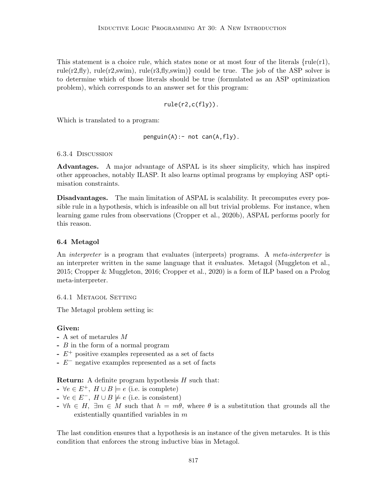This statement is a choice rule, which states none or at most four of the literals  $\{\text{rule}(r1),\}$ rule(r2,fly), rule(r2,swim), rule(r3,fly,swim)} could be true. The job of the ASP solver is to determine which of those literals should be true (formulated as an ASP optimization problem), which corresponds to an answer set for this program:

$$
rule(r2, c(fly)).
$$

Which is translated to a program:

 $penguin(A):$ - not can $(A, fly)$ .

### 6.3.4 Discussion

Advantages. A major advantage of ASPAL is its sheer simplicity, which has inspired other approaches, notably ILASP. It also learns optimal programs by employing ASP optimisation constraints.

Disadvantages. The main limitation of ASPAL is scalability. It precomputes every possible rule in a hypothesis, which is infeasible on all but trivial problems. For instance, when learning game rules from observations (Cropper et al., 2020b), ASPAL performs poorly for this reason.

### 6.4 Metagol

An *interpreter* is a program that evaluates (interprets) programs. A *meta-interpreter* is an interpreter written in the same language that it evaluates. Metagol (Muggleton et al., 2015; Cropper & Muggleton, 2016; Cropper et al., 2020) is a form of ILP based on a Prolog meta-interpreter.

### 6.4.1 Metagol Setting

The Metagol problem setting is:

### Given:

- A set of metarules M
- B in the form of a normal program
- $-E^+$  positive examples represented as a set of facts
- E<sup>−</sup> negative examples represented as a set of facts

### **Return:** A definite program hypothesis  $H$  such that:

- $\rightarrow \forall e \in E^+, H \cup B \models e$  (i.e. is complete)
- $\rightarrow \forall e \in E^-$ ,  $H \cup B \not\models e$  (i.e. is consistent)
- $\forall h \in H$ ,  $\exists m \in M$  such that  $h = m\theta$ , where  $\theta$  is a substitution that grounds all the existentially quantified variables in m

The last condition ensures that a hypothesis is an instance of the given metarules. It is this condition that enforces the strong inductive bias in Metagol.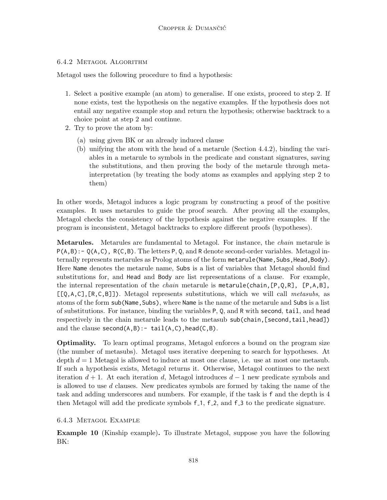## 6.4.2 Metagol Algorithm

Metagol uses the following procedure to find a hypothesis:

- 1. Select a positive example (an atom) to generalise. If one exists, proceed to step 2. If none exists, test the hypothesis on the negative examples. If the hypothesis does not entail any negative example stop and return the hypothesis; otherwise backtrack to a choice point at step 2 and continue.
- 2. Try to prove the atom by:
	- (a) using given BK or an already induced clause
	- (b) unifying the atom with the head of a metarule (Section 4.4.2), binding the variables in a metarule to symbols in the predicate and constant signatures, saving the substitutions, and then proving the body of the metarule through metainterpretation (by treating the body atoms as examples and applying step 2 to them)

In other words, Metagol induces a logic program by constructing a proof of the positive examples. It uses metarules to guide the proof search. After proving all the examples, Metagol checks the consistency of the hypothesis against the negative examples. If the program is inconsistent, Metagol backtracks to explore different proofs (hypotheses).

Metarules. Metarules are fundamental to Metagol. For instance, the *chain* metarule is  $P(A,B)$ : -  $Q(A,C)$ ,  $R(C,B)$ . The letters P, Q, and R denote second-order variables. Metagol internally represents metarules as Prolog atoms of the form metarule (Name, Subs, Head, Body). Here Name denotes the metarule name, Subs is a list of variables that Metagol should find substitutions for, and Head and Body are list representations of a clause. For example, the internal representation of the *chain* metarule is metarule(chain,  $[P,Q,R]$ ,  $[P,A,B]$ ,  $[Q,A,C]$ ,  $[R,C,B]$ ). Metagol represents substitutions, which we will call metasubs, as atoms of the form sub(Name, Subs), where Name is the name of the metarule and Subs is a list of substitutions. For instance, binding the variables P, Q, and R with second, tail, and head respectively in the chain metarule leads to the metasub sub(chain,[second,tail,head]) and the clause  $second(A, B) : - tail(A, C)$ , head(C,B).

Optimality. To learn optimal programs, Metagol enforces a bound on the program size (the number of metasubs). Metagol uses iterative deepening to search for hypotheses. At depth  $d = 1$  Metagol is allowed to induce at most one clause, i.e. use at most one metasub. If such a hypothesis exists, Metagol returns it. Otherwise, Metagol continues to the next iteration  $d + 1$ . At each iteration d, Metagol introduces  $d - 1$  new predicate symbols and is allowed to use  $d$  clauses. New predicates symbols are formed by taking the name of the task and adding underscores and numbers. For example, if the task is f and the depth is 4 then Metagol will add the predicate symbols f<sub>-1</sub>, f<sub>-2</sub>, and f<sub>-3</sub> to the predicate signature.

## 6.4.3 Metagol Example

Example 10 (Kinship example). To illustrate Metagol, suppose you have the following BK: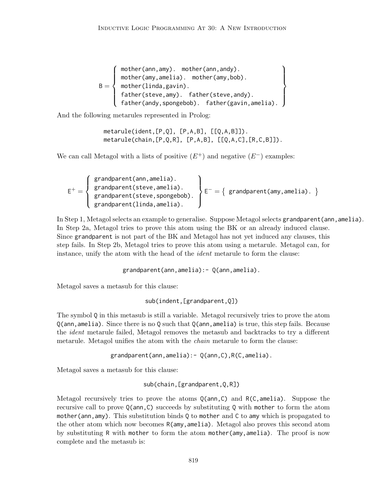$B =$  $\sqrt{ }$  $\int$  $\overline{\mathcal{L}}$ mother(ann,amy). mother(ann,andy). mother(amy,amelia). mother(amy,bob). mother(linda,gavin). father(steve,amy). father(steve,andy). father(andy,spongebob). father(gavin,amelia).  $\mathcal{L}$  $\overline{\mathcal{L}}$  $\int$ 

And the following metarules represented in Prolog:

metarule(ident,[P,Q], [P,A,B], [[Q,A,B]]). metarule(chain,[P,Q,R], [P,A,B], [[Q,A,C],[R,C,B]]).

We can call Metagol with a lists of positive  $(E^+)$  and negative  $(E^-)$  examples:

$$
E^{+} = \left\{\begin{array}{l}\text{grandparent(ann, amelia).}\\\text{grandparent(steve, amelia).}\\\text{grandparent(steve, spongebob).}\\\text{grandparent(linda, amelia).}\end{array}\right\} E^{-} = \left\{\begin{array}{l}\text{grandparent(amy, amelia).}\\\end{array}\right\}
$$

In Step 1, Metagol selects an example to generalise. Suppose Metagol selects grandparent(ann,amelia). In Step 2a, Metagol tries to prove this atom using the BK or an already induced clause. Since grandparent is not part of the BK and Metagol has not yet induced any clauses, this step fails. In Step 2b, Metagol tries to prove this atom using a metarule. Metagol can, for instance, unify the atom with the head of the *ident* metarule to form the clause:

grandparent(ann,amelia):- Q(ann,amelia).

Metagol saves a metasub for this clause:

sub(indent,[grandparent,Q])

The symbol Q in this metasub is still a variable. Metagol recursively tries to prove the atom Q(ann,amelia). Since there is no Q such that Q(ann,amelia) is true, this step fails. Because the *ident* metarule failed, Metagol removes the metasub and backtracks to try a different metarule. Metagol unifies the atom with the *chain* metarule to form the clause:

grandparent(ann,amelia):- Q(ann,C),R(C,amelia).

Metagol saves a metasub for this clause:

sub(chain,[grandparent,Q,R])

Metagol recursively tries to prove the atoms  $Q(\text{ann}, C)$  and  $R(C, \text{amelia})$ . Suppose the recursive call to prove  $Q(\text{ann},C)$  succeeds by substituting Q with mother to form the atom mother(ann,amy). This substitution binds Q to mother and C to amy which is propagated to the other atom which now becomes R(amy, amelia). Metagol also proves this second atom by substituting R with mother to form the atom mother(amy, amelia). The proof is now complete and the metasub is: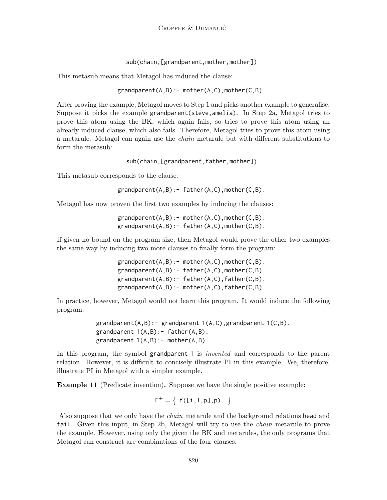sub(chain, [grandparent, mother, mother])

This metasub means that Metagol has induced the clause:

 $grandparent(A,B):$ - mother(A,C), mother(C,B).

After proving the example, Metagol moves to Step 1 and picks another example to generalise. Suppose it picks the example grandparent(steve, amelia). In Step 2a, Metagol tries to prove this atom using the BK, which again fails, so tries to prove this atom using an already induced clause, which also fails. Therefore, Metagol tries to prove this atom using a metarule. Metagol can again use the chain metarule but with different substitutions to form the metasub:

sub(chain, [grandparent, father, mother])

This metasub corresponds to the clause:

grandparent(A,B):- father(A,C),mother(C,B).

Metagol has now proven the first two examples by inducing the clauses:

 $grandparent(A,B):$ - mother(A,C), mother(C,B). grandparent(A,B):- father(A,C),mother(C,B).

If given no bound on the program size, then Metagol would prove the other two examples the same way by inducing two more clauses to finally form the program:

> $grandparent(A,B):$ - mother $(A,C)$ , mother $(C,B)$ . grandparent(A,B):- father(A,C),mother(C,B). grandparent(A,B):- father(A,C),father(C,B). grandparent(A,B):- mother(A,C),father(C,B).

In practice, however, Metagol would not learn this program. It would induce the following program:

> $grandparent(A,B):$ - grandparent<sub>-1</sub>(A,C), grandparent<sub>-1</sub>(C,B).  $grandparent_1(A,B):$ - father $(A,B)$ .  $grandparent_1(A,B):$  - mother $(A,B)$ .

In this program, the symbol grandparent is *invented* and corresponds to the parent relation. However, it is difficult to concisely illustrate PI in this example. We, therefore, illustrate PI in Metagol with a simpler example.

Example 11 (Predicate invention). Suppose we have the single positive example:

 $E^+ = \{ f([i,1,p],p) . \}$ 

Also suppose that we only have the chain metarule and the background relations head and tail. Given this input, in Step 2b, Metagol will try to use the chain metarule to prove the example. However, using only the given the BK and metarules, the only programs that Metagol can construct are combinations of the four clauses: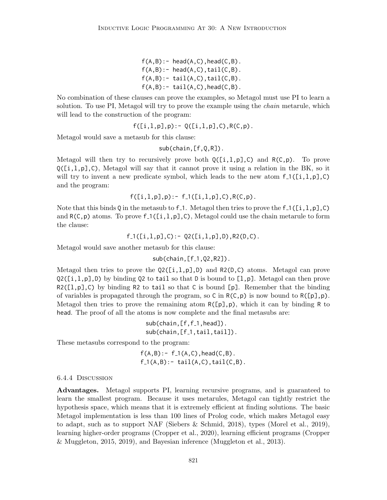$f(A,B):$  - head( $A,C$ ), head( $C,B$ ).  $f(A,B):$  head $(A,C)$ , tail $(C,B)$ .  $f(A,B):$ - tail $(A,C)$ , tail $(C,B)$ .  $f(A,B):$  tail(A,C), head(C,B).

No combination of these clauses can prove the examples, so Metagol must use PI to learn a solution. To use PI, Metagol will try to prove the example using the *chain* metarule, which will lead to the construction of the program:

$$
f([i, l, p], p) := Q([i, l, p], C), R(C, p).
$$

Metagol would save a metasub for this clause:

sub(chain,[f,Q,R]).

Metagol will then try to recursively prove both  $Q([i,1,p],\mathcal{C})$  and  $R(\mathcal{C},p)$ . To prove  $Q([i,1,p],\mathcal{C})$ , Metagol will say that it cannot prove it using a relation in the BK, so it will try to invent a new predicate symbol, which leads to the new atom  $f_1([i,1,p],\mathcal{C})$ and the program:

$$
f([i,1,p],p):=f_1([i,1,p],C),R(C,p).
$$

Note that this binds Q in the metasub to f.1. Metagol then tries to prove the f.1([i,l,p],C) and  $R(C, p)$  atoms. To prove f  $($ [i,l,p],C), Metagol could use the chain metarule to form the clause:

 $f_1([i,1,p],0)$ : - Q2( $[i,1,p],0)$ , R2( $[D,C)$ .

Metagol would save another metasub for this clause:

 $sub(chain, [f_1, Q_2, R_2])$ .

Metagol then tries to prove the  $Q2([i,1,p],D)$  and  $R2(D,C)$  atoms. Metagol can prove  $Q2([i,l,p],D)$  by binding Q2 to tail so that D is bound to [1,p]. Metagol can then prove  $R2([1,p],\mathcal{C})$  by binding R2 to tail so that C is bound [p]. Remember that the binding of variables is propagated through the program, so C in  $R(C, p)$  is now bound to  $R([p], p)$ . Metagol then tries to prove the remaining atom  $R([\rho], p)$ , which it can by binding R to head. The proof of all the atoms is now complete and the final metasubs are:

> $sub(chain, [f, f_1, head])$ . sub(chain, [f<sup>1</sup>, tail, tail]).

These metasubs correspond to the program:

 $f(A,B) := f_1(A,C)$ , head( $C,B$ ).  $f_1(A,B):$  tail(A,C),tail(C,B).

#### 6.4.4 Discussion

Advantages. Metagol supports PI, learning recursive programs, and is guaranteed to learn the smallest program. Because it uses metarules, Metagol can tightly restrict the hypothesis space, which means that it is extremely efficient at finding solutions. The basic Metagol implementation is less than 100 lines of Prolog code, which makes Metagol easy to adapt, such as to support NAF (Siebers & Schmid, 2018), types (Morel et al., 2019), learning higher-order programs (Cropper et al., 2020), learning efficient programs (Cropper & Muggleton, 2015, 2019), and Bayesian inference (Muggleton et al., 2013).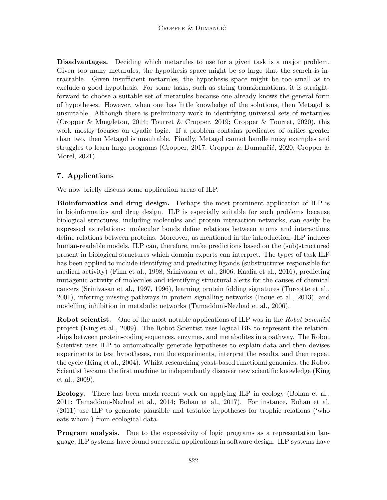Disadvantages. Deciding which metarules to use for a given task is a major problem. Given too many metarules, the hypothesis space might be so large that the search is intractable. Given insufficient metarules, the hypothesis space might be too small as to exclude a good hypothesis. For some tasks, such as string transformations, it is straightforward to choose a suitable set of metarules because one already knows the general form of hypotheses. However, when one has little knowledge of the solutions, then Metagol is unsuitable. Although there is preliminary work in identifying universal sets of metarules (Cropper & Muggleton, 2014; Tourret & Cropper, 2019; Cropper & Tourret, 2020), this work mostly focuses on dyadic logic. If a problem contains predicates of arities greater than two, then Metagol is unsuitable. Finally, Metagol cannot handle noisy examples and struggles to learn large programs (Cropper, 2017; Cropper & Dumančić, 2020; Cropper & Morel, 2021).

# 7. Applications

We now briefly discuss some application areas of ILP.

Bioinformatics and drug design. Perhaps the most prominent application of ILP is in bioinformatics and drug design. ILP is especially suitable for such problems because biological structures, including molecules and protein interaction networks, can easily be expressed as relations: molecular bonds define relations between atoms and interactions define relations between proteins. Moreover, as mentioned in the introduction, ILP induces human-readable models. ILP can, therefore, make predictions based on the (sub)structured present in biological structures which domain experts can interpret. The types of task ILP has been applied to include identifying and predicting ligands (substructures responsible for medical activity) (Finn et al., 1998; Srinivasan et al., 2006; Kaalia et al., 2016), predicting mutagenic activity of molecules and identifying structural alerts for the causes of chemical cancers (Srinivasan et al., 1997, 1996), learning protein folding signatures (Turcotte et al., 2001), inferring missing pathways in protein signalling networks (Inoue et al., 2013), and modelling inhibition in metabolic networks (Tamaddoni-Nezhad et al., 2006).

**Robot scientist.** One of the most notable applications of ILP was in the Robot Scientist project (King et al., 2009). The Robot Scientist uses logical BK to represent the relationships between protein-coding sequences, enzymes, and metabolites in a pathway. The Robot Scientist uses ILP to automatically generate hypotheses to explain data and then devises experiments to test hypotheses, run the experiments, interpret the results, and then repeat the cycle (King et al., 2004). Whilst researching yeast-based functional genomics, the Robot Scientist became the first machine to independently discover new scientific knowledge (King et al., 2009).

Ecology. There has been much recent work on applying ILP in ecology (Bohan et al., 2011; Tamaddoni-Nezhad et al., 2014; Bohan et al., 2017). For instance, Bohan et al. (2011) use ILP to generate plausible and testable hypotheses for trophic relations ('who eats whom') from ecological data.

**Program analysis.** Due to the expressivity of logic programs as a representation language, ILP systems have found successful applications in software design. ILP systems have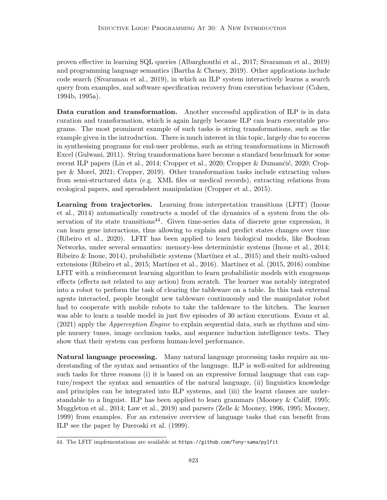proven effective in learning SQL queries (Albarghouthi et al., 2017; Sivaraman et al., 2019) and programming language semantics (Bartha & Cheney, 2019). Other applications include code search (Sivaraman et al., 2019), in which an ILP system interactively learns a search query from examples, and software specification recovery from execution behaviour (Cohen, 1994b, 1995a).

Data curation and transformation. Another successful application of ILP is in data curation and transformation, which is again largely because ILP can learn executable programs. The most prominent example of such tasks is string transformations, such as the example given in the introduction. There is much interest in this topic, largely due to success in synthesising programs for end-user problems, such as string transformations in Microsoft Excel (Gulwani, 2011). String transformations have become a standard benchmark for some recent ILP papers (Lin et al., 2014; Cropper et al., 2020; Cropper & Dumančić, 2020; Cropper & Morel, 2021; Cropper, 2019). Other transformation tasks include extracting values from semi-structured data (e.g. XML files or medical records), extracting relations from ecological papers, and spreadsheet manipulation (Cropper et al., 2015).

Learning from trajectories. Learning from interpretation transitions (LFIT) (Inoue et al., 2014) automatically constructs a model of the dynamics of a system from the observation of its state transitions<sup>44</sup>. Given time-series data of discrete gene expression, it can learn gene interactions, thus allowing to explain and predict states changes over time (Ribeiro et al., 2020). LFIT has been applied to learn biological models, like Boolean Networks, under several semantics: memory-less deterministic systems (Inoue et al., 2014; Ribeiro & Inoue, 2014), probabilistic systems (Martínez et al., 2015) and their multi-valued extensions (Ribeiro et al., 2015; Martínez et al., 2016). Martínez et al. (2015, 2016) combine LFIT with a reinforcement learning algorithm to learn probabilistic models with exogenous effects (effects not related to any action) from scratch. The learner was notably integrated into a robot to perform the task of clearing the tableware on a table. In this task external agents interacted, people brought new tableware continuously and the manipulator robot had to cooperate with mobile robots to take the tableware to the kitchen. The learner was able to learn a usable model in just five episodes of 30 action executions. Evans et al.  $(2021)$  apply the *Apperception Engine* to explain sequential data, such as rhythms and simple nursery tunes, image occlusion tasks, and sequence induction intelligence tests. They show that their system can perform human-level performance.

Natural language processing. Many natural language processing tasks require an understanding of the syntax and semantics of the language. ILP is well-suited for addressing such tasks for three reasons (i) it is based on an expressive formal language that can capture/respect the syntax and semantics of the natural language, (ii) linguistics knowledge and principles can be integrated into ILP systems, and (iii) the learnt clauses are understandable to a linguist. ILP has been applied to learn grammars (Mooney & Califf, 1995; Muggleton et al., 2014; Law et al., 2019) and parsers (Zelle & Mooney, 1996, 1995; Mooney, 1999) from examples. For an extensive overview of language tasks that can benefit from ILP see the paper by Dzeroski et al. (1999).

<sup>44.</sup> The LFIT implementations are available at https://github.com/Tony-sama/pylfit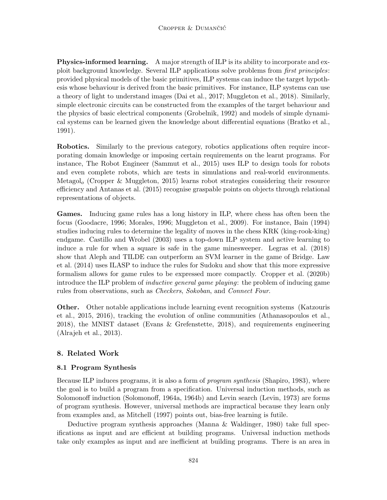Physics-informed learning. A major strength of ILP is its ability to incorporate and exploit background knowledge. Several ILP applications solve problems from first principles: provided physical models of the basic primitives, ILP systems can induce the target hypothesis whose behaviour is derived from the basic primitives. For instance, ILP systems can use a theory of light to understand images (Dai et al., 2017; Muggleton et al., 2018). Similarly, simple electronic circuits can be constructed from the examples of the target behaviour and the physics of basic electrical components (Grobelnik, 1992) and models of simple dynamical systems can be learned given the knowledge about differential equations (Bratko et al., 1991).

Robotics. Similarly to the previous category, robotics applications often require incorporating domain knowledge or imposing certain requirements on the learnt programs. For instance, The Robot Engineer (Sammut et al., 2015) uses ILP to design tools for robots and even complete robots, which are tests in simulations and real-world environments. Metagol<sub>o</sub> (Cropper & Muggleton, 2015) learns robot strategies considering their resource efficiency and Antanas et al. (2015) recognise graspable points on objects through relational representations of objects.

Games. Inducing game rules has a long history in ILP, where chess has often been the focus (Goodacre, 1996; Morales, 1996; Muggleton et al., 2009). For instance, Bain (1994) studies inducing rules to determine the legality of moves in the chess KRK (king-rook-king) endgame. Castillo and Wrobel (2003) uses a top-down ILP system and active learning to induce a rule for when a square is safe in the game minesweeper. Legras et al. (2018) show that Aleph and TILDE can outperform an SVM learner in the game of Bridge. Law et al. (2014) uses ILASP to induce the rules for Sudoku and show that this more expressive formalism allows for game rules to be expressed more compactly. Cropper et al. (2020b) introduce the ILP problem of inductive general game playing: the problem of inducing game rules from observations, such as *Checkers*, *Sokoban*, and *Connect Four.* 

Other. Other notable applications include learning event recognition systems (Katzouris et al., 2015, 2016), tracking the evolution of online communities (Athanasopoulos et al., 2018), the MNIST dataset (Evans & Grefenstette, 2018), and requirements engineering (Alrajeh et al., 2013).

# 8. Related Work

## 8.1 Program Synthesis

Because ILP induces programs, it is also a form of *program synthesis* (Shapiro, 1983), where the goal is to build a program from a specification. Universal induction methods, such as Solomonoff induction (Solomonoff, 1964a, 1964b) and Levin search (Levin, 1973) are forms of program synthesis. However, universal methods are impractical because they learn only from examples and, as Mitchell (1997) points out, bias-free learning is futile.

Deductive program synthesis approaches (Manna & Waldinger, 1980) take full specifications as input and are efficient at building programs. Universal induction methods take only examples as input and are inefficient at building programs. There is an area in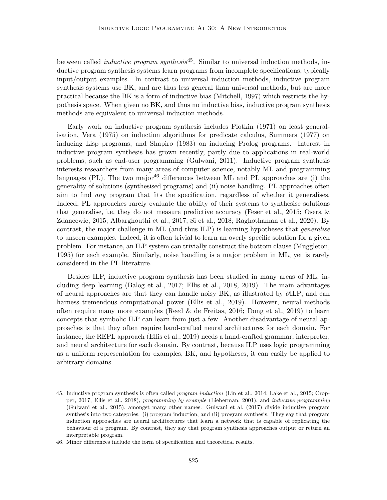between called *inductive program synthesis*<sup>45</sup>. Similar to universal induction methods, inductive program synthesis systems learn programs from incomplete specifications, typically input/output examples. In contrast to universal induction methods, inductive program synthesis systems use BK, and are thus less general than universal methods, but are more practical because the BK is a form of inductive bias (Mitchell, 1997) which restricts the hypothesis space. When given no BK, and thus no inductive bias, inductive program synthesis methods are equivalent to universal induction methods.

Early work on inductive program synthesis includes Plotkin (1971) on least generalisation, Vera (1975) on induction algorithms for predicate calculus, Summers (1977) on inducing Lisp programs, and Shapiro (1983) on inducing Prolog programs. Interest in inductive program synthesis has grown recently, partly due to applications in real-world problems, such as end-user programming (Gulwani, 2011). Inductive program synthesis interests researchers from many areas of computer science, notably ML and programming languages (PL). The two major<sup>46</sup> differences between ML and PL approaches are (i) the generality of solutions (synthesised programs) and (ii) noise handling. PL approaches often aim to find any program that fits the specification, regardless of whether it generalises. Indeed, PL approaches rarely evaluate the ability of their systems to synthesise solutions that generalise, i.e. they do not measure predictive accuracy (Feser et al., 2015; Osera & Zdancewic, 2015; Albarghouthi et al., 2017; Si et al., 2018; Raghothaman et al., 2020). By contrast, the major challenge in ML (and thus ILP) is learning hypotheses that *generalise* to unseen examples. Indeed, it is often trivial to learn an overly specific solution for a given problem. For instance, an ILP system can trivially construct the bottom clause (Muggleton, 1995) for each example. Similarly, noise handling is a major problem in ML, yet is rarely considered in the PL literature.

Besides ILP, inductive program synthesis has been studied in many areas of ML, including deep learning (Balog et al., 2017; Ellis et al., 2018, 2019). The main advantages of neural approaches are that they can handle noisy BK, as illustrated by ∂ILP, and can harness tremendous computational power (Ellis et al., 2019). However, neural methods often require many more examples (Reed & de Freitas, 2016; Dong et al., 2019) to learn concepts that symbolic ILP can learn from just a few. Another disadvantage of neural approaches is that they often require hand-crafted neural architectures for each domain. For instance, the REPL approach (Ellis et al., 2019) needs a hand-crafted grammar, interpreter, and neural architecture for each domain. By contrast, because ILP uses logic programming as a uniform representation for examples, BK, and hypotheses, it can easily be applied to arbitrary domains.

<sup>45.</sup> Inductive program synthesis is often called program induction (Lin et al., 2014; Lake et al., 2015; Cropper, 2017; Ellis et al., 2018), programming by example (Lieberman, 2001), and inductive programming (Gulwani et al., 2015), amongst many other names. Gulwani et al. (2017) divide inductive program synthesis into two categories: (i) program induction, and (ii) program synthesis. They say that program induction approaches are neural architectures that learn a network that is capable of replicating the behaviour of a program. By contrast, they say that program synthesis approaches output or return an interpretable program.

<sup>46.</sup> Minor differences include the form of specification and theoretical results.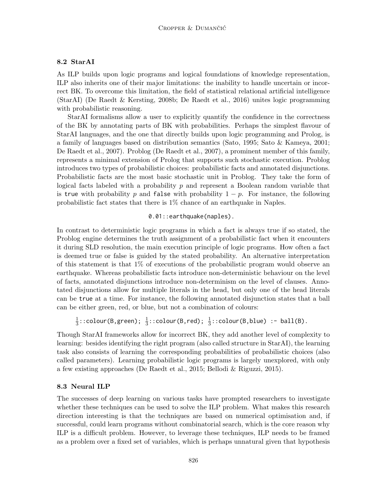### 8.2 StarAI

As ILP builds upon logic programs and logical foundations of knowledge representation, ILP also inherits one of their major limitations: the inability to handle uncertain or incorrect BK. To overcome this limitation, the field of statistical relational artificial intelligence (StarAI) (De Raedt & Kersting, 2008b; De Raedt et al., 2016) unites logic programming with probabilistic reasoning.

StarAI formalisms allow a user to explicitly quantify the confidence in the correctness of the BK by annotating parts of BK with probabilities. Perhaps the simplest flavour of StarAI languages, and the one that directly builds upon logic programming and Prolog, is a family of languages based on distribution semantics (Sato, 1995; Sato & Kameya, 2001; De Raedt et al., 2007). Problog (De Raedt et al., 2007), a prominent member of this family, represents a minimal extension of Prolog that supports such stochastic execution. Problog introduces two types of probabilistic choices: probabilistic facts and annotated disjunctions. Probabilistic facts are the most basic stochastic unit in Problog. They take the form of logical facts labeled with a probability  $p$  and represent a Boolean random variable that is true with probability p and false with probability  $1 - p$ . For instance, the following probabilistic fact states that there is 1% chance of an earthquake in Naples.

### 0.01::earthquake(naples).

In contrast to deterministic logic programs in which a fact is always true if so stated, the Problog engine determines the truth assignment of a probabilistic fact when it encounters it during SLD resolution, the main execution principle of logic programs. How often a fact is deemed true or false is guided by the stated probability. An alternative interpretation of this statement is that  $1\%$  of executions of the probabilistic program would observe an earthquake. Whereas probabilistic facts introduce non-deterministic behaviour on the level of facts, annotated disjunctions introduce non-determinism on the level of clauses. Annotated disjunctions allow for multiple literals in the head, but only one of the head literals can be true at a time. For instance, the following annotated disjunction states that a ball can be either green, red, or blue, but not a combination of colours:

1  $\frac{1}{3}$ ::colour(B,green);  $\frac{1}{3}$ ::colour(B,red);  $\frac{1}{3}$ ::colour(B,blue) :- ball(B).

Though StarAI frameworks allow for incorrect BK, they add another level of complexity to learning: besides identifying the right program (also called structure in StarAI), the learning task also consists of learning the corresponding probabilities of probabilistic choices (also called parameters). Learning probabilistic logic programs is largely unexplored, with only a few existing approaches (De Raedt et al., 2015; Bellodi & Riguzzi, 2015).

#### 8.3 Neural ILP

The successes of deep learning on various tasks have prompted researchers to investigate whether these techniques can be used to solve the ILP problem. What makes this research direction interesting is that the techniques are based on numerical optimisation and, if successful, could learn programs without combinatorial search, which is the core reason why ILP is a difficult problem. However, to leverage these techniques, ILP needs to be framed as a problem over a fixed set of variables, which is perhaps unnatural given that hypothesis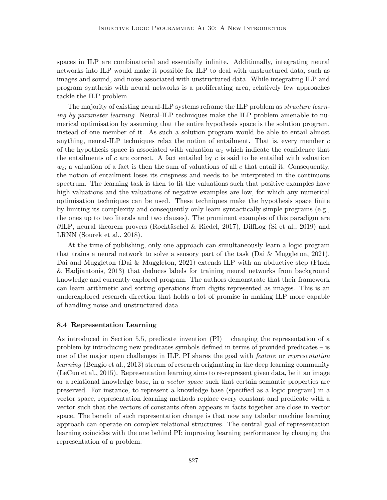spaces in ILP are combinatorial and essentially infinite. Additionally, integrating neural networks into ILP would make it possible for ILP to deal with unstructured data, such as images and sound, and noise associated with unstructured data. While integrating ILP and program synthesis with neural networks is a proliferating area, relatively few approaches tackle the ILP problem.

The majority of existing neural-ILP systems reframe the ILP problem as *structure learn*ing by parameter learning. Neural-ILP techniques make the ILP problem amenable to numerical optimisation by assuming that the entire hypothesis space is the solution program, instead of one member of it. As such a solution program would be able to entail almost anything, neural-ILP techniques relax the notion of entailment. That is, every member  $c$ of the hypothesis space is associated with valuation  $w<sub>c</sub>$  which indicate the confidence that the entailments of c are correct. A fact entailed by c is said to be entailed with valuation  $w_c$ ; a valuation of a fact is then the sum of valuations of all c that entail it. Consequently, the notion of entailment loses its crispness and needs to be interpreted in the continuous spectrum. The learning task is then to fit the valuations such that positive examples have high valuations and the valuations of negative examples are low, for which any numerical optimisation techniques can be used. These techniques make the hypothesis space finite by limiting its complexity and consequently only learn syntactically simple programs (e.g., the ones up to two literals and two clauses). The prominent examples of this paradigm are  $\partial$ ILP, neural theorem provers (Rocktäschel & Riedel, 2017), DiffLog (Si et al., 2019) and LRNN (Sourek et al., 2018).

At the time of publishing, only one approach can simultaneously learn a logic program that trains a neural network to solve a sensory part of the task (Dai & Muggleton, 2021). Dai and Muggleton (Dai & Muggleton, 2021) extends ILP with an abductive step (Flach & Hadjiantonis, 2013) that deduces labels for training neural networks from background knowledge and currently explored program. The authors demonstrate that their framework can learn arithmetic and sorting operations from digits represented as images. This is an underexplored research direction that holds a lot of promise in making ILP more capable of handling noise and unstructured data.

#### 8.4 Representation Learning

As introduced in Section 5.5, predicate invention (PI) – changing the representation of a problem by introducing new predicates symbols defined in terms of provided predicates – is one of the major open challenges in ILP. PI shares the goal with feature or representation learning (Bengio et al., 2013) stream of research originating in the deep learning community (LeCun et al., 2015). Representation learning aims to re-represent given data, be it an image or a relational knowledge base, in a vector space such that certain semantic properties are preserved. For instance, to represent a knowledge base (specified as a logic program) in a vector space, representation learning methods replace every constant and predicate with a vector such that the vectors of constants often appears in facts together are close in vector space. The benefit of such representation change is that now any tabular machine learning approach can operate on complex relational structures. The central goal of representation learning coincides with the one behind PI: improving learning performance by changing the representation of a problem.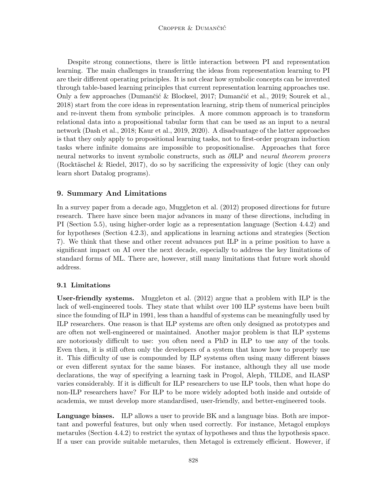Despite strong connections, there is little interaction between PI and representation learning. The main challenges in transferring the ideas from representation learning to PI are their different operating principles. It is not clear how symbolic concepts can be invented through table-based learning principles that current representation learning approaches use. Only a few approaches (Dumančić & Blockeel, 2017; Dumančić et al., 2019; Sourek et al., 2018) start from the core ideas in representation learning, strip them of numerical principles and re-invent them from symbolic principles. A more common approach is to transform relational data into a propositional tabular form that can be used as an input to a neural network (Dash et al., 2018; Kaur et al., 2019, 2020). A disadvantage of the latter approaches is that they only apply to propositional learning tasks, not to first-order program induction tasks where infinite domains are impossible to propositionalise. Approaches that force neural networks to invent symbolic constructs, such as  $\partial ILP$  and neural theorem provers (Rocktäschel & Riedel, 2017), do so by sacrificing the expressivity of logic (they can only learn short Datalog programs).

### 9. Summary And Limitations

In a survey paper from a decade ago, Muggleton et al. (2012) proposed directions for future research. There have since been major advances in many of these directions, including in PI (Section 5.5), using higher-order logic as a representation language (Section 4.4.2) and for hypotheses (Section 4.2.3), and applications in learning actions and strategies (Section 7). We think that these and other recent advances put ILP in a prime position to have a significant impact on AI over the next decade, especially to address the key limitations of standard forms of ML. There are, however, still many limitations that future work should address.

### 9.1 Limitations

User-friendly systems. Muggleton et al. (2012) argue that a problem with ILP is the lack of well-engineered tools. They state that whilst over 100 ILP systems have been built since the founding of ILP in 1991, less than a handful of systems can be meaningfully used by ILP researchers. One reason is that ILP systems are often only designed as prototypes and are often not well-engineered or maintained. Another major problem is that ILP systems are notoriously difficult to use: you often need a PhD in ILP to use any of the tools. Even then, it is still often only the developers of a system that know how to properly use it. This difficulty of use is compounded by ILP systems often using many different biases or even different syntax for the same biases. For instance, although they all use mode declarations, the way of specifying a learning task in Progol, Aleph, TILDE, and ILASP varies considerably. If it is difficult for ILP researchers to use ILP tools, then what hope do non-ILP researchers have? For ILP to be more widely adopted both inside and outside of academia, we must develop more standardised, user-friendly, and better-engineered tools.

Language biases. ILP allows a user to provide BK and a language bias. Both are important and powerful features, but only when used correctly. For instance, Metagol employs metarules (Section 4.4.2) to restrict the syntax of hypotheses and thus the hypothesis space. If a user can provide suitable metarules, then Metagol is extremely efficient. However, if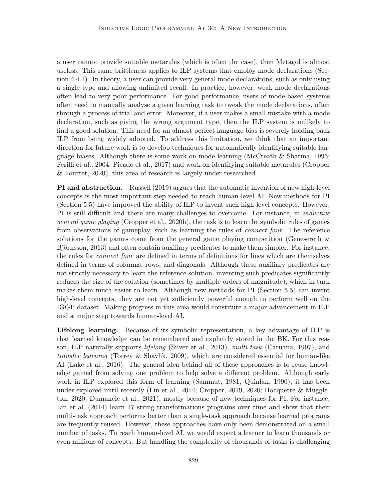a user cannot provide suitable metarules (which is often the case), then Metagol is almost useless. This same brittleness applies to ILP systems that employ mode declarations (Section 4.4.1). In theory, a user can provide very general mode declarations, such as only using a single type and allowing unlimited recall. In practice, however, weak mode declarations often lead to very poor performance. For good performance, users of mode-based systems often need to manually analyse a given learning task to tweak the mode declarations, often through a process of trial and error. Moreover, if a user makes a small mistake with a mode declaration, such as giving the wrong argument type, then the ILP system is unlikely to find a good solution. This need for an almost perfect language bias is severely holding back ILP from being widely adopted. To address this limitation, we think that an important direction for future work is to develop techniques for automatically identifying suitable language biases. Although there is some work on mode learning (McCreath & Sharma, 1995; Ferilli et al., 2004; Picado et al., 2017) and work on identifying suitable metarules (Cropper & Tourret, 2020), this area of research is largely under-researched.

**PI and abstraction.** Russell (2019) argues that the automatic invention of new high-level concepts is the most important step needed to reach human-level AI. New methods for PI (Section 5.5) have improved the ability of ILP to invent such high-level concepts. However, PI is still difficult and there are many challenges to overcome. For instance, in inductive general game playing (Cropper et al., 2020b), the task is to learn the symbolic rules of games from observations of gameplay, such as learning the rules of connect four. The reference solutions for the games come from the general game playing competition (Genesereth  $\&$ Björnsson, 2013) and often contain auxiliary predicates to make them simpler. For instance, the rules for connect four are defined in terms of definitions for lines which are themselves defined in terms of columns, rows, and diagonals. Although these auxiliary predicates are not strictly necessary to learn the reference solution, inventing such predicates significantly reduces the size of the solution (sometimes by multiple orders of magnitude), which in turn makes them much easier to learn. Although new methods for PI (Section 5.5) can invent high-level concepts, they are not yet sufficiently powerful enough to perform well on the IGGP dataset. Making progress in this area would constitute a major advancement in ILP and a major step towards human-level AI.

Lifelong learning. Because of its symbolic representation, a key advantage of ILP is that learned knowledge can be remembered and explicitly stored in the BK. For this reason, ILP naturally supports *lifelong* (Silver et al., 2013), *multi-task* (Caruana, 1997), and transfer learning (Torrey & Shavlik, 2009), which are considered essential for human-like AI (Lake et al., 2016). The general idea behind all of these approaches is to reuse knowledge gained from solving one problem to help solve a different problem. Although early work in ILP explored this form of learning (Sammut, 1981; Quinlan, 1990), it has been under-explored until recently (Lin et al., 2014; Cropper, 2019, 2020; Hocquette & Muggleton, 2020; Dumancic et al., 2021), mostly because of new techniques for PI. For instance, Lin et al. (2014) learn 17 string transformations programs over time and show that their multi-task approach performs better than a single-task approach because learned programs are frequently reused. However, these approaches have only been demonstrated on a small number of tasks. To reach human-level AI, we would expect a learner to learn thousands or even millions of concepts. But handling the complexity of thousands of tasks is challenging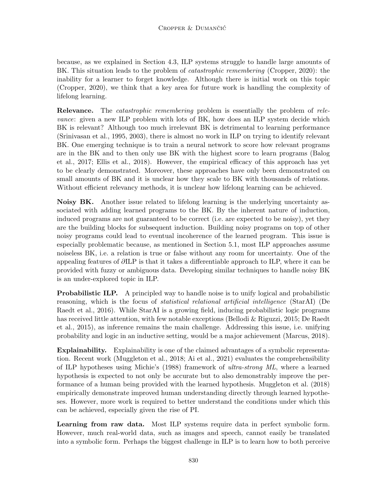because, as we explained in Section 4.3, ILP systems struggle to handle large amounts of BK. This situation leads to the problem of *catastrophic remembering* (Cropper, 2020): the inability for a learner to forget knowledge. Although there is initial work on this topic (Cropper, 2020), we think that a key area for future work is handling the complexity of lifelong learning.

**Relevance.** The *catastrophic remembering* problem is essentially the problem of relevance: given a new ILP problem with lots of BK, how does an ILP system decide which BK is relevant? Although too much irrelevant BK is detrimental to learning performance (Srinivasan et al., 1995, 2003), there is almost no work in ILP on trying to identify relevant BK. One emerging technique is to train a neural network to score how relevant programs are in the BK and to then only use BK with the highest score to learn programs (Balog et al., 2017; Ellis et al., 2018). However, the empirical efficacy of this approach has yet to be clearly demonstrated. Moreover, these approaches have only been demonstrated on small amounts of BK and it is unclear how they scale to BK with thousands of relations. Without efficient relevancy methods, it is unclear how lifelong learning can be achieved.

Noisy BK. Another issue related to lifelong learning is the underlying uncertainty associated with adding learned programs to the BK. By the inherent nature of induction, induced programs are not guaranteed to be correct (i.e. are expected to be noisy), yet they are the building blocks for subsequent induction. Building noisy programs on top of other noisy programs could lead to eventual incoherence of the learned program. This issue is especially problematic because, as mentioned in Section 5.1, most ILP approaches assume noiseless BK, i.e. a relation is true or false without any room for uncertainty. One of the appealing features of ∂ILP is that it takes a differentiable approach to ILP, where it can be provided with fuzzy or ambiguous data. Developing similar techniques to handle noisy BK is an under-explored topic in ILP.

**Probabilistic ILP.** A principled way to handle noise is to unify logical and probabilistic reasoning, which is the focus of *statistical relational artificial intelligence* (StarAI) (De Raedt et al., 2016). While StarAI is a growing field, inducing probabilistic logic programs has received little attention, with few notable exceptions (Bellodi & Riguzzi, 2015; De Raedt et al., 2015), as inference remains the main challenge. Addressing this issue, i.e. unifying probability and logic in an inductive setting, would be a major achievement (Marcus, 2018).

Explainability. Explainability is one of the claimed advantages of a symbolic representation. Recent work (Muggleton et al., 2018; Ai et al., 2021) evaluates the comprehensibility of ILP hypotheses using Michie's (1988) framework of ultra-strong ML, where a learned hypothesis is expected to not only be accurate but to also demonstrably improve the performance of a human being provided with the learned hypothesis. Muggleton et al. (2018) empirically demonstrate improved human understanding directly through learned hypotheses. However, more work is required to better understand the conditions under which this can be achieved, especially given the rise of PI.

Learning from raw data. Most ILP systems require data in perfect symbolic form. However, much real-world data, such as images and speech, cannot easily be translated into a symbolic form. Perhaps the biggest challenge in ILP is to learn how to both perceive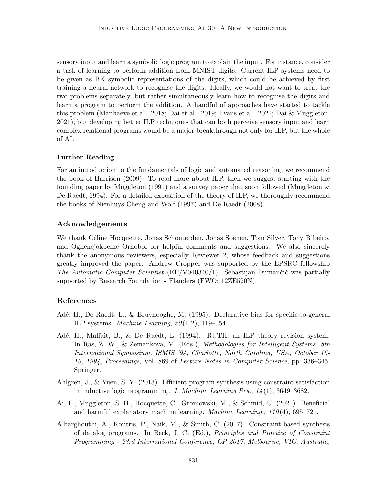sensory input and learn a symbolic logic program to explain the input. For instance, consider a task of learning to perform addition from MNIST digits. Current ILP systems need to be given as BK symbolic representations of the digits, which could be achieved by first training a neural network to recognise the digits. Ideally, we would not want to treat the two problems separately, but rather simultaneously learn how to recognise the digits and learn a program to perform the addition. A handful of approaches have started to tackle this problem (Manhaeve et al., 2018; Dai et al., 2019; Evans et al., 2021; Dai & Muggleton, 2021), but developing better ILP techniques that can both perceive sensory input and learn complex relational programs would be a major breakthrough not only for ILP, but the whole of AI.

#### Further Reading

For an introduction to the fundamentals of logic and automated reasoning, we recommend the book of Harrison (2009). To read more about ILP, then we suggest starting with the founding paper by Muggleton  $(1991)$  and a survey paper that soon followed (Muggleton  $\&$ De Raedt, 1994). For a detailed exposition of the theory of ILP, we thoroughly recommend the books of Nienhuys-Cheng and Wolf (1997) and De Raedt (2008).

#### Acknowledgements

We thank C´eline Hocquette, Jonas Schouterden, Jonas Soenen, Tom Silver, Tony Ribeiro, and Oghenejokpeme Orhobor for helpful comments and suggestions. We also sincerely thank the anonymous reviewers, especially Reviewer 2, whose feedback and suggestions greatly improved the paper. Andrew Cropper was supported by the EPSRC fellowship The Automatic Computer Scientist (EP/V040340/1). Sebastijan Dumančić was partially supported by Research Foundation - Flanders (FWO; 12ZE520N).

#### References

- Adé, H., De Raedt, L., & Bruynooghe, M. (1995). Declarative bias for specific-to-general ILP systems. Machine Learning,  $20(1-2)$ , 119-154.
- Adé, H., Malfait, B., & De Raedt, L. (1994). RUTH: an ILP theory revision system. In Ras, Z. W., & Zemankova, M. (Eds.), Methodologies for Intelligent Systems, 8th International Symposium, ISMIS '94, Charlotte, North Carolina, USA, October 16- 19, 1994, Proceedings, Vol. 869 of Lecture Notes in Computer Science, pp. 336–345. Springer.
- Ahlgren, J., & Yuen, S. Y. (2013). Efficient program synthesis using constraint satisfaction in inductive logic programming. J. Machine Learning Res.,  $14(1)$ , 3649–3682.
- Ai, L., Muggleton, S. H., Hocquette, C., Gromowski, M., & Schmid, U. (2021). Beneficial and harmful explanatory machine learning. *Machine Learning.*,  $110(4)$ , 695–721.
- Albarghouthi, A., Koutris, P., Naik, M., & Smith, C. (2017). Constraint-based synthesis of datalog programs. In Beck, J. C. (Ed.), Principles and Practice of Constraint Programming - 23rd International Conference, CP 2017, Melbourne, VIC, Australia,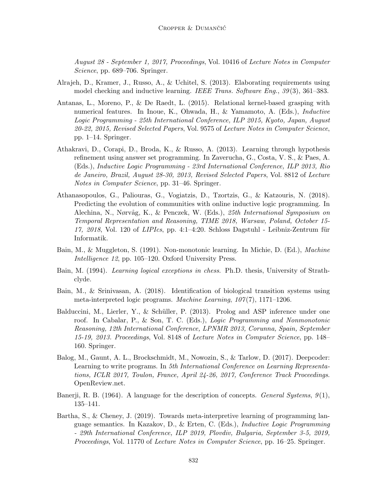August 28 - September 1, 2017, Proceedings, Vol. 10416 of Lecture Notes in Computer Science, pp. 689–706. Springer.

- Alrajeh, D., Kramer, J., Russo, A., & Uchitel, S. (2013). Elaborating requirements using model checking and inductive learning. IEEE Trans. Software Eng.,  $39(3)$ ,  $361-383$ .
- Antanas, L., Moreno, P., & De Raedt, L. (2015). Relational kernel-based grasping with numerical features. In Inoue, K., Ohwada, H., & Yamamoto, A. (Eds.), Inductive Logic Programming - 25th International Conference, ILP 2015, Kyoto, Japan, August 20-22, 2015, Revised Selected Papers, Vol. 9575 of Lecture Notes in Computer Science, pp. 1–14. Springer.
- Athakravi, D., Corapi, D., Broda, K., & Russo, A. (2013). Learning through hypothesis refinement using answer set programming. In Zaverucha, G., Costa, V. S., & Paes, A. (Eds.), Inductive Logic Programming - 23rd International Conference, ILP 2013, Rio de Janeiro, Brazil, August 28-30, 2013, Revised Selected Papers, Vol. 8812 of Lecture Notes in Computer Science, pp. 31–46. Springer.
- Athanasopoulos, G., Paliouras, G., Vogiatzis, D., Tzortzis, G., & Katzouris, N. (2018). Predicting the evolution of communities with online inductive logic programming. In Alechina, N., Nørvåg, K., & Penczek, W. (Eds.), 25th International Symposium on Temporal Representation and Reasoning, TIME 2018, Warsaw, Poland, October 15- 17, 2018, Vol. 120 of *LIPIcs*, pp. 4:1–4:20. Schloss Dagstuhl - Leibniz-Zentrum für Informatik.
- Bain, M., & Muggleton, S. (1991). Non-monotonic learning. In Michie, D. (Ed.), Machine Intelligence 12, pp. 105–120. Oxford University Press.
- Bain, M. (1994). Learning logical exceptions in chess. Ph.D. thesis, University of Strathclyde.
- Bain, M., & Srinivasan, A. (2018). Identification of biological transition systems using meta-interpreted logic programs. Machine Learning,  $107(7)$ , 1171–1206.
- Balduccini, M., Lierler, Y., & Schüller, P. (2013). Prolog and ASP inference under one roof. In Cabalar, P., & Son, T. C. (Eds.), Logic Programming and Nonmonotonic Reasoning, 12th International Conference, LPNMR 2013, Corunna, Spain, September 15-19, 2013. Proceedings, Vol. 8148 of Lecture Notes in Computer Science, pp. 148– 160. Springer.
- Balog, M., Gaunt, A. L., Brockschmidt, M., Nowozin, S., & Tarlow, D. (2017). Deepcoder: Learning to write programs. In 5th International Conference on Learning Representations, ICLR 2017, Toulon, France, April 24-26, 2017, Conference Track Proceedings. OpenReview.net.
- Banerji, R. B. (1964). A language for the description of concepts. *General Systems*,  $9(1)$ , 135–141.
- Bartha, S., & Cheney, J. (2019). Towards meta-interpretive learning of programming language semantics. In Kazakov, D., & Erten, C. (Eds.), Inductive Logic Programming - 29th International Conference, ILP 2019, Plovdiv, Bulgaria, September 3-5, 2019, Proceedings, Vol. 11770 of Lecture Notes in Computer Science, pp. 16–25. Springer.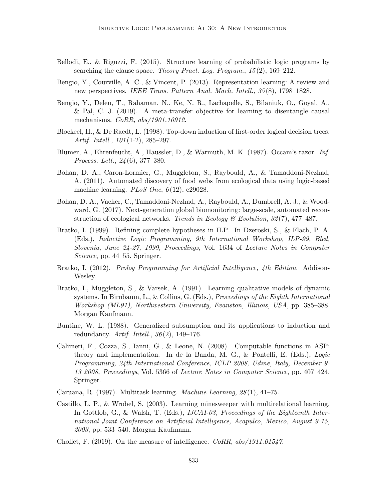- Bellodi, E., & Riguzzi, F. (2015). Structure learning of probabilistic logic programs by searching the clause space. Theory Pract. Log. Program.,  $15(2)$ ,  $169-212$ .
- Bengio, Y., Courville, A. C., & Vincent, P. (2013). Representation learning: A review and new perspectives. IEEE Trans. Pattern Anal. Mach. Intell., 35 (8), 1798–1828.
- Bengio, Y., Deleu, T., Rahaman, N., Ke, N. R., Lachapelle, S., Bilaniuk, O., Goyal, A., & Pal, C. J. (2019). A meta-transfer objective for learning to disentangle causal mechanisms. CoRR, abs/1901.10912.
- Blockeel, H., & De Raedt, L. (1998). Top-down induction of first-order logical decision trees. Artif. Intell., 101(1-2), 285–297.
- Blumer, A., Ehrenfeucht, A., Haussler, D., & Warmuth, M. K. (1987). Occam's razor. Inf. Process. Lett., 24 (6), 377–380.
- Bohan, D. A., Caron-Lormier, G., Muggleton, S., Raybould, A., & Tamaddoni-Nezhad, A. (2011). Automated discovery of food webs from ecological data using logic-based machine learning. *PLoS One*,  $6(12)$ , e29028.
- Bohan, D. A., Vacher, C., Tamaddoni-Nezhad, A., Raybould, A., Dumbrell, A. J., & Woodward, G. (2017). Next-generation global biomonitoring: large-scale, automated reconstruction of ecological networks. Trends in Ecology  $\mathcal B$  Evolution, 32(7), 477–487.
- Bratko, I. (1999). Refining complete hypotheses in ILP. In Dzeroski, S., & Flach, P. A. (Eds.), Inductive Logic Programming, 9th International Workshop, ILP-99, Bled, Slovenia, June 24-27, 1999, Proceedings, Vol. 1634 of Lecture Notes in Computer Science, pp. 44–55. Springer.
- Bratko, I. (2012). *Prolog Programming for Artificial Intelligence, 4th Edition.* Addison-Wesley.
- Bratko, I., Muggleton, S., & Varsek, A. (1991). Learning qualitative models of dynamic systems. In Birnbaum, L., & Collins, G. (Eds.), *Proceedings of the Eighth International* Workshop (ML91), Northwestern University, Evanston, Illinois, USA, pp. 385–388. Morgan Kaufmann.
- Buntine, W. L. (1988). Generalized subsumption and its applications to induction and redundancy. Artif. Intell.,  $36(2)$ , 149–176.
- Calimeri, F., Cozza, S., Ianni, G., & Leone, N. (2008). Computable functions in ASP: theory and implementation. In de la Banda, M. G., & Pontelli, E. (Eds.), Logic Programming, 24th International Conference, ICLP 2008, Udine, Italy, December 9- 13 2008, Proceedings, Vol. 5366 of Lecture Notes in Computer Science, pp. 407–424. Springer.
- Caruana, R. (1997). Multitask learning. Machine Learning, 28 (1), 41–75.
- Castillo, L. P., & Wrobel, S. (2003). Learning minesweeper with multirelational learning. In Gottlob, G., & Walsh, T. (Eds.), IJCAI-03, Proceedings of the Eighteenth International Joint Conference on Artificial Intelligence, Acapulco, Mexico, August 9-15, 2003, pp. 533–540. Morgan Kaufmann.
- Chollet, F. (2019). On the measure of intelligence.  $CoRR$ ,  $abs/1911.01547$ .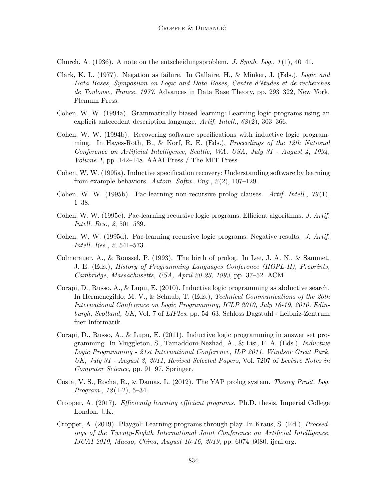Church, A. (1936). A note on the entscheidungsproblem. J. Symb. Log.,  $1(1)$ , 40–41.

- Clark, K. L. (1977). Negation as failure. In Gallaire, H., & Minker, J. (Eds.), Logic and Data Bases, Symposium on Logic and Data Bases, Centre d'études et de recherches de Toulouse, France, 1977, Advances in Data Base Theory, pp. 293–322, New York. Plemum Press.
- Cohen, W. W. (1994a). Grammatically biased learning: Learning logic programs using an explicit antecedent description language. Artif. Intell., 68(2), 303-366.
- Cohen, W. W. (1994b). Recovering software specifications with inductive logic programming. In Hayes-Roth, B., & Korf, R. E. (Eds.), Proceedings of the 12th National Conference on Artificial Intelligence, Seattle, WA, USA, July 31 - August 4, 1994, Volume 1, pp. 142–148. AAAI Press / The MIT Press.
- Cohen, W. W. (1995a). Inductive specification recovery: Understanding software by learning from example behaviors. Autom. Softw. Eng.,  $\mathcal{Q}(2)$ , 107–129.
- Cohen, W. W. (1995b). Pac-learning non-recursive prolog clauses. Artif. Intell.,  $79(1)$ , 1–38.
- Cohen, W. W. (1995c). Pac-learning recursive logic programs: Efficient algorithms. J. Artif. Intell. Res., 2, 501–539.
- Cohen, W. W. (1995d). Pac-learning recursive logic programs: Negative results. J. Artif. Intell. Res., 2, 541–573.
- Colmerauer, A., & Roussel, P. (1993). The birth of prolog. In Lee, J. A. N., & Sammet, J. E. (Eds.), History of Programming Languages Conference (HOPL-II), Preprints, Cambridge, Massachusetts, USA, April 20-23, 1993, pp. 37–52. ACM.
- Corapi, D., Russo, A., & Lupu, E. (2010). Inductive logic programming as abductive search. In Hermenegildo, M. V., & Schaub, T. (Eds.), *Technical Communications of the 26th* International Conference on Logic Programming, ICLP 2010, July 16-19, 2010, Edinburgh, Scotland, UK, Vol. 7 of LIPIcs, pp. 54–63. Schloss Dagstuhl - Leibniz-Zentrum fuer Informatik.
- Corapi, D., Russo, A., & Lupu, E. (2011). Inductive logic programming in answer set programming. In Muggleton, S., Tamaddoni-Nezhad, A., & Lisi, F. A. (Eds.), Inductive Logic Programming - 21st International Conference, ILP 2011, Windsor Great Park, UK, July 31 - August 3, 2011, Revised Selected Papers, Vol. 7207 of Lecture Notes in Computer Science, pp. 91–97. Springer.
- Costa, V. S., Rocha, R., & Damas, L. (2012). The YAP prolog system. Theory Pract. Log. *Program.*,  $12(1-2)$ , 5-34.
- Cropper, A. (2017). Efficiently learning efficient programs. Ph.D. thesis, Imperial College London, UK.
- Cropper, A. (2019). Playgol: Learning programs through play. In Kraus, S. (Ed.), Proceedings of the Twenty-Eighth International Joint Conference on Artificial Intelligence, IJCAI 2019, Macao, China, August 10-16, 2019, pp. 6074–6080. ijcai.org.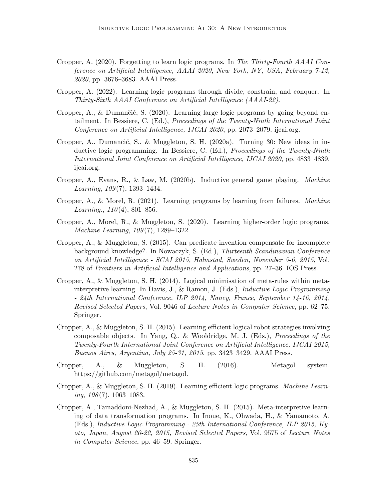- Cropper, A. (2020). Forgetting to learn logic programs. In The Thirty-Fourth AAAI Conference on Artificial Intelligence, AAAI 2020, New York, NY, USA, February 7-12, 2020, pp. 3676–3683. AAAI Press.
- Cropper, A. (2022). Learning logic programs through divide, constrain, and conquer. In Thirty-Sixth AAAI Conference on Artificial Intelligence (AAAI-22).
- Cropper, A., & Dumančić, S.  $(2020)$ . Learning large logic programs by going beyond entailment. In Bessiere, C. (Ed.), Proceedings of the Twenty-Ninth International Joint Conference on Artificial Intelligence, IJCAI 2020, pp. 2073–2079. ijcai.org.
- Cropper, A., Dumančić, S., & Muggleton, S. H. (2020a). Turning 30: New ideas in inductive logic programming. In Bessiere, C. (Ed.), Proceedings of the Twenty-Ninth International Joint Conference on Artificial Intelligence, IJCAI 2020, pp. 4833–4839. ijcai.org.
- Cropper, A., Evans, R., & Law, M. (2020b). Inductive general game playing. *Machine* Learning,  $109(7)$ , 1393–1434.
- Cropper, A., & Morel, R. (2021). Learning programs by learning from failures. Machine Learning.,  $110(4)$ , 801–856.
- Cropper, A., Morel, R., & Muggleton, S. (2020). Learning higher-order logic programs. Machine Learning, 109(7), 1289–1322.
- Cropper, A., & Muggleton, S. (2015). Can predicate invention compensate for incomplete background knowledge?. In Nowaczyk, S. (Ed.), Thirteenth Scandinavian Conference on Artificial Intelligence - SCAI 2015, Halmstad, Sweden, November 5-6, 2015, Vol. 278 of Frontiers in Artificial Intelligence and Applications, pp. 27–36. IOS Press.
- Cropper, A., & Muggleton, S. H. (2014). Logical minimisation of meta-rules within metainterpretive learning. In Davis, J., & Ramon, J. (Eds.), Inductive Logic Programming - 24th International Conference, ILP 2014, Nancy, France, September 14-16, 2014, Revised Selected Papers, Vol. 9046 of Lecture Notes in Computer Science, pp. 62–75. Springer.
- Cropper, A., & Muggleton, S. H. (2015). Learning efficient logical robot strategies involving composable objects. In Yang, Q., & Wooldridge, M. J. (Eds.), Proceedings of the Twenty-Fourth International Joint Conference on Artificial Intelligence, IJCAI 2015, Buenos Aires, Argentina, July 25-31, 2015, pp. 3423–3429. AAAI Press.
- Cropper, A., & Muggleton, S. H. (2016). Metagol system. https://github.com/metagol/metagol.
- Cropper, A., & Muggleton, S. H. (2019). Learning efficient logic programs. Machine Learn $ing, 108(7), 1063-1083.$
- Cropper, A., Tamaddoni-Nezhad, A., & Muggleton, S. H. (2015). Meta-interpretive learning of data transformation programs. In Inoue, K., Ohwada, H., & Yamamoto, A. (Eds.), Inductive Logic Programming - 25th International Conference, ILP 2015, Kyoto, Japan, August 20-22, 2015, Revised Selected Papers, Vol. 9575 of Lecture Notes in Computer Science, pp. 46–59. Springer.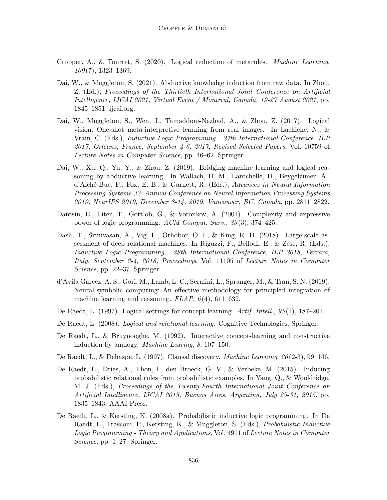- Cropper, A., & Tourret, S. (2020). Logical reduction of metarules. Machine Learning,  $109(7)$ , 1323-1369.
- Dai, W., & Muggleton, S. (2021). Abductive knowledge induction from raw data. In Zhou, Z. (Ed.), Proceedings of the Thirtieth International Joint Conference on Artificial Intelligence, IJCAI 2021, Virtual Event / Montreal, Canada, 19-27 August 2021, pp. 1845–1851. ijcai.org.
- Dai, W., Muggleton, S., Wen, J., Tamaddoni-Nezhad, A., & Zhou, Z. (2017). Logical vision: One-shot meta-interpretive learning from real images. In Lachiche, N., & Vrain, C. (Eds.), Inductive Logic Programming - 27th International Conference, ILP  $2017$ , Orléans, France, September 4-6, 2017, Revised Selected Papers, Vol. 10759 of Lecture Notes in Computer Science, pp. 46–62. Springer.
- Dai, W., Xu, Q., Yu, Y., & Zhou, Z. (2019). Bridging machine learning and logical reasoning by abductive learning. In Wallach, H. M., Larochelle, H., Beygelzimer, A., d'Alch´e-Buc, F., Fox, E. B., & Garnett, R. (Eds.), Advances in Neural Information Processing Systems 32: Annual Conference on Neural Information Processing Systems 2019, NeurIPS 2019, December 8-14, 2019, Vancouver, BC, Canada, pp. 2811–2822.
- Dantsin, E., Eiter, T., Gottlob, G., & Voronkov, A. (2001). Complexity and expressive power of logic programming. ACM Comput. Surv., 33 (3), 374–425.
- Dash, T., Srinivasan, A., Vig, L., Orhobor, O. I., & King, R. D. (2018). Large-scale assessment of deep relational machines. In Riguzzi, F., Bellodi, E., & Zese, R. (Eds.), Inductive Logic Programming - 28th International Conference, ILP 2018, Ferrara, Italy, September 2-4, 2018, Proceedings, Vol. 11105 of Lecture Notes in Computer Science, pp. 22–37. Springer.
- d'Avila Garcez, A. S., Gori, M., Lamb, L. C., Serafini, L., Spranger, M., & Tran, S. N. (2019). Neural-symbolic computing: An effective methodology for principled integration of machine learning and reasoning.  $FLAP$ ,  $6(4)$ , 611–632.
- De Raedt, L. (1997). Logical settings for concept-learning. Artif. Intell., 95 (1), 187–201.
- De Raedt, L. (2008). Logical and relational learning. Cognitive Technologies. Springer.
- De Raedt, L., & Bruynooghe, M. (1992). Interactive concept-learning and constructive induction by analogy. Machine Learing, 8, 107–150.
- De Raedt, L., & Dehaspe, L. (1997). Clausal discovery. Machine Learning, 26 (2-3), 99–146.
- De Raedt, L., Dries, A., Thon, I., den Broeck, G. V., & Verbeke, M. (2015). Inducing probabilistic relational rules from probabilistic examples. In Yang, Q., & Wooldridge, M. J. (Eds.), Proceedings of the Twenty-Fourth International Joint Conference on Artificial Intelligence, IJCAI 2015, Buenos Aires, Argentina, July 25-31, 2015, pp. 1835–1843. AAAI Press.
- De Raedt, L., & Kersting, K. (2008a). Probabilistic inductive logic programming. In De Raedt, L., Frasconi, P., Kersting, K., & Muggleton, S. (Eds.), Probabilistic Inductive Logic Programming - Theory and Applications, Vol. 4911 of Lecture Notes in Computer Science, pp. 1–27. Springer.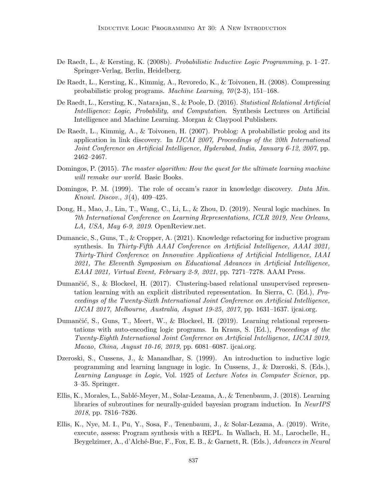- De Raedt, L., & Kersting, K. (2008b). Probabilistic Inductive Logic Programming, p. 1–27. Springer-Verlag, Berlin, Heidelberg.
- De Raedt, L., Kersting, K., Kimmig, A., Revoredo, K., & Toivonen, H. (2008). Compressing probabilistic prolog programs. Machine Learning,  $70(2-3)$ , 151–168.
- De Raedt, L., Kersting, K., Natarajan, S., & Poole, D. (2016). Statistical Relational Artificial Intelligence: Logic, Probability, and Computation. Synthesis Lectures on Artificial Intelligence and Machine Learning. Morgan & Claypool Publishers.
- De Raedt, L., Kimmig, A., & Toivonen, H. (2007). Problog: A probabilistic prolog and its application in link discovery. In IJCAI 2007, Proceedings of the 20th International Joint Conference on Artificial Intelligence, Hyderabad, India, January 6-12, 2007, pp. 2462–2467.
- Domingos, P. (2015). The master algorithm: How the quest for the ultimate learning machine will remake our world. Basic Books.
- Domingos, P. M. (1999). The role of occam's razor in knowledge discovery. *Data Min.* Knowl. Discov., 3 (4), 409–425.
- Dong, H., Mao, J., Lin, T., Wang, C., Li, L., & Zhou, D. (2019). Neural logic machines. In 7th International Conference on Learning Representations, ICLR 2019, New Orleans, LA, USA, May 6-9, 2019. OpenReview.net.
- Dumancic, S., Guns, T., & Cropper, A. (2021). Knowledge refactoring for inductive program synthesis. In Thirty-Fifth AAAI Conference on Artificial Intelligence, AAAI 2021, Thirty-Third Conference on Innovative Applications of Artificial Intelligence, IAAI 2021, The Eleventh Symposium on Educational Advances in Artificial Intelligence, EAAI 2021, Virtual Event, February 2-9, 2021, pp. 7271–7278. AAAI Press.
- Dumančić, S., & Blockeel, H. (2017). Clustering-based relational unsupervised representation learning with an explicit distributed representation. In Sierra, C. (Ed.), Proceedings of the Twenty-Sixth International Joint Conference on Artificial Intelligence, IJCAI 2017, Melbourne, Australia, August 19-25, 2017, pp. 1631–1637. ijcai.org.
- Dumančić, S., Guns, T., Meert, W., & Blockeel, H. (2019). Learning relational representations with auto-encoding logic programs. In Kraus, S. (Ed.), Proceedings of the Twenty-Eighth International Joint Conference on Artificial Intelligence, IJCAI 2019, Macao, China, August 10-16, 2019, pp. 6081–6087. ijcai.org.
- Dzeroski, S., Cussens, J., & Manandhar, S. (1999). An introduction to inductive logic programming and learning language in logic. In Cussens, J., & Dzeroski, S. (Eds.), Learning Language in Logic, Vol. 1925 of Lecture Notes in Computer Science, pp. 3–35. Springer.
- Ellis, K., Morales, L., Sabl´e-Meyer, M., Solar-Lezama, A., & Tenenbaum, J. (2018). Learning libraries of subroutines for neurally-guided bayesian program induction. In NeurIPS 2018, pp. 7816–7826.
- Ellis, K., Nye, M. I., Pu, Y., Sosa, F., Tenenbaum, J., & Solar-Lezama, A. (2019). Write, execute, assess: Program synthesis with a REPL. In Wallach, H. M., Larochelle, H., Beygelzimer, A., d'Alché-Buc, F., Fox, E. B., & Garnett, R. (Eds.), Advances in Neural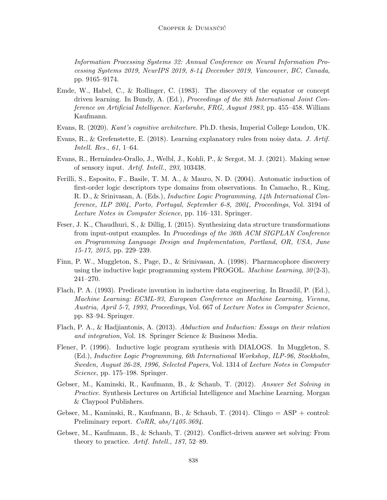Information Processing Systems 32: Annual Conference on Neural Information Processing Systems 2019, NeurIPS 2019, 8-14 December 2019, Vancouver, BC, Canada, pp. 9165–9174.

- Emde, W., Habel, C., & Rollinger, C. (1983). The discovery of the equator or concept driven learning. In Bundy, A. (Ed.), Proceedings of the 8th International Joint Conference on Artificial Intelligence. Karlsruhe, FRG, August 1983, pp. 455–458. William Kaufmann.
- Evans, R. (2020). Kant's cognitive architecture. Ph.D. thesis, Imperial College London, UK.
- Evans, R., & Grefenstette, E. (2018). Learning explanatory rules from noisy data. J. Artif. Intell. Res., 61, 1–64.
- Evans, R., Hernández-Orallo, J., Welbl, J., Kohli, P., & Sergot, M. J. (2021). Making sense of sensory input. Artif. Intell., 293, 103438.
- Ferilli, S., Esposito, F., Basile, T. M. A., & Mauro, N. D. (2004). Automatic induction of first-order logic descriptors type domains from observations. In Camacho, R., King, R. D., & Srinivasan, A. (Eds.), Inductive Logic Programming, 14th International Conference, ILP 2004, Porto, Portugal, September 6-8, 2004, Proceedings, Vol. 3194 of Lecture Notes in Computer Science, pp. 116–131. Springer.
- Feser, J. K., Chaudhuri, S., & Dillig, I. (2015). Synthesizing data structure transformations from input-output examples. In Proceedings of the 36th ACM SIGPLAN Conference on Programming Language Design and Implementation, Portland, OR, USA, June 15-17, 2015, pp. 229–239.
- Finn, P. W., Muggleton, S., Page, D., & Srinivasan, A. (1998). Pharmacophore discovery using the inductive logic programming system PROGOL. *Machine Learning*,  $30(2-3)$ , 241–270.
- Flach, P. A. (1993). Predicate invention in inductive data engineering. In Brazdil, P. (Ed.), Machine Learning: ECML-93, European Conference on Machine Learning, Vienna, Austria, April 5-7, 1993, Proceedings, Vol. 667 of Lecture Notes in Computer Science, pp. 83–94. Springer.
- Flach, P. A., & Hadjiantonis, A. (2013). Abduction and Induction: Essays on their relation and integration, Vol. 18. Springer Science & Business Media.
- Flener, P. (1996). Inductive logic program synthesis with DIALOGS. In Muggleton, S. (Ed.), Inductive Logic Programming, 6th International Workshop, ILP-96, Stockholm, Sweden, August 26-28, 1996, Selected Papers, Vol. 1314 of Lecture Notes in Computer Science, pp. 175–198. Springer.
- Gebser, M., Kaminski, R., Kaufmann, B., & Schaub, T. (2012). Answer Set Solving in Practice. Synthesis Lectures on Artificial Intelligence and Machine Learning. Morgan & Claypool Publishers.
- Gebser, M., Kaminski, R., Kaufmann, B., & Schaub, T. (2014). Clingo = ASP + control: Preliminary report. *CoRR*,  $abs/1405.3694$ .
- Gebser, M., Kaufmann, B., & Schaub, T. (2012). Conflict-driven answer set solving: From theory to practice. Artif. Intell., 187, 52–89.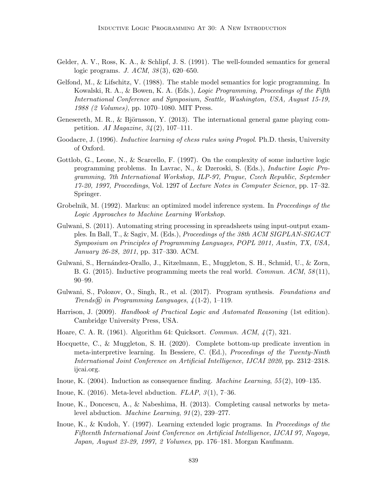- Gelder, A. V., Ross, K. A., & Schlipf, J. S. (1991). The well-founded semantics for general logic programs. *J. ACM*,  $38(3)$ , 620–650.
- Gelfond, M., & Lifschitz, V. (1988). The stable model semantics for logic programming. In Kowalski, R. A., & Bowen, K. A. (Eds.), Logic Programming, Proceedings of the Fifth International Conference and Symposium, Seattle, Washington, USA, August 15-19, 1988 (2 Volumes), pp. 1070–1080. MIT Press.
- Genesereth, M. R., & Björnsson, Y. (2013). The international general game playing competition. AI Magazine,  $34(2)$ , 107-111.
- Goodacre, J. (1996). Inductive learning of chess rules using Progol. Ph.D. thesis, University of Oxford.
- Gottlob, G., Leone, N., & Scarcello, F. (1997). On the complexity of some inductive logic programming problems. In Lavrac, N., & Dzeroski, S. (Eds.), Inductive Logic Programming, 7th International Workshop, ILP-97, Prague, Czech Republic, September 17-20, 1997, Proceedings, Vol. 1297 of Lecture Notes in Computer Science, pp. 17–32. Springer.
- Grobelnik, M. (1992). Markus: an optimized model inference system. In *Proceedings of the* Logic Approaches to Machine Learning Workshop.
- Gulwani, S. (2011). Automating string processing in spreadsheets using input-output examples. In Ball, T., & Sagiv, M. (Eds.), Proceedings of the 38th ACM SIGPLAN-SIGACT Symposium on Principles of Programming Languages, POPL 2011, Austin, TX, USA, January 26-28, 2011, pp. 317–330. ACM.
- Gulwani, S., Hernández-Orallo, J., Kitzelmann, E., Muggleton, S. H., Schmid, U., & Zorn, B. G.  $(2015)$ . Inductive programming meets the real world. *Commun. ACM*,  $58(11)$ , 90–99.
- Gulwani, S., Polozov, O., Singh, R., et al. (2017). Program synthesis. Foundations and Trends $\overline{R}$  in Programming Languages,  $\overline{4}(1-2)$ , 1-119.
- Harrison, J. (2009). Handbook of Practical Logic and Automated Reasoning (1st edition). Cambridge University Press, USA.
- Hoare, C. A. R. (1961). Algorithm 64: Quicksort. Commun. ACM, 4 (7), 321.
- Hocquette, C., & Muggleton, S. H. (2020). Complete bottom-up predicate invention in meta-interpretive learning. In Bessiere, C. (Ed.), Proceedings of the Twenty-Ninth International Joint Conference on Artificial Intelligence, IJCAI 2020, pp. 2312–2318. ijcai.org.
- Inoue, K. (2004). Induction as consequence finding. Machine Learning, 55 (2), 109–135.
- Inoue, K. (2016). Meta-level abduction.  $FLAP$ ,  $3(1)$ , 7-36.
- Inoue, K., Doncescu, A., & Nabeshima, H. (2013). Completing causal networks by metalevel abduction. Machine Learning, 91 (2), 239–277.
- Inoue, K., & Kudoh, Y. (1997). Learning extended logic programs. In *Proceedings of the* Fifteenth International Joint Conference on Artificial Intelligence, IJCAI 97, Nagoya, Japan, August 23-29, 1997, 2 Volumes, pp. 176–181. Morgan Kaufmann.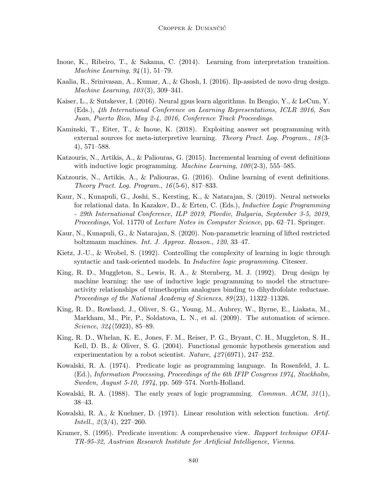- Inoue, K., Ribeiro, T., & Sakama, C. (2014). Learning from interpretation transition. *Machine Learning,*  $94(1)$ , 51–79.
- Kaalia, R., Srinivasan, A., Kumar, A., & Ghosh, I. (2016). Ilp-assisted de novo drug design. Machine Learning, 103 (3), 309–341.
- Kaiser, L., & Sutskever, I. (2016). Neural gpus learn algorithms. In Bengio, Y., & LeCun, Y. (Eds.), 4th International Conference on Learning Representations, ICLR 2016, San Juan, Puerto Rico, May 2-4, 2016, Conference Track Proceedings.
- Kaminski, T., Eiter, T., & Inoue, K. (2018). Exploiting answer set programming with external sources for meta-interpretive learning. Theory Pract. Log. Program., 18(3-4), 571–588.
- Katzouris, N., Artikis, A., & Paliouras, G. (2015). Incremental learning of event definitions with inductive logic programming. *Machine Learning*,  $100(2-3)$ , 555–585.
- Katzouris, N., Artikis, A., & Paliouras, G. (2016). Online learning of event definitions. Theory Pract. Log. Program., 16 (5-6), 817–833.
- Kaur, N., Kunapuli, G., Joshi, S., Kersting, K., & Natarajan, S. (2019). Neural networks for relational data. In Kazakov, D., & Erten, C. (Eds.), Inductive Logic Programming - 29th International Conference, ILP 2019, Plovdiv, Bulgaria, September 3-5, 2019, Proceedings, Vol. 11770 of Lecture Notes in Computer Science, pp. 62–71. Springer.
- Kaur, N., Kunapuli, G., & Natarajan, S. (2020). Non-parametric learning of lifted restricted boltzmann machines. Int. J. Approx. Reason., 120, 33–47.
- Kietz, J.-U., & Wrobel, S. (1992). Controlling the complexity of learning in logic through syntactic and task-oriented models. In *Inductive logic programming*. Citeseer.
- King, R. D., Muggleton, S., Lewis, R. A., & Sternberg, M. J. (1992). Drug design by machine learning: the use of inductive logic programming to model the structureactivity relationships of trimethoprim analogues binding to dihydrofolate reductase. Proceedings of the National Academy of Sciences, 89 (23), 11322–11326.
- King, R. D., Rowland, J., Oliver, S. G., Young, M., Aubrey, W., Byrne, E., Liakata, M., Markham, M., Pir, P., Soldatova, L. N., et al. (2009). The automation of science. Science, 324 (5923), 85–89.
- King, R. D., Whelan, K. E., Jones, F. M., Reiser, P. G., Bryant, C. H., Muggleton, S. H., Kell, D. B., & Oliver, S. G. (2004). Functional genomic hypothesis generation and experimentation by a robot scientist. *Nature*,  $\frac{427(6971)}{247-252}$ .
- Kowalski, R. A. (1974). Predicate logic as programming language. In Rosenfeld, J. L. (Ed.), Information Processing, Proceedings of the 6th IFIP Congress 1974, Stockholm, Sweden, August 5-10, 1974, pp. 569–574. North-Holland.
- Kowalski, R. A.  $(1988)$ . The early years of logic programming. *Commun. ACM*,  $31(1)$ , 38–43.
- Kowalski, R. A., & Kuehner, D. (1971). Linear resolution with selection function. Artif. *Intell.*,  $\mathfrak{2}(3/4)$ , 227–260.
- Kramer, S. (1995). Predicate invention: A comprehensive view. Rapport technique OFAI-TR-95-32, Austrian Research Institute for Artificial Intelligence, Vienna.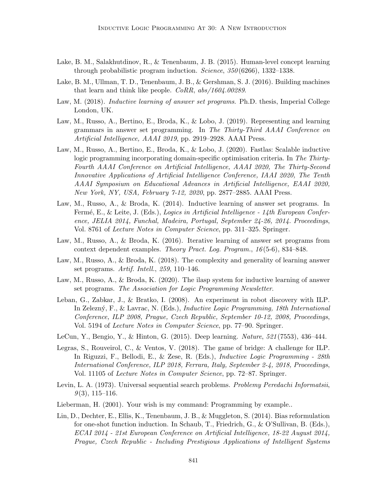- Lake, B. M., Salakhutdinov, R., & Tenenbaum, J. B. (2015). Human-level concept learning through probabilistic program induction. *Science*,  $350(6266)$ , 1332–1338.
- Lake, B. M., Ullman, T. D., Tenenbaum, J. B., & Gershman, S. J. (2016). Building machines that learn and think like people. CoRR, abs/1604.00289.
- Law, M. (2018). *Inductive learning of answer set programs*. Ph.D. thesis, Imperial College London, UK.
- Law, M., Russo, A., Bertino, E., Broda, K., & Lobo, J. (2019). Representing and learning grammars in answer set programming. In The Thirty-Third AAAI Conference on Artificial Intelligence, AAAI 2019, pp. 2919–2928. AAAI Press.
- Law, M., Russo, A., Bertino, E., Broda, K., & Lobo, J. (2020). Fastlas: Scalable inductive logic programming incorporating domain-specific optimisation criteria. In The Thirty-Fourth AAAI Conference on Artificial Intelligence, AAAI 2020, The Thirty-Second Innovative Applications of Artificial Intelligence Conference, IAAI 2020, The Tenth AAAI Symposium on Educational Advances in Artificial Intelligence, EAAI 2020, New York, NY, USA, February 7-12, 2020, pp. 2877–2885. AAAI Press.
- Law, M., Russo, A., & Broda, K. (2014). Inductive learning of answer set programs. In Fermé, E., & Leite, J. (Eds.), Logics in Artificial Intelligence - 14th European Conference, JELIA 2014, Funchal, Madeira, Portugal, September 24-26, 2014. Proceedings, Vol. 8761 of Lecture Notes in Computer Science, pp. 311–325. Springer.
- Law, M., Russo, A., & Broda, K. (2016). Iterative learning of answer set programs from context dependent examples. Theory Pract. Log. Program., 16 (5-6), 834–848.
- Law, M., Russo, A., & Broda, K. (2018). The complexity and generality of learning answer set programs. Artif. Intell., 259, 110–146.
- Law, M., Russo, A., & Broda, K. (2020). The ilasp system for inductive learning of answer set programs. The Association for Logic Programming Newsletter.
- Leban, G., Zabkar, J., & Bratko, I. (2008). An experiment in robot discovery with ILP. In Zelezn´y, F., & Lavrac, N. (Eds.), Inductive Logic Programming, 18th International Conference, ILP 2008, Prague, Czech Republic, September 10-12, 2008, Proceedings, Vol. 5194 of Lecture Notes in Computer Science, pp. 77–90. Springer.
- LeCun, Y., Bengio, Y., & Hinton, G. (2015). Deep learning. Nature, 521 (7553), 436–444.
- Legras, S., Rouveirol, C., & Ventos, V. (2018). The game of bridge: A challenge for ILP. In Riguzzi, F., Bellodi, E., & Zese, R. (Eds.), Inductive Logic Programming - 28th International Conference, ILP 2018, Ferrara, Italy, September 2-4, 2018, Proceedings, Vol. 11105 of Lecture Notes in Computer Science, pp. 72–87. Springer.
- Levin, L. A. (1973). Universal sequential search problems. Problemy Peredachi Informatsii,  $9(3)$ , 115–116.
- Lieberman, H. (2001). Your wish is my command: Programming by example..
- Lin, D., Dechter, E., Ellis, K., Tenenbaum, J. B., & Muggleton, S. (2014). Bias reformulation for one-shot function induction. In Schaub, T., Friedrich, G., & O'Sullivan, B. (Eds.), ECAI 2014 - 21st European Conference on Artificial Intelligence, 18-22 August 2014, Prague, Czech Republic - Including Prestigious Applications of Intelligent Systems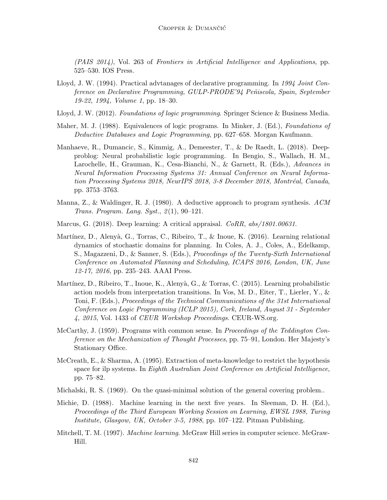(PAIS 2014), Vol. 263 of Frontiers in Artificial Intelligence and Applications, pp. 525–530. IOS Press.

- Lloyd, J. W. (1994). Practical advtanages of declarative programming. In 1994 Joint Conference on Declarative Programming, GULP-PRODE'94 Pe˜niscola, Spain, September 19-22, 1994, Volume 1, pp. 18–30.
- Lloyd, J. W. (2012). Foundations of logic programming. Springer Science & Business Media.
- Maher, M. J. (1988). Equivalences of logic programs. In Minker, J. (Ed.), *Foundations of* Deductive Databases and Logic Programming, pp. 627–658. Morgan Kaufmann.
- Manhaeve, R., Dumancic, S., Kimmig, A., Demeester, T., & De Raedt, L. (2018). Deepproblog: Neural probabilistic logic programming. In Bengio, S., Wallach, H. M., Larochelle, H., Grauman, K., Cesa-Bianchi, N., & Garnett, R. (Eds.), Advances in Neural Information Processing Systems 31: Annual Conference on Neural Information Processing Systems 2018, NeurIPS 2018, 3-8 December 2018, Montréal, Canada, pp. 3753–3763.
- Manna,  $Z_{\cdot}$ , & Waldinger, R. J. (1980). A deductive approach to program synthesis. ACM Trans. Program. Lang. Syst., 2 (1), 90–121.
- Marcus, G.  $(2018)$ . Deep learning: A critical appraisal.  $CORR$ ,  $abs/1801.00631$ .
- Martínez, D., Alenyà, G., Torras, C., Ribeiro, T., & Inoue, K. (2016). Learning relational dynamics of stochastic domains for planning. In Coles, A. J., Coles, A., Edelkamp, S., Magazzeni, D., & Sanner, S. (Eds.), Proceedings of the Twenty-Sixth International Conference on Automated Planning and Scheduling, ICAPS 2016, London, UK, June 12-17, 2016, pp. 235–243. AAAI Press.
- Martínez, D., Ribeiro, T., Inoue, K., Alenyà, G., & Torras, C. (2015). Learning probabilistic action models from interpretation transitions. In Vos, M. D., Eiter, T., Lierler, Y., & Toni, F. (Eds.), Proceedings of the Technical Communications of the 31st International Conference on Logic Programming (ICLP 2015), Cork, Ireland, August 31 - September 4, 2015, Vol. 1433 of CEUR Workshop Proceedings. CEUR-WS.org.
- McCarthy, J. (1959). Programs with common sense. In Proceedings of the Teddington Conference on the Mechanization of Thought Processes, pp. 75–91, London. Her Majesty's Stationary Office.
- McCreath, E., & Sharma, A. (1995). Extraction of meta-knowledge to restrict the hypothesis space for ilp systems. In Eighth Australian Joint Conference on Artificial Intelligence, pp. 75–82.
- Michalski, R. S. (1969). On the quasi-minimal solution of the general covering problem..
- Michie, D. (1988). Machine learning in the next five years. In Sleeman, D. H. (Ed.), Proceedings of the Third European Working Session on Learning, EWSL 1988, Turing Institute, Glasgow, UK, October 3-5, 1988, pp. 107–122. Pitman Publishing.
- Mitchell, T. M. (1997). Machine learning. McGraw Hill series in computer science. McGraw-Hill.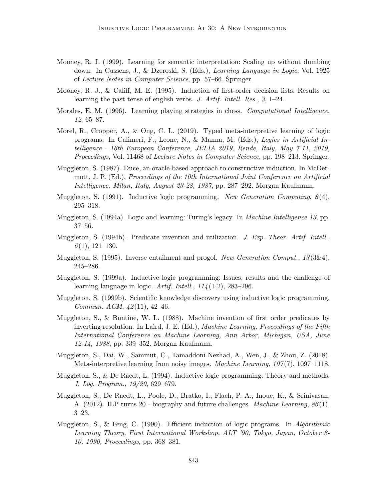- Mooney, R. J. (1999). Learning for semantic interpretation: Scaling up without dumbing down. In Cussens, J., & Dzeroski, S. (Eds.), Learning Language in Logic, Vol. 1925 of Lecture Notes in Computer Science, pp. 57–66. Springer.
- Mooney, R. J., & Califf, M. E. (1995). Induction of first-order decision lists: Results on learning the past tense of english verbs. J. Artif. Intell. Res., 3, 1–24.
- Morales, E. M. (1996). Learning playing strategies in chess. *Computational Intelligence*, 12, 65–87.
- Morel, R., Cropper, A., & Ong, C. L. (2019). Typed meta-interpretive learning of logic programs. In Calimeri, F., Leone, N., & Manna, M. (Eds.), Logics in Artificial Intelligence - 16th European Conference, JELIA 2019, Rende, Italy, May 7-11, 2019, Proceedings, Vol. 11468 of Lecture Notes in Computer Science, pp. 198–213. Springer.
- Muggleton, S. (1987). Duce, an oracle-based approach to constructive induction. In McDermott, J. P. (Ed.), Proceedings of the 10th International Joint Conference on Artificial Intelligence. Milan, Italy, August 23-28, 1987, pp. 287–292. Morgan Kaufmann.
- Muggleton, S.  $(1991)$ . Inductive logic programming. New Generation Computing,  $8(4)$ , 295–318.
- Muggleton, S. (1994a). Logic and learning: Turing's legacy. In *Machine Intelligence 13*, pp. 37–56.
- Muggleton, S. (1994b). Predicate invention and utilization. J. Exp. Theor. Artif. Intell.,  $6(1), 121-130.$
- Muggleton, S. (1995). Inverse entailment and progol. New Generation Comput.,  $13(3\&4)$ , 245–286.
- Muggleton, S. (1999a). Inductive logic programming: Issues, results and the challenge of learning language in logic. Artif. Intell.,  $114(1-2)$ , 283-296.
- Muggleton, S. (1999b). Scientific knowledge discovery using inductive logic programming. Commun.  $ACM$ ,  $42(11)$ ,  $42-46$ .
- Muggleton, S., & Buntine, W. L. (1988). Machine invention of first order predicates by inverting resolution. In Laird, J. E. (Ed.), *Machine Learning, Proceedings of the Fifth* International Conference on Machine Learning, Ann Arbor, Michigan, USA, June 12-14, 1988, pp. 339–352. Morgan Kaufmann.
- Muggleton, S., Dai, W., Sammut, C., Tamaddoni-Nezhad, A., Wen, J., & Zhou, Z. (2018). Meta-interpretive learning from noisy images. *Machine Learning*,  $107(7)$ ,  $1097-1118$ .
- Muggleton, S., & De Raedt, L. (1994). Inductive logic programming: Theory and methods. J. Log. Program., 19/20, 629–679.
- Muggleton, S., De Raedt, L., Poole, D., Bratko, I., Flach, P. A., Inoue, K., & Srinivasan, A.  $(2012)$ . ILP turns 20 - biography and future challenges. *Machine Learning*,  $86(1)$ , 3–23.
- Muggleton, S., & Feng, C. (1990). Efficient induction of logic programs. In Algorithmic Learning Theory, First International Workshop, ALT '90, Tokyo, Japan, October 8- 10, 1990, Proceedings, pp. 368–381.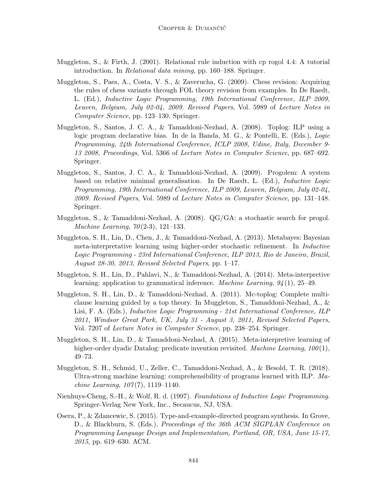- Muggleton, S., & Firth, J. (2001). Relational rule induction with cp rogol 4.4: A tutorial introduction. In Relational data mining, pp. 160–188. Springer.
- Muggleton, S., Paes, A., Costa, V. S., & Zaverucha, G. (2009). Chess revision: Acquiring the rules of chess variants through FOL theory revision from examples. In De Raedt, L. (Ed.), Inductive Logic Programming, 19th International Conference, ILP 2009, Leuven, Belgium, July 02-04, 2009. Revised Papers, Vol. 5989 of Lecture Notes in Computer Science, pp. 123–130. Springer.
- Muggleton, S., Santos, J. C. A., & Tamaddoni-Nezhad, A. (2008). Toplog: ILP using a logic program declarative bias. In de la Banda, M. G., & Pontelli, E. (Eds.), Logic Programming, 24th International Conference, ICLP 2008, Udine, Italy, December 9- 13 2008, Proceedings, Vol. 5366 of Lecture Notes in Computer Science, pp. 687–692. Springer.
- Muggleton, S., Santos, J. C. A., & Tamaddoni-Nezhad, A. (2009). Progolem: A system based on relative minimal generalisation. In De Raedt, L. (Ed.), Inductive Logic Programming, 19th International Conference, ILP 2009, Leuven, Belgium, July 02-04, 2009. Revised Papers, Vol. 5989 of Lecture Notes in Computer Science, pp. 131–148. Springer.
- Muggleton, S., & Tamaddoni-Nezhad, A. (2008). QG/GA: a stochastic search for progol. *Machine Learning, 70* (2-3), 121–133.
- Muggleton, S. H., Lin, D., Chen, J., & Tamaddoni-Nezhad, A. (2013). Metabayes: Bayesian meta-interpretative learning using higher-order stochastic refinement. In Inductive Logic Programming - 23rd International Conference, ILP 2013, Rio de Janeiro, Brazil, August 28-30, 2013, Revised Selected Papers, pp. 1–17.
- Muggleton, S. H., Lin, D., Pahlavi, N., & Tamaddoni-Nezhad, A. (2014). Meta-interpretive learning: application to grammatical inference. Machine Learning, 94 (1), 25–49.
- Muggleton, S. H., Lin, D., & Tamaddoni-Nezhad, A. (2011). Mc-toplog: Complete multiclause learning guided by a top theory. In Muggleton, S., Tamaddoni-Nezhad, A., & Lisi, F. A. (Eds.), Inductive Logic Programming - 21st International Conference, ILP 2011, Windsor Great Park, UK, July 31 - August 3, 2011, Revised Selected Papers, Vol. 7207 of Lecture Notes in Computer Science, pp. 238–254. Springer.
- Muggleton, S. H., Lin, D., & Tamaddoni-Nezhad, A. (2015). Meta-interpretive learning of higher-order dyadic Datalog: predicate invention revisited. Machine Learning,  $100(1)$ , 49–73.
- Muggleton, S. H., Schmid, U., Zeller, C., Tamaddoni-Nezhad, A., & Besold, T. R. (2018). Ultra-strong machine learning: comprehensibility of programs learned with ILP. Ma*chine Learning,*  $107(7)$ *, 1119–1140.*
- Nienhuys-Cheng, S.-H., & Wolf, R. d. (1997). Foundations of Inductive Logic Programming. Springer-Verlag New York, Inc., Secaucus, NJ, USA.
- Osera, P., & Zdancewic, S. (2015). Type-and-example-directed program synthesis. In Grove, D., & Blackburn, S. (Eds.), *Proceedings of the 36th ACM SIGPLAN Conference on* Programming Language Design and Implementation, Portland, OR, USA, June 15-17, 2015, pp. 619–630. ACM.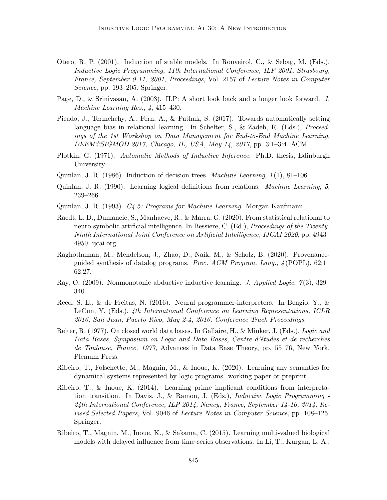- Otero, R. P. (2001). Induction of stable models. In Rouveirol, C., & Sebag, M. (Eds.), Inductive Logic Programming, 11th International Conference, ILP 2001, Strasbourg, France, September 9-11, 2001, Proceedings, Vol. 2157 of Lecture Notes in Computer Science, pp. 193–205. Springer.
- Page, D., & Srinivasan, A. (2003). ILP: A short look back and a longer look forward. J. Machine Learning Res., 4, 415–430.
- Picado, J., Termehchy, A., Fern, A., & Pathak, S. (2017). Towards automatically setting language bias in relational learning. In Schelter, S., & Zadeh, R. (Eds.), Proceedings of the 1st Workshop on Data Management for End-to-End Machine Learning, DEEM@SIGMOD 2017, Chicago, IL, USA, May 14, 2017, pp. 3:1–3:4. ACM.
- Plotkin, G. (1971). Automatic Methods of Inductive Inference. Ph.D. thesis, Edinburgh University.
- Quinlan, J. R. (1986). Induction of decision trees. *Machine Learning*,  $1(1)$ , 81–106.
- Quinlan, J. R. (1990). Learning logical definitions from relations. Machine Learning, 5, 239–266.
- Quinlan, J. R. (1993). C4.5: Programs for Machine Learning. Morgan Kaufmann.
- Raedt, L. D., Dumancic, S., Manhaeve, R., & Marra, G. (2020). From statistical relational to neuro-symbolic artificial intelligence. In Bessiere, C. (Ed.), Proceedings of the Twenty-Ninth International Joint Conference on Artificial Intelligence, IJCAI 2020, pp. 4943– 4950. ijcai.org.
- Raghothaman, M., Mendelson, J., Zhao, D., Naik, M., & Scholz, B. (2020). Provenanceguided synthesis of datalog programs. Proc. ACM Program. Lang.,  $\mathcal{A}$ (POPL), 62:1– 62:27.
- Ray, O. (2009). Nonmonotonic abductive inductive learning. J. Applied Logic, 7(3), 329– 340.
- Reed, S. E., & de Freitas, N. (2016). Neural programmer-interpreters. In Bengio, Y., & LeCun, Y. (Eds.), 4th International Conference on Learning Representations, ICLR 2016, San Juan, Puerto Rico, May 2-4, 2016, Conference Track Proceedings.
- Reiter, R. (1977). On closed world data bases. In Gallaire, H., & Minker, J. (Eds.), Logic and Data Bases, Symposium on Logic and Data Bases, Centre d'études et de recherches de Toulouse, France, 1977, Advances in Data Base Theory, pp. 55–76, New York. Plemum Press.
- Ribeiro, T., Folschette, M., Magnin, M., & Inoue, K. (2020). Learning any semantics for dynamical systems represented by logic programs. working paper or preprint.
- Ribeiro, T., & Inoue, K. (2014). Learning prime implicant conditions from interpretation transition. In Davis, J., & Ramon, J. (Eds.), Inductive Logic Programming - 24th International Conference, ILP 2014, Nancy, France, September 14-16, 2014, Revised Selected Papers, Vol. 9046 of Lecture Notes in Computer Science, pp. 108–125. Springer.
- Ribeiro, T., Magnin, M., Inoue, K., & Sakama, C. (2015). Learning multi-valued biological models with delayed influence from time-series observations. In Li, T., Kurgan, L. A.,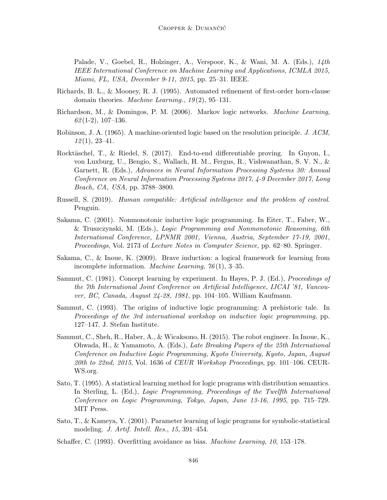Palade, V., Goebel, R., Holzinger, A., Verspoor, K., & Wani, M. A. (Eds.), 14th IEEE International Conference on Machine Learning and Applications, ICMLA 2015, Miami, FL, USA, December 9-11, 2015, pp. 25–31. IEEE.

- Richards, B. L., & Mooney, R. J. (1995). Automated refinement of first-order horn-clause domain theories. *Machine Learning.*,  $19(2)$ ,  $95-131$ .
- Richardson, M., & Domingos, P. M. (2006). Markov logic networks. Machine Learning,  $62(1-2), 107-136.$
- Robinson, J. A. (1965). A machine-oriented logic based on the resolution principle. J. ACM,  $12(1), 23-41.$
- Rocktäschel, T., & Riedel, S. (2017). End-to-end differentiable proving. In Guyon, I., von Luxburg, U., Bengio, S., Wallach, H. M., Fergus, R., Vishwanathan, S. V. N., & Garnett, R. (Eds.), Advances in Neural Information Processing Systems 30: Annual Conference on Neural Information Processing Systems 2017, 4-9 December 2017, Long Beach, CA, USA, pp. 3788–3800.
- Russell, S. (2019). Human compatible: Artificial intelligence and the problem of control. Penguin.
- Sakama, C. (2001). Nonmonotonic inductive logic programming. In Eiter, T., Faber, W., & Truszczynski, M. (Eds.), Logic Programming and Nonmonotonic Reasoning, 6th International Conference, LPNMR 2001, Vienna, Austria, September 17-19, 2001, Proceedings, Vol. 2173 of Lecture Notes in Computer Science, pp. 62–80. Springer.
- Sakama, C., & Inoue, K. (2009). Brave induction: a logical framework for learning from incomplete information. *Machine Learning*,  $76(1)$ , 3-35.
- Sammut, C. (1981). Concept learning by experiment. In Hayes, P. J. (Ed.), Proceedings of the 7th International Joint Conference on Artificial Intelligence, IJCAI '81, Vancouver, BC, Canada, August 24-28, 1981, pp. 104–105. William Kaufmann.
- Sammut, C. (1993). The origins of inductive logic programming: A prehistoric tale. In Proceedings of the 3rd international workshop on inductive logic programming, pp. 127–147. J. Stefan Institute.
- Sammut, C., Sheh, R., Haber, A., & Wicaksono, H. (2015). The robot engineer. In Inoue, K., Ohwada, H., & Yamamoto, A. (Eds.), Late Breaking Papers of the 25th International Conference on Inductive Logic Programming, Kyoto University, Kyoto, Japan, August 20th to 22nd, 2015, Vol. 1636 of CEUR Workshop Proceedings, pp. 101–106. CEUR-WS.org.
- Sato, T. (1995). A statistical learning method for logic programs with distribution semantics. In Sterling, L. (Ed.), Logic Programming, Proceedings of the Twelfth International Conference on Logic Programming, Tokyo, Japan, June 13-16, 1995, pp. 715–729. MIT Press.
- Sato, T., & Kameya, Y. (2001). Parameter learning of logic programs for symbolic-statistical modeling. J. Artif. Intell. Res., 15, 391–454.
- Schaffer, C. (1993). Overfitting avoidance as bias. Machine Learning, 10, 153–178.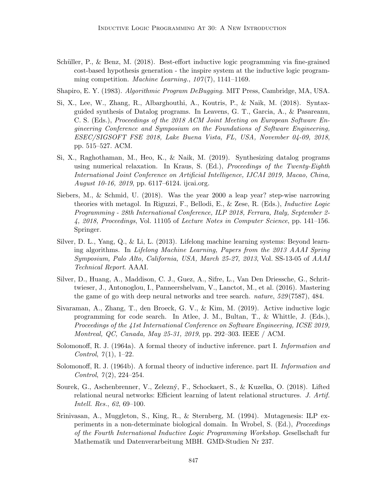Schüller, P., & Benz, M. (2018). Best-effort inductive logic programming via fine-grained cost-based hypothesis generation - the inspire system at the inductive logic programming competition. Machine Learning.,  $107(7)$ , 1141–1169.

Shapiro, E. Y. (1983). Algorithmic Program DeBugging. MIT Press, Cambridge, MA, USA.

- Si, X., Lee, W., Zhang, R., Albarghouthi, A., Koutris, P., & Naik, M. (2018). Syntaxguided synthesis of Datalog programs. In Leavens, G. T., Garcia, A., & Pasareanu, C. S. (Eds.), Proceedings of the 2018 ACM Joint Meeting on European Software Engineering Conference and Symposium on the Foundations of Software Engineering, ESEC/SIGSOFT FSE 2018, Lake Buena Vista, FL, USA, November 04-09, 2018, pp. 515–527. ACM.
- Si, X., Raghothaman, M., Heo, K., & Naik, M. (2019). Synthesizing datalog programs using numerical relaxation. In Kraus, S. (Ed.), *Proceedings of the Twenty-Eighth* International Joint Conference on Artificial Intelligence, IJCAI 2019, Macao, China, August 10-16, 2019, pp. 6117–6124. ijcai.org.
- Siebers, M., & Schmid, U. (2018). Was the year 2000 a leap year? step-wise narrowing theories with metagol. In Riguzzi, F., Bellodi, E., & Zese, R. (Eds.), Inductive Logic Programming - 28th International Conference, ILP 2018, Ferrara, Italy, September 2- 4, 2018, Proceedings, Vol. 11105 of Lecture Notes in Computer Science, pp. 141–156. Springer.
- Silver, D. L., Yang, Q., & Li, L. (2013). Lifelong machine learning systems: Beyond learning algorithms. In Lifelong Machine Learning, Papers from the 2013 AAAI Spring Symposium, Palo Alto, California, USA, March 25-27, 2013, Vol. SS-13-05 of AAAI Technical Report. AAAI.
- Silver, D., Huang, A., Maddison, C. J., Guez, A., Sifre, L., Van Den Driessche, G., Schrittwieser, J., Antonoglou, I., Panneershelvam, V., Lanctot, M., et al. (2016). Mastering the game of go with deep neural networks and tree search. nature, 529 (7587), 484.
- Sivaraman, A., Zhang, T., den Broeck, G. V., & Kim, M. (2019). Active inductive logic programming for code search. In Atlee, J. M., Bultan, T., & Whittle, J. (Eds.), Proceedings of the 41st International Conference on Software Engineering, ICSE 2019, Montreal, QC, Canada, May 25-31, 2019, pp. 292–303. IEEE / ACM.
- Solomonoff, R. J. (1964a). A formal theory of inductive inference. part I. *Information and* Control,  $7(1)$ , 1–22.
- Solomonoff, R. J. (1964b). A formal theory of inductive inference. part II. *Information and* Control,  $7(2)$ ,  $224-254$ .
- Sourek, G., Aschenbrenner, V., Zelezn´y, F., Schockaert, S., & Kuzelka, O. (2018). Lifted relational neural networks: Efficient learning of latent relational structures. J. Artif. Intell. Res., 62, 69–100.
- Srinivasan, A., Muggleton, S., King, R., & Sternberg, M. (1994). Mutagenesis: ILP experiments in a non-determinate biological domain. In Wrobel, S. (Ed.), Proceedings of the Fourth International Inductive Logic Programming Workshop. Gesellschaft fur Mathematik und Datenverarbeitung MBH. GMD-Studien Nr 237.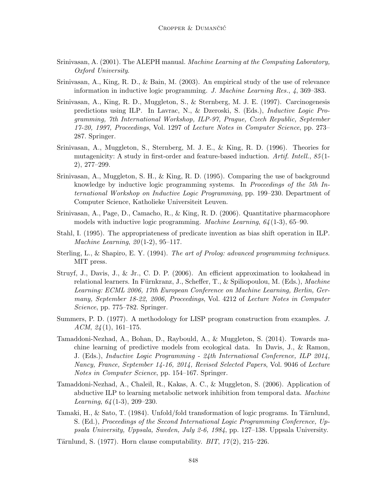- Srinivasan, A. (2001). The ALEPH manual. Machine Learning at the Computing Laboratory, Oxford University.
- Srinivasan, A., King, R. D., & Bain, M. (2003). An empirical study of the use of relevance information in inductive logic programming. J. Machine Learning Res., 4, 369–383.
- Srinivasan, A., King, R. D., Muggleton, S., & Sternberg, M. J. E. (1997). Carcinogenesis predictions using ILP. In Lavrac, N., & Dzeroski, S. (Eds.), Inductive Logic Programming, 7th International Workshop, ILP-97, Prague, Czech Republic, September 17-20, 1997, Proceedings, Vol. 1297 of Lecture Notes in Computer Science, pp. 273– 287. Springer.
- Srinivasan, A., Muggleton, S., Sternberg, M. J. E., & King, R. D. (1996). Theories for mutagenicity: A study in first-order and feature-based induction. Artif. Intell.,  $85(1$ -2), 277–299.
- Srinivasan, A., Muggleton, S. H., & King, R. D. (1995). Comparing the use of background knowledge by inductive logic programming systems. In Proceedings of the 5th International Workshop on Inductive Logic Programming, pp. 199–230. Department of Computer Science, Katholieke Universiteit Leuven.
- Srinivasan, A., Page, D., Camacho, R., & King, R. D. (2006). Quantitative pharmacophore models with inductive logic programming. Machine Learning, 64 (1-3), 65–90.
- Stahl, I. (1995). The appropriateness of predicate invention as bias shift operation in ILP. *Machine Learning,*  $20(1-2)$ *, 95-117.*
- Sterling, L., & Shapiro, E. Y. (1994). The art of Prolog: advanced programming techniques. MIT press.
- Struyf, J., Davis, J., & Jr., C. D. P. (2006). An efficient approximation to lookahead in relational learners. In Fürnkranz, J., Scheffer, T., & Spiliopoulou, M. (Eds.), Machine Learning: ECML 2006, 17th European Conference on Machine Learning, Berlin, Germany, September 18-22, 2006, Proceedings, Vol. 4212 of Lecture Notes in Computer Science, pp. 775–782. Springer.
- Summers, P. D. (1977). A methodology for LISP program construction from examples. J. ACM,  $24(1)$ , 161–175.
- Tamaddoni-Nezhad, A., Bohan, D., Raybould, A., & Muggleton, S. (2014). Towards machine learning of predictive models from ecological data. In Davis, J., & Ramon, J. (Eds.), Inductive Logic Programming - 24th International Conference, ILP 2014, Nancy, France, September 14-16, 2014, Revised Selected Papers, Vol. 9046 of Lecture Notes in Computer Science, pp. 154–167. Springer.
- Tamaddoni-Nezhad, A., Chaleil, R., Kakas, A. C., & Muggleton, S. (2006). Application of abductive ILP to learning metabolic network inhibition from temporal data. *Machine* Learning, 64 (1-3), 209–230.
- Tamaki, H., & Sato, T. (1984). Unfold/fold transformation of logic programs. In Tärnlund, S. (Ed.), Proceedings of the Second International Logic Programming Conference, Uppsala University, Uppsala, Sweden, July 2-6, 1984, pp. 127–138. Uppsala University.
- Tärnlund, S. (1977). Horn clause computability.  $BIT, 17(2), 215-226$ .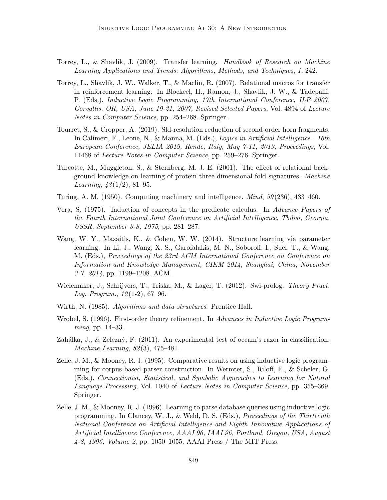- Torrey, L., & Shavlik, J. (2009). Transfer learning. Handbook of Research on Machine Learning Applications and Trends: Algorithms, Methods, and Techniques, 1, 242.
- Torrey, L., Shavlik, J. W., Walker, T., & Maclin, R. (2007). Relational macros for transfer in reinforcement learning. In Blockeel, H., Ramon, J., Shavlik, J. W., & Tadepalli, P. (Eds.), Inductive Logic Programming, 17th International Conference, ILP 2007, Corvallis, OR, USA, June 19-21, 2007, Revised Selected Papers, Vol. 4894 of Lecture Notes in Computer Science, pp. 254–268. Springer.
- Tourret, S., & Cropper, A. (2019). Sld-resolution reduction of second-order horn fragments. In Calimeri, F., Leone, N., & Manna, M. (Eds.), Logics in Artificial Intelligence - 16th European Conference, JELIA 2019, Rende, Italy, May 7-11, 2019, Proceedings, Vol. 11468 of Lecture Notes in Computer Science, pp. 259–276. Springer.
- Turcotte, M., Muggleton, S., & Sternberg, M. J. E. (2001). The effect of relational background knowledge on learning of protein three-dimensional fold signatures. Machine Learning,  $43(1/2)$ , 81–95.
- Turing, A. M. (1950). Computing machinery and intelligence. Mind, 59 (236), 433–460.
- Vera, S. (1975). Induction of concepts in the predicate calculus. In Advance Papers of the Fourth International Joint Conference on Artificial Intelligence, Tbilisi, Georgia, USSR, September 3-8, 1975, pp. 281–287.
- Wang, W. Y., Mazaitis, K., & Cohen, W. W. (2014). Structure learning via parameter learning. In Li, J., Wang, X. S., Garofalakis, M. N., Soboroff, I., Suel, T., & Wang, M. (Eds.), Proceedings of the 23rd ACM International Conference on Conference on Information and Knowledge Management, CIKM 2014, Shanghai, China, November 3-7, 2014, pp. 1199–1208. ACM.
- Wielemaker, J., Schrijvers, T., Triska, M., & Lager, T. (2012). Swi-prolog. Theory Pract. Log. Program.,  $12(1-2)$ , 67-96.
- Wirth, N. (1985). Algorithms and data structures. Prentice Hall.
- Wrobel, S. (1996). First-order theory refinement. In Advances in Inductive Logic Programming, pp. 14–33.
- Zahálka, J., & Zelezný, F. (2011). An experimental test of occam's razor in classification. Machine Learning, 82 (3), 475–481.
- Zelle, J. M., & Mooney, R. J. (1995). Comparative results on using inductive logic programming for corpus-based parser construction. In Wermter, S., Riloff, E., & Scheler, G. (Eds.), Connectionist, Statistical, and Symbolic Approaches to Learning for Natural Language Processing, Vol. 1040 of Lecture Notes in Computer Science, pp. 355–369. Springer.
- Zelle, J. M., & Mooney, R. J. (1996). Learning to parse database queries using inductive logic programming. In Clancey, W. J., & Weld, D. S. (Eds.), Proceedings of the Thirteenth National Conference on Artificial Intelligence and Eighth Innovative Applications of Artificial Intelligence Conference, AAAI 96, IAAI 96, Portland, Oregon, USA, August 4-8, 1996, Volume 2, pp. 1050–1055. AAAI Press / The MIT Press.